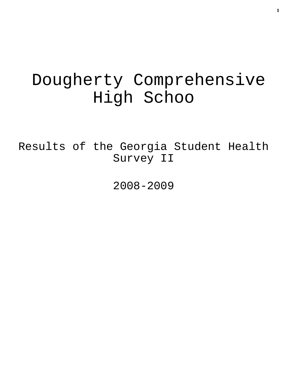# Dougherty Comprehensive High Schoo

Results of the Georgia Student Health Survey II

2008-2009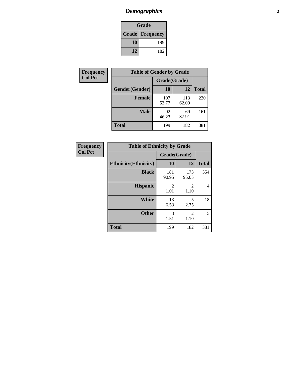# *Demographics* **2**

| Grade                    |     |  |  |  |
|--------------------------|-----|--|--|--|
| <b>Grade   Frequency</b> |     |  |  |  |
| 10                       | 199 |  |  |  |
| 12                       | 182 |  |  |  |

| Frequency      | <b>Table of Gender by Grade</b> |              |              |              |  |  |
|----------------|---------------------------------|--------------|--------------|--------------|--|--|
| <b>Col Pct</b> |                                 | Grade(Grade) |              |              |  |  |
|                | Gender(Gender)                  | 10           | 12           | <b>Total</b> |  |  |
|                | <b>Female</b>                   | 107<br>53.77 | 113<br>62.09 | 220          |  |  |
|                | <b>Male</b>                     | 92<br>46.23  | 69<br>37.91  | 161          |  |  |
|                | <b>Total</b>                    | 199          | 182          | 381          |  |  |

| <b>Frequency</b><br>Col Pct |
|-----------------------------|
|-----------------------------|

| <b>Table of Ethnicity by Grade</b> |              |              |              |  |  |  |
|------------------------------------|--------------|--------------|--------------|--|--|--|
|                                    | Grade(Grade) |              |              |  |  |  |
| <b>Ethnicity</b> (Ethnicity)       | 10           | 12           | <b>Total</b> |  |  |  |
| <b>Black</b>                       | 181<br>90.95 | 173<br>95.05 | 354          |  |  |  |
| <b>Hispanic</b>                    | 2<br>1.01    | 2<br>1.10    | 4            |  |  |  |
| White                              | 13<br>6.53   | 5<br>2.75    | 18           |  |  |  |
| <b>Other</b>                       | 3<br>1.51    | 2<br>1.10    | 5            |  |  |  |
| <b>Total</b>                       | 199          | 182          | 381          |  |  |  |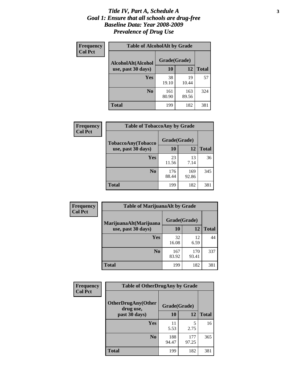#### *Title IV, Part A, Schedule A* **3** *Goal 1: Ensure that all schools are drug-free Baseline Data: Year 2008-2009 Prevalence of Drug Use*

| Frequency<br><b>Col Pct</b> | <b>Table of AlcoholAlt by Grade</b> |              |              |              |  |  |
|-----------------------------|-------------------------------------|--------------|--------------|--------------|--|--|
|                             | AlcoholAlt(Alcohol                  | Grade(Grade) |              |              |  |  |
|                             | use, past 30 days)                  | <b>10</b>    | 12           | <b>Total</b> |  |  |
|                             | <b>Yes</b>                          | 38<br>19.10  | 19<br>10.44  | 57           |  |  |
|                             | N <sub>0</sub>                      | 161<br>80.90 | 163<br>89.56 | 324          |  |  |
|                             | Total                               | 199          | 182          | 381          |  |  |

| Frequency<br><b>Col Pct</b> | <b>Table of TobaccoAny by Grade</b> |              |              |              |  |
|-----------------------------|-------------------------------------|--------------|--------------|--------------|--|
|                             | <b>TobaccoAny(Tobacco</b>           | Grade(Grade) |              |              |  |
|                             | use, past 30 days)                  | <b>10</b>    | 12           | <b>Total</b> |  |
|                             | Yes                                 | 23<br>11.56  | 13<br>7.14   | 36           |  |
|                             | N <sub>0</sub>                      | 176<br>88.44 | 169<br>92.86 | 345          |  |
|                             | Total                               | 199          | 182          | 381          |  |

| Frequency<br><b>Col Pct</b> | <b>Table of MarijuanaAlt by Grade</b> |              |              |              |  |  |
|-----------------------------|---------------------------------------|--------------|--------------|--------------|--|--|
|                             | MarijuanaAlt(Marijuana                | Grade(Grade) |              |              |  |  |
|                             | use, past 30 days)                    | 10           | 12           | <b>Total</b> |  |  |
|                             | <b>Yes</b>                            | 32<br>16.08  | 12<br>6.59   | 44           |  |  |
|                             | N <sub>0</sub>                        | 167<br>83.92 | 170<br>93.41 | 337          |  |  |
|                             | <b>Total</b>                          | 199          | 182          | 381          |  |  |

| Frequency      | <b>Table of OtherDrugAny by Grade</b>                  |              |              |              |  |  |
|----------------|--------------------------------------------------------|--------------|--------------|--------------|--|--|
| <b>Col Pct</b> | <b>OtherDrugAny(Other</b><br>Grade(Grade)<br>drug use, |              |              |              |  |  |
|                | past 30 days)                                          | 10           | 12           | <b>Total</b> |  |  |
|                | <b>Yes</b>                                             | 11<br>5.53   | 5<br>2.75    | 16           |  |  |
|                | N <sub>0</sub>                                         | 188<br>94.47 | 177<br>97.25 | 365          |  |  |
|                | <b>Total</b>                                           | 199          | 182          | 381          |  |  |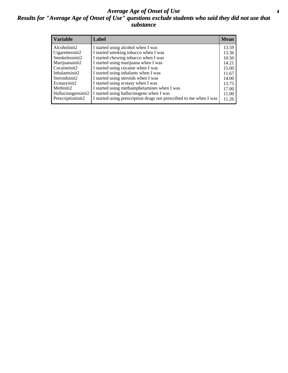### *Average Age of Onset of Use* **4** *Results for "Average Age of Onset of Use" questions exclude students who said they did not use that substance*

| <b>Variable</b>       | Label                                                              | <b>Mean</b> |
|-----------------------|--------------------------------------------------------------------|-------------|
| Alcoholinit2          | I started using alcohol when I was                                 | 13.59       |
| Cigarettesinit2       | I started smoking tobacco when I was                               | 13.36       |
| Smokelessinit2        | I started chewing tobacco when I was                               | 10.50       |
| Marijuanainit2        | I started using marijuana when I was                               | 14.21       |
| Cocaineinit2          | I started using cocaine when I was                                 | 15.00       |
| Inhalantsinit2        | I started using inhalants when I was                               | 11.67       |
| Steroidsinit2         | I started using steroids when I was                                | 14.00       |
| Ecstasyinit2          | I started using ecstasy when I was                                 | 13.75       |
| Methinit <sub>2</sub> | I started using methamphetamines when I was                        | 17.00       |
| Hallucinogensinit2    | I started using hallucinogens when I was                           | 11.00       |
| Prescriptioninit2     | I started using prescription drugs not prescribed to me when I was | 11.26       |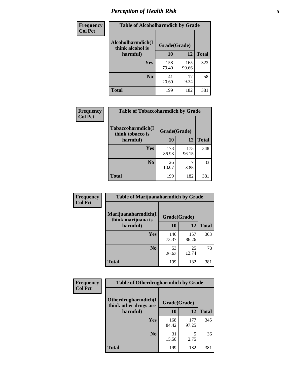# *Perception of Health Risk* **5**

| Frequency      | <b>Table of Alcoholharmdich by Grade</b> |              |              |              |  |
|----------------|------------------------------------------|--------------|--------------|--------------|--|
| <b>Col Pct</b> | Alcoholharmdich(I<br>think alcohol is    | Grade(Grade) |              |              |  |
|                | harmful)                                 | 10           | 12           | <b>Total</b> |  |
|                | <b>Yes</b>                               | 158<br>79.40 | 165<br>90.66 | 323          |  |
|                | N <sub>0</sub>                           | 41<br>20.60  | 17<br>9.34   | 58           |  |
|                | <b>Total</b>                             | 199          | 182          | 381          |  |

| Frequency      | <b>Table of Tobaccoharmdich by Grade</b> |              |              |              |  |
|----------------|------------------------------------------|--------------|--------------|--------------|--|
| <b>Col Pct</b> | Tobaccoharmdich(I<br>think tobacco is    | Grade(Grade) |              |              |  |
|                | harmful)                                 | 10           | 12           | <b>Total</b> |  |
|                | Yes                                      | 173<br>86.93 | 175<br>96.15 | 348          |  |
|                | N <sub>0</sub>                           | 26<br>13.07  | 3.85         | 33           |  |
|                | Total                                    | 199          | 182          | 381          |  |

| Frequency<br><b>Col Pct</b> | <b>Table of Marijuanaharmdich by Grade</b>                |              |              |              |  |  |
|-----------------------------|-----------------------------------------------------------|--------------|--------------|--------------|--|--|
|                             | Marijuanaharmdich(I<br>Grade(Grade)<br>think marijuana is |              |              |              |  |  |
|                             | harmful)                                                  | <b>10</b>    | 12           | <b>Total</b> |  |  |
|                             | Yes                                                       | 146<br>73.37 | 157<br>86.26 | 303          |  |  |
|                             | N <sub>0</sub>                                            | 53<br>26.63  | 25<br>13.74  | 78           |  |  |
|                             | <b>Total</b>                                              | 199          | 182          | 381          |  |  |

| Frequency      | <b>Table of Otherdrugharmdich by Grade</b>   |              |              |              |  |
|----------------|----------------------------------------------|--------------|--------------|--------------|--|
| <b>Col Pct</b> | Otherdrugharmdich(I<br>think other drugs are | Grade(Grade) |              |              |  |
|                | harmful)                                     | 10           | 12           | <b>Total</b> |  |
|                | Yes                                          | 168<br>84.42 | 177<br>97.25 | 345          |  |
|                | N <sub>0</sub>                               | 31<br>15.58  | 5<br>2.75    | 36           |  |
|                | <b>Total</b>                                 | 199          | 182          | 381          |  |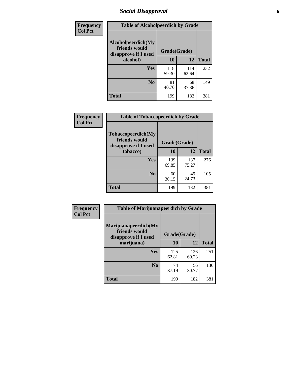# *Social Disapproval* **6**

| Frequency      | <b>Table of Alcoholpeerdich by Grade</b>                    |              |              |              |
|----------------|-------------------------------------------------------------|--------------|--------------|--------------|
| <b>Col Pct</b> | Alcoholpeerdich(My<br>friends would<br>disapprove if I used | Grade(Grade) |              |              |
|                | alcohol)                                                    | 10           | 12           | <b>Total</b> |
|                | <b>Yes</b>                                                  | 118<br>59.30 | 114<br>62.64 | 232          |
|                | N <sub>0</sub>                                              | 81<br>40.70  | 68<br>37.36  | 149          |
|                | <b>Total</b>                                                | 199          | 182          | 381          |

| <b>Frequency</b> |
|------------------|
| <b>Col Pct</b>   |

| <b>Table of Tobaccopeerdich by Grade</b>                            |              |              |              |  |
|---------------------------------------------------------------------|--------------|--------------|--------------|--|
| <b>Tobaccopeerdich</b> (My<br>friends would<br>disapprove if I used |              | Grade(Grade) |              |  |
| tobacco)                                                            | 10           | 12           | <b>Total</b> |  |
| Yes                                                                 | 139<br>69.85 | 137<br>75.27 | 276          |  |
| N <sub>0</sub>                                                      | 60<br>30.15  | 45<br>24.73  | 105          |  |
| <b>Total</b>                                                        | 199          | 182          | 381          |  |

| Frequency      | <b>Table of Marijuanapeerdich by Grade</b>                    |              |              |              |  |
|----------------|---------------------------------------------------------------|--------------|--------------|--------------|--|
| <b>Col Pct</b> | Marijuanapeerdich(My<br>friends would<br>disapprove if I used | Grade(Grade) |              |              |  |
|                | marijuana)                                                    | 10           | 12           | <b>Total</b> |  |
|                | <b>Yes</b>                                                    | 125<br>62.81 | 126<br>69.23 | 251          |  |
|                | N <sub>0</sub>                                                | 74<br>37.19  | 56<br>30.77  | 130          |  |
|                | <b>Total</b>                                                  | 199          | 182          | 381          |  |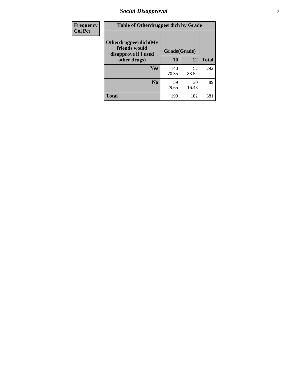# *Social Disapproval* **7**

| Frequency      | <b>Table of Otherdrugpeerdich by Grade</b>                    |              |              |              |  |
|----------------|---------------------------------------------------------------|--------------|--------------|--------------|--|
| <b>Col Pct</b> | Otherdrugpeerdich(My<br>friends would<br>disapprove if I used | Grade(Grade) |              |              |  |
|                | other drugs)                                                  | 10           | 12           | <b>Total</b> |  |
|                | Yes                                                           | 140<br>70.35 | 152<br>83.52 | 292          |  |
|                | N <sub>0</sub>                                                | 59<br>29.65  | 30<br>16.48  | 89           |  |
|                | <b>Total</b>                                                  | 199          | 182          | 381          |  |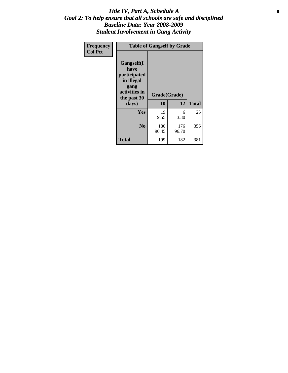### Title IV, Part A, Schedule A **8** *Goal 2: To help ensure that all schools are safe and disciplined Baseline Data: Year 2008-2009 Student Involvement in Gang Activity*

| Frequency      | <b>Table of Gangself by Grade</b>                                                                         |                    |              |              |
|----------------|-----------------------------------------------------------------------------------------------------------|--------------------|--------------|--------------|
| <b>Col Pct</b> | <b>Gangself</b> (I<br>have<br>participated<br>in illegal<br>gang<br>activities in<br>the past 30<br>days) | Grade(Grade)<br>10 | 12           | <b>Total</b> |
|                | Yes                                                                                                       | 19<br>9.55         | 6<br>3.30    | 25           |
|                | N <sub>0</sub>                                                                                            | 180<br>90.45       | 176<br>96.70 | 356          |
|                | <b>Total</b>                                                                                              | 199                | 182          | 381          |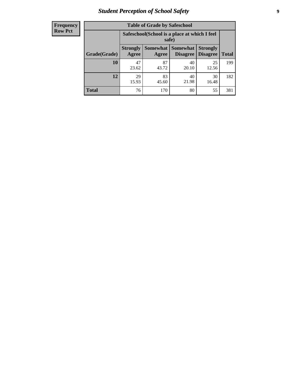# *Student Perception of School Safety* **9**

| <b>Frequency</b><br>Row Pct |
|-----------------------------|
|                             |

| <b>Table of Grade by Safeschool</b> |                                                                                                          |             |             |             |     |  |
|-------------------------------------|----------------------------------------------------------------------------------------------------------|-------------|-------------|-------------|-----|--|
|                                     | Safeschool (School is a place at which I feel<br>safe)                                                   |             |             |             |     |  |
| Grade(Grade)                        | Somewhat Somewhat<br><b>Strongly</b><br><b>Strongly</b><br><b>Disagree</b><br>Agree<br>Disagree<br>Agree |             |             |             |     |  |
| 10                                  | 47<br>23.62                                                                                              | 87<br>43.72 | 40<br>20.10 | 25<br>12.56 | 199 |  |
| 12                                  | 29<br>15.93                                                                                              | 83<br>45.60 | 40<br>21.98 | 30<br>16.48 | 182 |  |
| <b>Total</b>                        | 76                                                                                                       | 170         | 80          | 55          | 381 |  |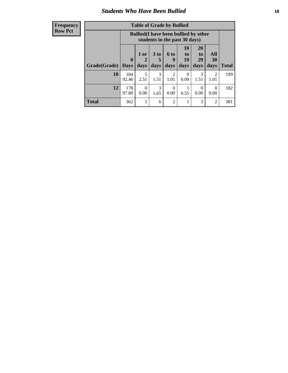### *Students Who Have Been Bullied* **10**

#### **Frequency Row Pct**

| <b>Table of Grade by Bullied</b> |                         |                                                                               |                              |                          |                        |                        |                          |              |
|----------------------------------|-------------------------|-------------------------------------------------------------------------------|------------------------------|--------------------------|------------------------|------------------------|--------------------------|--------------|
|                                  |                         | <b>Bullied</b> (I have been bullied by other<br>students in the past 30 days) |                              |                          |                        |                        |                          |              |
| Grade(Grade)                     | $\bf{0}$<br><b>Days</b> | 1 or<br>days                                                                  | 3 <sub>to</sub><br>5<br>days | <b>6 to</b><br>9<br>days | 10<br>to<br>19<br>days | 20<br>to<br>29<br>days | <b>All</b><br>30<br>days | <b>Total</b> |
| 10                               | 184<br>92.46            | 5<br>2.51                                                                     | 3<br>1.51                    | $\overline{2}$<br>1.01   | 0<br>0.00              | 3<br>1.51              | 2<br>1.01                | 199          |
| 12                               | 178<br>97.80            | $\Omega$<br>0.00                                                              | 3<br>1.65                    | $\Omega$<br>0.00         | 0.55                   | 0<br>0.00              | 0<br>0.00                | 182          |
| <b>Total</b>                     | 362                     | 5                                                                             | 6                            | $\overline{2}$           |                        | 3                      | $\overline{c}$           | 381          |

 $\blacksquare$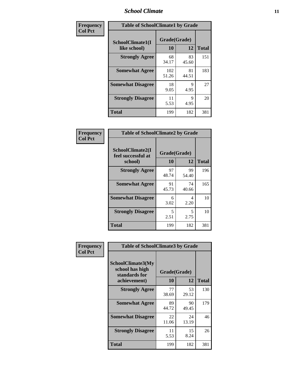### *School Climate* **11**

| Frequency      | <b>Table of SchoolClimate1 by Grade</b> |                    |             |              |  |  |
|----------------|-----------------------------------------|--------------------|-------------|--------------|--|--|
| <b>Col Pct</b> | SchoolClimate1(I<br>like school)        | Grade(Grade)<br>10 | 12          | <b>Total</b> |  |  |
|                | <b>Strongly Agree</b>                   | 68<br>34.17        | 83<br>45.60 | 151          |  |  |
|                | <b>Somewhat Agree</b>                   | 102<br>51.26       | 81<br>44.51 | 183          |  |  |
|                | <b>Somewhat Disagree</b>                | 18<br>9.05         | 9<br>4.95   | 27           |  |  |
|                | <b>Strongly Disagree</b>                | 11<br>5.53         | 9<br>4.95   | 20           |  |  |
|                | <b>Total</b>                            | 199                | 182         | 381          |  |  |

| <b>Frequency</b> | <b>Table of SchoolClimate2 by Grade</b> |              |             |              |  |  |
|------------------|-----------------------------------------|--------------|-------------|--------------|--|--|
| <b>Col Pct</b>   | SchoolClimate2(I<br>feel successful at  | Grade(Grade) |             |              |  |  |
|                  | school)                                 | 10           | 12          | <b>Total</b> |  |  |
|                  | <b>Strongly Agree</b>                   | 97<br>48.74  | 99<br>54.40 | 196          |  |  |
|                  | <b>Somewhat Agree</b>                   | 91<br>45.73  | 74<br>40.66 | 165          |  |  |
|                  | <b>Somewhat Disagree</b>                | 6<br>3.02    | 4<br>2.20   | 10           |  |  |
|                  | <b>Strongly Disagree</b>                | 5<br>2.51    | 5<br>2.75   | 10           |  |  |

**Total** 199 182 381

| Frequency      | <b>Table of SchoolClimate3 by Grade</b>               |             |              |              |  |
|----------------|-------------------------------------------------------|-------------|--------------|--------------|--|
| <b>Col Pct</b> | SchoolClimate3(My<br>school has high<br>standards for |             | Grade(Grade) |              |  |
|                | achievement)                                          | 10          | 12           | <b>Total</b> |  |
|                | <b>Strongly Agree</b>                                 | 77<br>38.69 | 53<br>29.12  | 130          |  |
|                | <b>Somewhat Agree</b>                                 | 89<br>44.72 | 90<br>49.45  | 179          |  |
|                | <b>Somewhat Disagree</b>                              | 22<br>11.06 | 24<br>13.19  | 46           |  |
|                | <b>Strongly Disagree</b>                              | 11<br>5.53  | 15<br>8.24   | 26           |  |
|                | Total                                                 | 199         | 182          | 381          |  |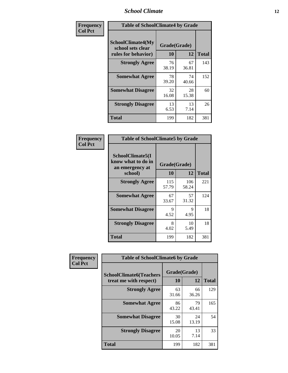### *School Climate* **12**

| Frequency      | <b>Table of SchoolClimate4 by Grade</b>                       |                    |             |              |
|----------------|---------------------------------------------------------------|--------------------|-------------|--------------|
| <b>Col Pct</b> | SchoolClimate4(My<br>school sets clear<br>rules for behavior) | Grade(Grade)<br>10 | 12          | <b>Total</b> |
|                | <b>Strongly Agree</b>                                         | 76<br>38.19        | 67<br>36.81 | 143          |
|                | <b>Somewhat Agree</b>                                         | 78<br>39.20        | 74<br>40.66 | 152          |
|                | <b>Somewhat Disagree</b>                                      | 32<br>16.08        | 28<br>15.38 | 60           |
|                | <b>Strongly Disagree</b>                                      | 13<br>6.53         | 13<br>7.14  | 26           |
|                | <b>Total</b>                                                  | 199                | 182         | 381          |

| <b>Table of SchoolClimate5 by Grade</b>                   |              |              |              |  |  |
|-----------------------------------------------------------|--------------|--------------|--------------|--|--|
| SchoolClimate5(I<br>know what to do in<br>an emergency at | Grade(Grade) |              |              |  |  |
| school)                                                   | 10           | 12           | <b>Total</b> |  |  |
| <b>Strongly Agree</b>                                     | 115<br>57.79 | 106<br>58.24 | 221          |  |  |
| <b>Somewhat Agree</b>                                     | 67<br>33.67  | 57<br>31.32  | 124          |  |  |
| <b>Somewhat Disagree</b>                                  | 9<br>4.52    | 9<br>4.95    | 18           |  |  |
| <b>Strongly Disagree</b>                                  | 8<br>4.02    | 10<br>5.49   | 18           |  |  |
| Total                                                     | 199          | 182          | 381          |  |  |

| Frequency      | <b>Table of SchoolClimate6 by Grade</b>                  |                    |             |              |
|----------------|----------------------------------------------------------|--------------------|-------------|--------------|
| <b>Col Pct</b> | <b>SchoolClimate6(Teachers</b><br>treat me with respect) | Grade(Grade)<br>10 | 12          | <b>Total</b> |
|                | <b>Strongly Agree</b>                                    | 63<br>31.66        | 66<br>36.26 | 129          |
|                | <b>Somewhat Agree</b>                                    | 86<br>43.22        | 79<br>43.41 | 165          |
|                | <b>Somewhat Disagree</b>                                 | 30<br>15.08        | 24<br>13.19 | 54           |
|                | <b>Strongly Disagree</b>                                 | 20<br>10.05        | 13<br>7.14  | 33           |
|                | Total                                                    | 199                | 182         | 381          |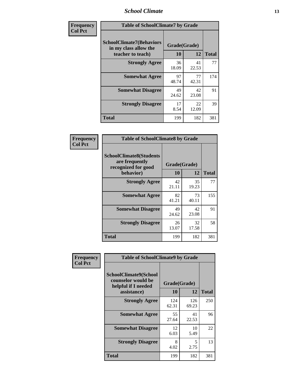### *School Climate* **13**

| Frequency      | <b>Table of SchoolClimate7 by Grade</b>                                       |                           |             |              |
|----------------|-------------------------------------------------------------------------------|---------------------------|-------------|--------------|
| <b>Col Pct</b> | <b>SchoolClimate7(Behaviors</b><br>in my class allow the<br>teacher to teach) | Grade(Grade)<br><b>10</b> | 12          | <b>Total</b> |
|                | <b>Strongly Agree</b>                                                         | 36<br>18.09               | 41<br>22.53 | 77           |
|                | <b>Somewhat Agree</b>                                                         | 97<br>48.74               | 77<br>42.31 | 174          |
|                | <b>Somewhat Disagree</b>                                                      | 49<br>24.62               | 42<br>23.08 | 91           |
|                | <b>Strongly Disagree</b>                                                      | 17<br>8.54                | 22<br>12.09 | 39           |
|                | <b>Total</b>                                                                  | 199                       | 182         | 381          |

| Frequency      | <b>Table of SchoolClimate8 by Grade</b>                                              |                    |             |              |
|----------------|--------------------------------------------------------------------------------------|--------------------|-------------|--------------|
| <b>Col Pct</b> | <b>SchoolClimate8(Students</b><br>are frequently<br>recognized for good<br>behavior) | Grade(Grade)<br>10 | 12          | <b>Total</b> |
|                | <b>Strongly Agree</b>                                                                | 42<br>21.11        | 35<br>19.23 | 77           |
|                | <b>Somewhat Agree</b>                                                                | 82<br>41.21        | 73<br>40.11 | 155          |
|                | <b>Somewhat Disagree</b>                                                             | 49<br>24.62        | 42<br>23.08 | 91           |
|                | <b>Strongly Disagree</b>                                                             | 26<br>13.07        | 32<br>17.58 | 58           |
|                | Total                                                                                | 199                | 182         | 381          |

| <b>Frequency</b> | <b>Table of SchoolClimate9 by Grade</b>                                                  |                    |              |              |
|------------------|------------------------------------------------------------------------------------------|--------------------|--------------|--------------|
| <b>Col Pct</b>   | <b>SchoolClimate9(School</b><br>counselor would be<br>helpful if I needed<br>assistance) | Grade(Grade)<br>10 | 12           | <b>Total</b> |
|                  | <b>Strongly Agree</b>                                                                    | 124<br>62.31       | 126<br>69.23 | 250          |
|                  | <b>Somewhat Agree</b>                                                                    | 55<br>27.64        | 41<br>22.53  | 96           |
|                  | <b>Somewhat Disagree</b>                                                                 | 12<br>6.03         | 10<br>5.49   | 22           |
|                  | <b>Strongly Disagree</b>                                                                 | 8<br>4.02          | 5<br>2.75    | 13           |
|                  | <b>Total</b>                                                                             | 199                | 182          | 381          |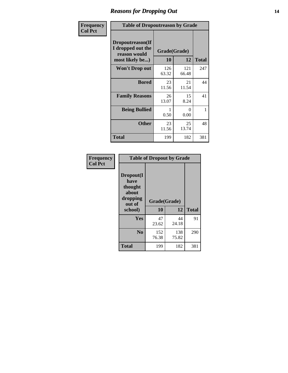### *Reasons for Dropping Out* **14**

| <b>Frequency</b> | <b>Table of Dropoutreason by Grade</b>                                   |                    |              |              |
|------------------|--------------------------------------------------------------------------|--------------------|--------------|--------------|
| <b>Col Pct</b>   | Dropoutreason(If<br>I dropped out the<br>reason would<br>most likely be) | Grade(Grade)<br>10 | 12           | <b>Total</b> |
|                  | Won't Drop out                                                           | 126<br>63.32       | 121<br>66.48 | 247          |
|                  | <b>Bored</b>                                                             | 23<br>11.56        | 21<br>11.54  | 44           |
|                  | <b>Family Reasons</b>                                                    | 26<br>13.07        | 15<br>8.24   | 41           |
|                  | <b>Being Bullied</b>                                                     | 0.50               | 0<br>0.00    | 1            |
|                  | <b>Other</b>                                                             | 23<br>11.56        | 25<br>13.74  | 48           |
|                  | Total                                                                    | 199                | 182          | 381          |

| Frequency      |                                                                        |                    | <b>Table of Dropout by Grade</b> |              |  |  |
|----------------|------------------------------------------------------------------------|--------------------|----------------------------------|--------------|--|--|
| <b>Col Pct</b> | Dropout(I<br>have<br>thought<br>about<br>dropping<br>out of<br>school) | Grade(Grade)<br>10 | 12                               | <b>Total</b> |  |  |
|                | Yes                                                                    | 47<br>23.62        | 44<br>24.18                      | 91           |  |  |
|                | N <sub>0</sub>                                                         | 152<br>76.38       | 138<br>75.82                     | 290          |  |  |
|                | <b>Total</b>                                                           | 199                | 182                              | 381          |  |  |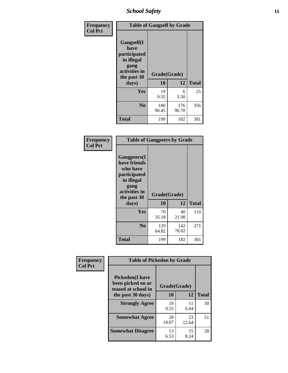*School Safety* **15**

| Frequency      | <b>Table of Gangself by Grade</b>                                                                 |                    |              |              |
|----------------|---------------------------------------------------------------------------------------------------|--------------------|--------------|--------------|
| <b>Col Pct</b> | Gangself(I<br>have<br>participated<br>in illegal<br>gang<br>activities in<br>the past 30<br>days) | Grade(Grade)<br>10 | 12           | <b>Total</b> |
|                | Yes                                                                                               | 19<br>9.55         | 6<br>3.30    | 25           |
|                | N <sub>0</sub>                                                                                    | 180<br>90.45       | 176<br>96.70 | 356          |
|                | <b>Total</b>                                                                                      | 199                | 182          | 381          |

| Frequency<br><b>Col Pct</b> | <b>Table of Gangpeers by Grade</b>                                                                                             |                    |              |              |  |
|-----------------------------|--------------------------------------------------------------------------------------------------------------------------------|--------------------|--------------|--------------|--|
|                             | <b>Gangpeers</b> (I<br>have friends<br>who have<br>participated<br>in illegal<br>gang<br>activities in<br>the past 30<br>days) | Grade(Grade)<br>10 | 12           | <b>Total</b> |  |
|                             | <b>Yes</b>                                                                                                                     | 70<br>35.18        | 40<br>21.98  | 110          |  |
|                             | N <sub>0</sub>                                                                                                                 | 129<br>64.82       | 142<br>78.02 | 271          |  |
|                             | <b>Total</b>                                                                                                                   | 199                | 182          | 381          |  |

| Frequency      | <b>Table of Pickedon by Grade</b>                                   |              |            |              |
|----------------|---------------------------------------------------------------------|--------------|------------|--------------|
| <b>Col Pct</b> | <b>Pickedon</b> (I have<br>been picked on or<br>teased at school in | Grade(Grade) |            |              |
|                | the past 30 days)                                                   | 10           | 12         | <b>Total</b> |
|                | <b>Strongly Agree</b>                                               | 19           | 11         | 30           |
|                |                                                                     | 9.55         | 6.04       |              |
|                | <b>Somewhat Agree</b>                                               | 28           | 23         | 51           |
|                |                                                                     | 14.07        | 12.64      |              |
|                | <b>Somewhat Disagree</b>                                            | 13<br>6.53   | 15<br>8.24 | 28           |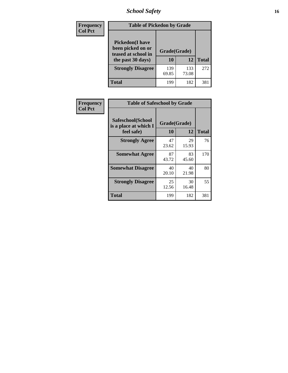# *School Safety* **16**

| Frequency      | <b>Table of Pickedon by Grade</b>                                                        |              |                    |     |  |
|----------------|------------------------------------------------------------------------------------------|--------------|--------------------|-----|--|
| <b>Col Pct</b> | <b>Pickedon</b> (I have<br>been picked on or<br>teased at school in<br>the past 30 days) | 10           | Grade(Grade)<br>12 |     |  |
|                | <b>Strongly Disagree</b>                                                                 | 139<br>69.85 | 133<br>73.08       | 272 |  |
|                | Total                                                                                    | 199          | 182                | 381 |  |

| Frequency      | <b>Table of Safeschool by Grade</b>                      |                    |             |              |  |  |  |  |  |
|----------------|----------------------------------------------------------|--------------------|-------------|--------------|--|--|--|--|--|
| <b>Col Pct</b> | Safeschool(School<br>is a place at which I<br>feel safe) | Grade(Grade)<br>10 | 12          | <b>Total</b> |  |  |  |  |  |
|                | <b>Strongly Agree</b>                                    | 47<br>23.62        | 29<br>15.93 | 76           |  |  |  |  |  |
|                | <b>Somewhat Agree</b>                                    | 87<br>43.72        | 83<br>45.60 | 170          |  |  |  |  |  |
|                | <b>Somewhat Disagree</b>                                 | 40<br>20.10        | 40<br>21.98 | 80           |  |  |  |  |  |
|                | <b>Strongly Disagree</b>                                 | 25<br>12.56        | 30<br>16.48 | 55           |  |  |  |  |  |
|                | Total                                                    | 199                | 182         | 381          |  |  |  |  |  |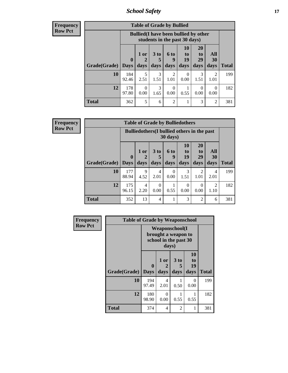*School Safety* **17**

**Frequency Row Pct**

| <b>Table of Grade by Bullied</b> |              |                                                                               |                              |                   |                        |                        |                          |              |  |  |
|----------------------------------|--------------|-------------------------------------------------------------------------------|------------------------------|-------------------|------------------------|------------------------|--------------------------|--------------|--|--|
|                                  |              | <b>Bullied</b> (I have been bullied by other<br>students in the past 30 days) |                              |                   |                        |                        |                          |              |  |  |
| <b>Grade</b> (Grade)   Days      | $\bf{0}$     | $1$ or<br>2<br>days                                                           | 3 <sub>to</sub><br>5<br>days | 6 to<br>9<br>days | 10<br>to<br>19<br>days | 20<br>to<br>29<br>days | All<br><b>30</b><br>days | <b>Total</b> |  |  |
| 10                               | 184<br>92.46 | 5<br>2.51                                                                     | 3<br>1.51                    | 2<br>1.01         | 0<br>0.00              | 3<br>1.51              | $\mathcal{D}$<br>1.01    | 199          |  |  |
| 12                               | 178<br>97.80 | 0<br>0.00                                                                     | 3<br>1.65                    | 0<br>0.00         | 0.55                   | $\Omega$<br>0.00       | $\Omega$<br>0.00         | 182          |  |  |
| Total                            | 362          | 5                                                                             | 6                            | $\overline{c}$    | 1                      | 3                      | 2                        | 381          |  |  |

| <b>Table of Grade by Bulliedothers</b> |                             |                                                                |                              |                   |                        |                        |                        |              |  |
|----------------------------------------|-----------------------------|----------------------------------------------------------------|------------------------------|-------------------|------------------------|------------------------|------------------------|--------------|--|
|                                        |                             | <b>Bulliedothers</b> (I bullied others in the past<br>30 days) |                              |                   |                        |                        |                        |              |  |
| Grade(Grade)                           | $\mathbf{0}$<br><b>Days</b> | 1 or<br>days                                                   | 3 <sub>to</sub><br>5<br>days | 6 to<br>9<br>days | 10<br>to<br>19<br>days | 20<br>to<br>29<br>days | All<br>30<br>days      | <b>Total</b> |  |
| 10                                     | 177<br>88.94                | 9<br>4.52                                                      | 4<br>2.01                    | 0<br>0.00         | 3<br>1.51              | $\overline{2}$<br>1.01 | 4<br>2.01              | 199          |  |
| 12                                     | 175<br>96.15                | $\overline{4}$<br>2.20                                         | $\Omega$<br>0.00             | 0.55              | $\Omega$<br>0.00       | $\Omega$<br>0.00       | $\mathfrak{D}$<br>1.10 | 182          |  |
| <b>Total</b>                           | 352                         | 13                                                             | $\overline{4}$               |                   | 3                      | $\overline{2}$         | 6                      | 381          |  |

| Frequency      | <b>Table of Grade by Weaponschool</b> |                                                                |                   |                              |                        |              |  |  |  |
|----------------|---------------------------------------|----------------------------------------------------------------|-------------------|------------------------------|------------------------|--------------|--|--|--|
| <b>Row Pct</b> |                                       | Weaponschool(I<br>brought a weapon to<br>school in the past 30 |                   |                              |                        |              |  |  |  |
|                | Grade(Grade)                          | $\boldsymbol{0}$<br><b>Days</b>                                | 1 or<br>2<br>days | 3 <sub>to</sub><br>5<br>days | 10<br>to<br>19<br>days | <b>Total</b> |  |  |  |
|                | 10                                    | 194<br>97.49                                                   | 4<br>2.01         | 0.50                         | 0<br>0.00              | 199          |  |  |  |
|                | 12                                    | 180<br>98.90                                                   | 0<br>0.00         | 0.55                         | 0.55                   | 182          |  |  |  |
|                | <b>Total</b>                          | 374                                                            | $\overline{4}$    | $\overline{2}$               | 1                      | 381          |  |  |  |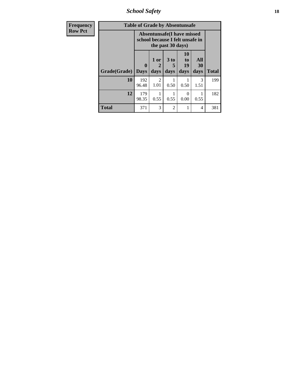*School Safety* **18**

| <b>Frequency</b> | <b>Table of Grade by Absentunsafe</b> |                                                                      |                              |                   |                        |                   |              |  |  |  |
|------------------|---------------------------------------|----------------------------------------------------------------------|------------------------------|-------------------|------------------------|-------------------|--------------|--|--|--|
| <b>Row Pct</b>   |                                       | <b>Absentunsafe(I have missed</b><br>school because I felt unsafe in |                              |                   |                        |                   |              |  |  |  |
|                  | Grade(Grade)                          | 0<br><b>Days</b>                                                     | 1 or<br>$\mathbf{2}$<br>days | 3 to<br>5<br>days | 10<br>to<br>19<br>days | All<br>30<br>days | <b>Total</b> |  |  |  |
|                  | 10                                    | 192<br>96.48                                                         | 2<br>1.01                    | 0.50              | 0.50                   | 3<br>1.51         | 199          |  |  |  |
|                  | 12                                    | 179<br>98.35                                                         | 0.55                         | 0.55              | ∩<br>0.00              | 0.55              | 182          |  |  |  |
|                  | Total                                 | 371                                                                  | 3                            | $\mathfrak{D}$    | 1                      | 4                 | 381          |  |  |  |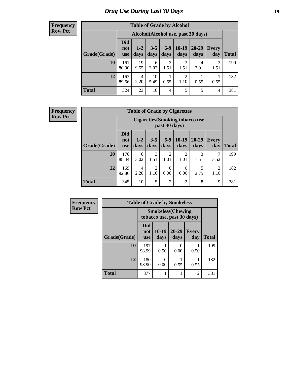# *Drug Use During Last 30 Days* **19**

#### **Frequency Row Pct**

| <b>Table of Grade by Alcohol</b> |                                 |                                    |                 |               |                 |                   |                     |              |  |  |
|----------------------------------|---------------------------------|------------------------------------|-----------------|---------------|-----------------|-------------------|---------------------|--------------|--|--|
|                                  |                                 | Alcohol(Alcohol use, past 30 days) |                 |               |                 |                   |                     |              |  |  |
| Grade(Grade)                     | <b>Did</b><br>not<br><b>use</b> | $1 - 2$<br>days                    | $3 - 5$<br>days | $6-9$<br>days | $10-19$<br>days | $20 - 29$<br>days | <b>Every</b><br>day | <b>Total</b> |  |  |
| 10                               | 161<br>80.90                    | 19<br>9.55                         | 6<br>3.02       | 3<br>1.51     | 3<br>1.51       | 4<br>2.01         | 3<br>1.51           | 199          |  |  |
| 12                               | 163<br>89.56                    | 4<br>2.20                          | 10<br>5.49      | 1<br>0.55     | 2<br>1.10       | 0.55              | 0.55                | 182          |  |  |
| <b>Total</b>                     | 324                             | 23                                 | 16              | 4             | 5               | 5                 | $\overline{4}$      | 381          |  |  |

| <b>Table of Grade by Cigarettes</b> |                                 |                                                         |                        |                        |                  |               |                        |       |  |  |
|-------------------------------------|---------------------------------|---------------------------------------------------------|------------------------|------------------------|------------------|---------------|------------------------|-------|--|--|
|                                     |                                 | <b>Cigarettes(Smoking tobacco use,</b><br>past 30 days) |                        |                        |                  |               |                        |       |  |  |
| Grade(Grade)                        | <b>Did</b><br>not<br><b>use</b> | $1 - 2$<br>days                                         | $3 - 5$<br>days        | $6-9$<br>days          | $10-19$<br>days  | 20-29<br>days | <b>Every</b><br>day    | Total |  |  |
| 10                                  | 176<br>88.44                    | 6<br>3.02                                               | 3<br>1.51              | $\overline{2}$<br>1.01 | 2<br>1.01        | 3<br>1.51     | 7<br>3.52              | 199   |  |  |
| 12                                  | 169<br>92.86                    | 4<br>2.20                                               | $\overline{2}$<br>1.10 | $\theta$<br>0.00       | $\Omega$<br>0.00 | 5<br>2.75     | $\overline{2}$<br>1.10 | 182   |  |  |
| <b>Total</b>                        | 345                             | 10                                                      | 5                      | $\overline{2}$         | $\overline{2}$   | 8             | 9                      | 381   |  |  |

| Frequency      | <b>Table of Grade by Smokeless</b> |                                                         |                  |                           |                     |              |  |  |  |
|----------------|------------------------------------|---------------------------------------------------------|------------------|---------------------------|---------------------|--------------|--|--|--|
| <b>Row Pct</b> |                                    | <b>Smokeless</b> (Chewing<br>tobacco use, past 30 days) |                  |                           |                     |              |  |  |  |
|                | Grade(Grade)                       | Did<br>not<br><b>use</b>                                | 10-19<br>days    | 20-29<br>days             | <b>Every</b><br>day | <b>Total</b> |  |  |  |
|                | 10                                 | 197<br>98.99                                            | 0.50             | $\mathbf{\Omega}$<br>0.00 | 0.50                | 199          |  |  |  |
|                | 12                                 | 180<br>98.90                                            | $\Omega$<br>0.00 | 0.55                      | 0.55                | 182          |  |  |  |
|                | <b>Total</b>                       | 377                                                     |                  |                           | $\overline{c}$      | 381          |  |  |  |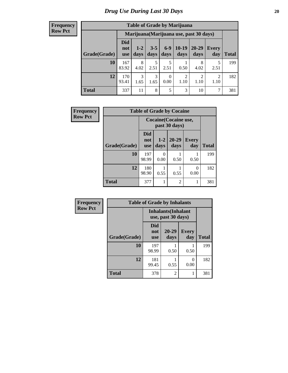| <b>Table of Grade by Marijuana</b> |                                 |                                         |                 |                  |                        |                        |                        |       |  |  |
|------------------------------------|---------------------------------|-----------------------------------------|-----------------|------------------|------------------------|------------------------|------------------------|-------|--|--|
|                                    |                                 | Marijuana (Marijuana use, past 30 days) |                 |                  |                        |                        |                        |       |  |  |
| Grade(Grade)                       | <b>Did</b><br>not<br><b>use</b> | $1 - 2$<br>days                         | $3 - 5$<br>days | $6 - 9$<br>days  | $10-19$<br>days        | 20-29<br>days          | Every<br>day           | Total |  |  |
| 10                                 | 167<br>83.92                    | 8<br>4.02                               | 5<br>2.51       | 5<br>2.51        | 0.50                   | 8<br>4.02              | 5<br>2.51              | 199   |  |  |
| 12                                 | 170<br>93.41                    | 3<br>1.65                               | 3<br>1.65       | $\theta$<br>0.00 | $\overline{c}$<br>1.10 | $\mathfrak{D}$<br>1.10 | $\overline{2}$<br>1.10 | 182   |  |  |
| <b>Total</b>                       | 337                             | 11                                      | 8               | 5                | 3                      | 10                     | 7                      | 381   |  |  |

| <b>Frequency</b> | <b>Table of Grade by Cocaine</b> |                          |                                        |               |                  |              |  |  |  |
|------------------|----------------------------------|--------------------------|----------------------------------------|---------------|------------------|--------------|--|--|--|
| <b>Row Pct</b>   |                                  |                          | Cocaine (Cocaine use,<br>past 30 days) |               |                  |              |  |  |  |
|                  | Grade(Grade)                     | <b>Did</b><br>not<br>use | $1-2$<br>days                          | 20-29<br>days | Every<br>day     | <b>Total</b> |  |  |  |
|                  | 10                               | 197<br>98.99             | $\Omega$<br>0.00                       | 0.50          | 0.50             | 199          |  |  |  |
|                  | 12                               | 180<br>98.90             | 0.55                                   | 0.55          | $\Omega$<br>0.00 | 182          |  |  |  |
|                  | <b>Total</b>                     | 377                      |                                        | 2             |                  | 381          |  |  |  |

| Frequency      | <b>Table of Grade by Inhalants</b> |                                                  |                |                     |              |  |  |  |  |  |
|----------------|------------------------------------|--------------------------------------------------|----------------|---------------------|--------------|--|--|--|--|--|
| <b>Row Pct</b> |                                    | <b>Inhalants</b> (Inhalant<br>use, past 30 days) |                |                     |              |  |  |  |  |  |
|                | Grade(Grade)                       | <b>Did</b><br>not<br><b>use</b>                  | 20-29<br>days  | <b>Every</b><br>day | <b>Total</b> |  |  |  |  |  |
|                | 10                                 | 197<br>98.99                                     | 0.50           | 0.50                | 199          |  |  |  |  |  |
|                | 12                                 | 181<br>99.45                                     | 0.55           | 0<br>0.00           | 182          |  |  |  |  |  |
|                | <b>Total</b>                       | 378                                              | $\overline{2}$ |                     | 381          |  |  |  |  |  |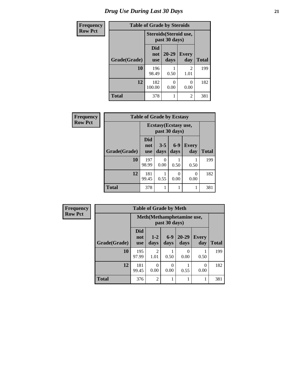| <b>Frequency</b> | <b>Table of Grade by Steroids</b> |                          |                                         |                        |              |  |
|------------------|-----------------------------------|--------------------------|-----------------------------------------|------------------------|--------------|--|
| <b>Row Pct</b>   |                                   |                          | Steroids (Steroid use,<br>past 30 days) |                        |              |  |
|                  | Grade(Grade)                      | Did<br>not<br><b>use</b> | $20 - 29$<br>days                       | Every<br>day           | <b>Total</b> |  |
|                  | 10                                | 196<br>98.49             | 0.50                                    | $\mathfrak{D}$<br>1.01 | 199          |  |
|                  | 12                                | 182<br>100.00            | 0<br>0.00                               | 0.00                   | 182          |  |
|                  | <b>Total</b>                      | 378                      |                                         | $\mathfrak{D}$         | 381          |  |

| Frequency      | <b>Table of Grade by Ecstasy</b> |                                 |                       |               |                     |              |
|----------------|----------------------------------|---------------------------------|-----------------------|---------------|---------------------|--------------|
| <b>Row Pct</b> |                                  |                                 | Ecstasy (Ecstasy use, | past 30 days) |                     |              |
|                | Grade(Grade)                     | <b>Did</b><br>not<br><b>use</b> | $3 - 5$<br>days       | $6-9$<br>days | <b>Every</b><br>day | <b>Total</b> |
|                | 10                               | 197<br>98.99                    | 0<br>0.00             | 0.50          | 0.50                | 199          |
|                | 12                               | 181<br>99.45                    | 0.55                  | 0<br>0.00     | $\theta$<br>0.00    | 182          |
|                | <b>Total</b>                     | 378                             | 1                     |               |                     | 381          |

| Frequency      | <b>Table of Grade by Meth</b> |                                             |                  |               |                   |                     |              |
|----------------|-------------------------------|---------------------------------------------|------------------|---------------|-------------------|---------------------|--------------|
| <b>Row Pct</b> |                               | Meth (Methamphetamine use,<br>past 30 days) |                  |               |                   |                     |              |
|                | Grade(Grade)                  | <b>Did</b><br>not<br><b>use</b>             | $1 - 2$<br>days  | $6-9$<br>days | $20 - 29$<br>days | <b>Every</b><br>day | <b>Total</b> |
|                | 10                            | 195<br>97.99                                | 2<br>1.01        | 0.50          | 0.00              | 0.50                | 199          |
|                | 12                            | 181<br>99.45                                | $\Omega$<br>0.00 | 0<br>0.00     | 0.55              | 0.00                | 182          |
|                | <b>Total</b>                  | 376                                         | $\overline{2}$   |               |                   |                     | 381          |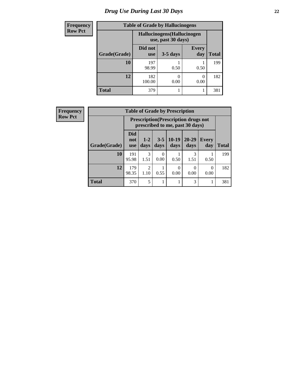# *Drug Use During Last 30 Days* **22**

| <b>Frequency</b> | <b>Table of Grade by Hallucinogens</b> |                                                   |            |                     |              |
|------------------|----------------------------------------|---------------------------------------------------|------------|---------------------|--------------|
| <b>Row Pct</b>   |                                        | Hallucinogens (Hallucinogen<br>use, past 30 days) |            |                     |              |
|                  | Grade(Grade)                           | Did not<br><b>use</b>                             | $3-5$ days | <b>Every</b><br>day | <b>Total</b> |
|                  | 10                                     | 197<br>98.99                                      | 0.50       | 0.50                | 199          |
|                  | 12                                     | 182<br>100.00                                     | 0.00       | 0.00                | 182          |
|                  | <b>Total</b>                           | 379                                               |            |                     | 381          |

| Frequency      | <b>Table of Grade by Prescription</b> |                          |                        |                 |                 |                                                                                |                  |              |
|----------------|---------------------------------------|--------------------------|------------------------|-----------------|-----------------|--------------------------------------------------------------------------------|------------------|--------------|
| <b>Row Pct</b> |                                       |                          |                        |                 |                 | <b>Prescription</b> (Prescription drugs not<br>prescribed to me, past 30 days) |                  |              |
|                | Grade(Grade)                          | <b>Did</b><br>not<br>use | $1 - 2$<br>days        | $3 - 5$<br>days | $10-19$<br>days | $20 - 29$<br>days                                                              | Every<br>day     | <b>Total</b> |
|                | 10                                    | 191<br>95.98             | 3<br>1.51              | 0<br>0.00       | 0.50            | 3<br>1.51                                                                      | 0.50             | 199          |
|                | 12                                    | 179<br>98.35             | $\mathfrak{D}$<br>1.10 | 0.55            | 0<br>0.00       | 0.00                                                                           | $\Omega$<br>0.00 | 182          |
|                | <b>Total</b>                          | 370                      | 5                      |                 |                 | 3                                                                              | т                | 381          |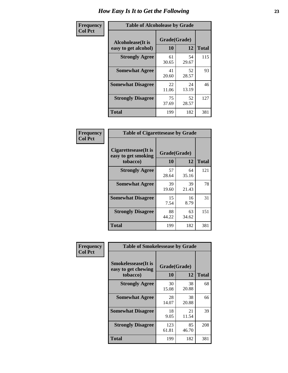| Frequency      | <b>Table of Alcoholease by Grade</b>              |                          |             |              |
|----------------|---------------------------------------------------|--------------------------|-------------|--------------|
| <b>Col Pct</b> | <b>Alcoholease</b> (It is<br>easy to get alcohol) | Grade(Grade)<br>10<br>12 |             | <b>Total</b> |
|                | <b>Strongly Agree</b>                             | 61<br>30.65              | 54<br>29.67 | 115          |
|                | <b>Somewhat Agree</b>                             | 41<br>20.60              | 52<br>28.57 | 93           |
|                | <b>Somewhat Disagree</b>                          | 22<br>11.06              | 24<br>13.19 | 46           |
|                | <b>Strongly Disagree</b>                          | 75<br>37.69              | 52<br>28.57 | 127          |
|                | <b>Total</b>                                      | 199                      | 182         | 381          |

| Frequency      | <b>Table of Cigarettesease by Grade</b>                  |                    |             |              |
|----------------|----------------------------------------------------------|--------------------|-------------|--------------|
| <b>Col Pct</b> | Cigarettesease (It is<br>easy to get smoking<br>tobacco) | Grade(Grade)<br>10 | 12          | <b>Total</b> |
|                | <b>Strongly Agree</b>                                    | 57<br>28.64        | 64<br>35.16 | 121          |
|                | <b>Somewhat Agree</b>                                    | 39<br>19.60        | 39<br>21.43 | 78           |
|                | <b>Somewhat Disagree</b>                                 | 15<br>7.54         | 16<br>8.79  | 31           |
|                | <b>Strongly Disagree</b>                                 | 88<br>44.22        | 63<br>34.62 | 151          |
|                | <b>Total</b>                                             | 199                | 182         | 381          |

| Frequency      | <b>Table of Smokelessease by Grade</b>                         |                    |             |              |  |  |
|----------------|----------------------------------------------------------------|--------------------|-------------|--------------|--|--|
| <b>Col Pct</b> | <b>Smokelessease</b> (It is<br>easy to get chewing<br>tobacco) | Grade(Grade)<br>10 | 12          | <b>Total</b> |  |  |
|                | <b>Strongly Agree</b>                                          | 30<br>15.08        | 38<br>20.88 | 68           |  |  |
|                | <b>Somewhat Agree</b>                                          | 28<br>14.07        | 38<br>20.88 | 66           |  |  |
|                | <b>Somewhat Disagree</b>                                       | 18<br>9.05         | 21<br>11.54 | 39           |  |  |
|                | <b>Strongly Disagree</b>                                       | 123<br>61.81       | 85<br>46.70 | 208          |  |  |
|                | <b>Total</b>                                                   | 199                | 182         | 381          |  |  |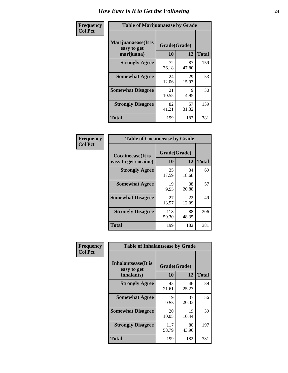| Frequency      | <b>Table of Marijuanaease by Grade</b>           |                    |             |              |  |
|----------------|--------------------------------------------------|--------------------|-------------|--------------|--|
| <b>Col Pct</b> | Marijuanaease(It is<br>easy to get<br>marijuana) | Grade(Grade)<br>10 | 12          | <b>Total</b> |  |
|                | <b>Strongly Agree</b>                            | 72<br>36.18        | 87<br>47.80 | 159          |  |
|                | <b>Somewhat Agree</b>                            | 24<br>12.06        | 29<br>15.93 | 53           |  |
|                | <b>Somewhat Disagree</b>                         | 21<br>10.55        | 9<br>4.95   | 30           |  |
|                | <b>Strongly Disagree</b>                         | 82<br>41.21        | 57<br>31.32 | 139          |  |
|                | Total                                            | 199                | 182         | 381          |  |

| <b>Table of Cocaineease by Grade</b>      |                    |              |     |  |  |  |
|-------------------------------------------|--------------------|--------------|-----|--|--|--|
| Cocaineease(It is<br>easy to get cocaine) | Grade(Grade)<br>10 | <b>Total</b> |     |  |  |  |
| <b>Strongly Agree</b>                     | 35<br>17.59        | 34<br>18.68  | 69  |  |  |  |
| <b>Somewhat Agree</b>                     | 19<br>9.55         | 38<br>20.88  | 57  |  |  |  |
| <b>Somewhat Disagree</b>                  | 27<br>13.57        | 22<br>12.09  | 49  |  |  |  |
| <b>Strongly Disagree</b>                  | 118<br>59.30       | 88<br>48.35  | 206 |  |  |  |
| <b>Total</b>                              | 199                | 182          | 381 |  |  |  |

| Frequency      | <b>Table of Inhalantsease by Grade</b>                   |                    |             |              |
|----------------|----------------------------------------------------------|--------------------|-------------|--------------|
| <b>Col Pct</b> | <b>Inhalantsease</b> (It is<br>easy to get<br>inhalants) | Grade(Grade)<br>10 | 12          | <b>Total</b> |
|                | <b>Strongly Agree</b>                                    | 43<br>21.61        | 46<br>25.27 | 89           |
|                | <b>Somewhat Agree</b>                                    | 19<br>9.55         | 37<br>20.33 | 56           |
|                | <b>Somewhat Disagree</b>                                 | 20<br>10.05        | 19<br>10.44 | 39           |
|                | <b>Strongly Disagree</b>                                 | 117<br>58.79       | 80<br>43.96 | 197          |
|                | <b>Total</b>                                             | 199                | 182         | 381          |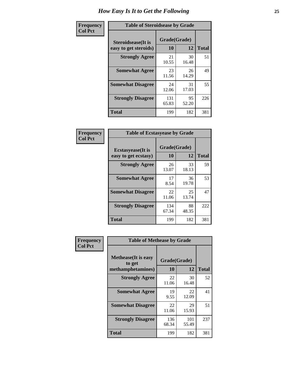| Frequency      | <b>Table of Steroidsease by Grade</b>               |                          |             |              |
|----------------|-----------------------------------------------------|--------------------------|-------------|--------------|
| <b>Col Pct</b> | <b>Steroidsease</b> (It is<br>easy to get steroids) | Grade(Grade)<br>10<br>12 |             | <b>Total</b> |
|                | <b>Strongly Agree</b>                               | 21<br>10.55              | 30<br>16.48 | 51           |
|                | <b>Somewhat Agree</b>                               | 23<br>11.56              | 26<br>14.29 | 49           |
|                | <b>Somewhat Disagree</b>                            | 24<br>12.06              | 31<br>17.03 | 55           |
|                | <b>Strongly Disagree</b>                            | 131<br>65.83             | 95<br>52.20 | 226          |
|                | <b>Total</b>                                        | 199                      | 182         | 381          |

| Frequency      | <b>Table of Ecstasyease by Grade</b>              |                    |             |              |  |  |  |
|----------------|---------------------------------------------------|--------------------|-------------|--------------|--|--|--|
| <b>Col Pct</b> | <b>Ecstasyease</b> (It is<br>easy to get ecstasy) | Grade(Grade)<br>10 | 12          | <b>Total</b> |  |  |  |
|                | <b>Strongly Agree</b>                             | 26<br>13.07        | 33<br>18.13 | 59           |  |  |  |
|                | <b>Somewhat Agree</b>                             | 17<br>8.54         | 36<br>19.78 | 53           |  |  |  |
|                | <b>Somewhat Disagree</b>                          | 22<br>11.06        | 25<br>13.74 | 47           |  |  |  |
|                | <b>Strongly Disagree</b>                          | 134<br>67.34       | 88<br>48.35 | 222          |  |  |  |
|                | Total                                             | 199                | 182         | 381          |  |  |  |

| Frequency      | <b>Table of Methease by Grade</b>                          |                    |              |              |
|----------------|------------------------------------------------------------|--------------------|--------------|--------------|
| <b>Col Pct</b> | <b>Methease</b> (It is easy<br>to get<br>methamphetamines) | Grade(Grade)<br>10 | 12           | <b>Total</b> |
|                | <b>Strongly Agree</b>                                      | 22<br>11.06        | 30<br>16.48  | 52           |
|                | <b>Somewhat Agree</b>                                      | 19<br>9.55         | 22<br>12.09  | 41           |
|                | <b>Somewhat Disagree</b>                                   | 22<br>11.06        | 29<br>15.93  | 51           |
|                | <b>Strongly Disagree</b>                                   | 136<br>68.34       | 101<br>55.49 | 237          |
|                | Total                                                      | 199                | 182          | 381          |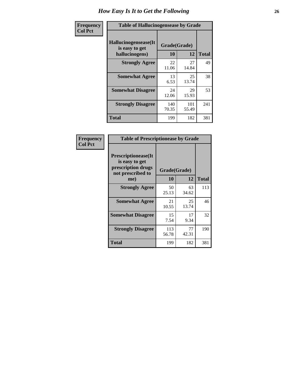| <b>Frequency</b> | <b>Table of Hallucinogensease by Grade</b>               |                    |              |              |  |  |
|------------------|----------------------------------------------------------|--------------------|--------------|--------------|--|--|
| <b>Col Pct</b>   | Hallucinogensease(It<br>is easy to get<br>hallucinogens) | Grade(Grade)<br>10 | 12           | <b>Total</b> |  |  |
|                  | <b>Strongly Agree</b>                                    | 22<br>11.06        | 27<br>14.84  | 49           |  |  |
|                  | <b>Somewhat Agree</b>                                    | 13<br>6.53         | 25<br>13.74  | 38           |  |  |
|                  | <b>Somewhat Disagree</b>                                 | 24<br>12.06        | 29<br>15.93  | 53           |  |  |
|                  | <b>Strongly Disagree</b>                                 | 140<br>70.35       | 101<br>55.49 | 241          |  |  |
|                  | <b>Total</b>                                             | 199                | 182          | 381          |  |  |

| Frequency<br>Col Pct |
|----------------------|
|                      |

| <b>Table of Prescriptionease by Grade</b>                                                |              |              |              |
|------------------------------------------------------------------------------------------|--------------|--------------|--------------|
| <b>Prescriptionease</b> (It<br>is easy to get<br>prescription drugs<br>not prescribed to |              | Grade(Grade) |              |
| me)                                                                                      | 10           | 12           | <b>Total</b> |
| <b>Strongly Agree</b>                                                                    | 50<br>25.13  | 63<br>34.62  | 113          |
| <b>Somewhat Agree</b>                                                                    | 21<br>10.55  | 25<br>13.74  | 46           |
| <b>Somewhat Disagree</b>                                                                 | 15<br>7.54   | 17<br>9.34   | 32           |
| <b>Strongly Disagree</b>                                                                 | 113<br>56.78 | 77<br>42.31  | 190          |
| Total                                                                                    | 199          | 182          | 381          |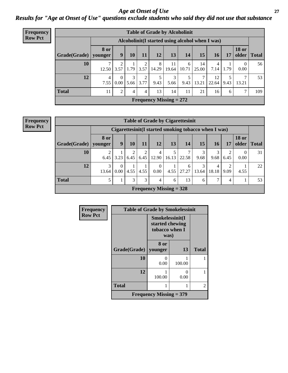*Age at Onset of Use* **27** *Results for "Age at Onset of Use" questions exclude students who said they did not use that substance*

| <b>Frequency</b> | <b>Table of Grade by Alcoholinit</b> |                        |                  |                |           |            |                                                  |            |             |             |           |                       |              |
|------------------|--------------------------------------|------------------------|------------------|----------------|-----------|------------|--------------------------------------------------|------------|-------------|-------------|-----------|-----------------------|--------------|
| <b>Row Pct</b>   |                                      |                        |                  |                |           |            | Alcoholinit (I started using alcohol when I was) |            |             |             |           |                       |              |
|                  | Grade(Grade)                         | <b>8 or</b><br>younger | 9                | 10             | 11        | 12         | 13                                               | 14         | 15          | 16          | 17        | <b>18 or</b><br>older | <b>Total</b> |
|                  | 10                                   | 12.50                  | 2<br>3.57        | 1.79           | 3.57      | 8<br>14.29 | 11<br>19.64                                      | 6<br>10.71 | 14<br>25.00 | 4<br>7.14   | 1.79      | 0.00                  | 56           |
|                  | 12                                   | $\overline{4}$<br>7.55 | $\Omega$<br>0.00 | 3<br>5.66      | 2<br>3.77 | 5<br>9.43  | 3<br>5.66                                        | 9.43       | ⇁<br>13.21  | 12<br>22.64 | 5<br>9.43 | 13.21                 | 53           |
|                  | <b>Total</b>                         | 11                     | $\overline{c}$   | $\overline{4}$ | 4         | 13         | 14                                               | 11         | 21          | 16          | 6         | ⇁                     | 109          |
|                  |                                      |                        |                  |                |           |            | Frequency Missing $= 272$                        |            |             |             |           |                       |              |

|              | <b>Table of Grade by Cigarettesinit</b>                                                                                                                 |                                                                                           |           |                        |                           |            |                                                       |           |           |           |      |    |
|--------------|---------------------------------------------------------------------------------------------------------------------------------------------------------|-------------------------------------------------------------------------------------------|-----------|------------------------|---------------------------|------------|-------------------------------------------------------|-----------|-----------|-----------|------|----|
|              |                                                                                                                                                         |                                                                                           |           |                        |                           |            | Cigarettesinit (I started smoking tobacco when I was) |           |           |           |      |    |
| Grade(Grade) | <b>8 or</b><br>younger                                                                                                                                  | <b>18 or</b><br>older   Total<br>13<br>15<br>10<br>12<br><b>16</b><br>9<br>11<br>14<br>17 |           |                        |                           |            |                                                       |           |           |           |      |    |
| 10           | 6.45                                                                                                                                                    | 3.23                                                                                      | 2<br>6.45 | $\overline{2}$<br>6.45 | 4<br>12.90                | 5<br>16.13 | 22.58                                                 | 3<br>9.68 | 3<br>9.68 | 2<br>6.45 | 0.00 | 31 |
| 12           | 3<br>22<br>2<br>$\theta$<br>$\Omega$<br>6<br>$\overline{4}$<br>0.00<br>27.27<br>0.00<br>4.55<br>18.18<br>9.09<br>4.55<br>4.55<br>13.64<br>13.64<br>4.55 |                                                                                           |           |                        |                           |            |                                                       |           |           |           |      |    |
| <b>Total</b> | 5                                                                                                                                                       |                                                                                           | 3         | 3                      | 4                         | 6          | 13                                                    | 6         | 7         | 4         |      | 53 |
|              |                                                                                                                                                         |                                                                                           |           |                        | Frequency Missing $=$ 328 |            |                                                       |           |           |           |      |    |

| Frequency      | <b>Table of Grade by Smokelessinit</b> |                                                              |        |              |
|----------------|----------------------------------------|--------------------------------------------------------------|--------|--------------|
| <b>Row Pct</b> |                                        | Smokelessinit(I<br>started chewing<br>tobacco when I<br>was) |        |              |
|                | Grade(Grade)                           | 8 or<br>younger                                              | 13     | <b>Total</b> |
|                | 10                                     | 0.00                                                         | 100.00 |              |
|                | 12                                     | 100.00                                                       | 0.00   |              |
|                | <b>Total</b>                           |                                                              |        | 2            |
|                |                                        | Frequency Missing $=$ 379                                    |        |              |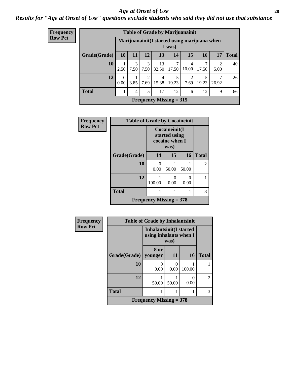#### *Age at Onset of Use* **28**

*Results for "Age at Onset of Use" questions exclude students who said they did not use that substance*

| <b>Frequency</b> |              |                  |                |                        | <b>Table of Grade by Marijuanainit</b> |            |                        |            |                                                                                |              |  |  |  |  |  |
|------------------|--------------|------------------|----------------|------------------------|----------------------------------------|------------|------------------------|------------|--------------------------------------------------------------------------------|--------------|--|--|--|--|--|
| <b>Row Pct</b>   |              |                  |                |                        |                                        | I was)     |                        |            | Marijuanainit (I started using marijuana when<br>17<br>2<br>5.00<br>26.92<br>9 |              |  |  |  |  |  |
|                  | Grade(Grade) | <b>10</b>        | 11             | 12                     | 13                                     | 14         | 15                     | 16         |                                                                                | <b>Total</b> |  |  |  |  |  |
|                  | 10           | 2.50             | 3<br>7.50      | 3<br>7.50              | 13<br>32.50                            | 7<br>17.50 | 4<br>10.00             | 7<br>17.50 |                                                                                | 40           |  |  |  |  |  |
|                  | 12           | $\theta$<br>0.00 | 3.85           | $\mathfrak{D}$<br>7.69 | $\overline{4}$<br>15.38                | 19.23      | $\overline{c}$<br>7.69 | 5<br>19.23 |                                                                                | 26           |  |  |  |  |  |
|                  | <b>Total</b> |                  | $\overline{4}$ | 5                      | 17                                     | 12         | 6                      | 12         |                                                                                | 66           |  |  |  |  |  |
|                  |              |                  |                |                        | Frequency Missing $= 315$              |            |                        |            |                                                                                |              |  |  |  |  |  |

| Frequency      | <b>Table of Grade by Cocaineinit</b> |                           |                                                          |           |                |  |  |
|----------------|--------------------------------------|---------------------------|----------------------------------------------------------|-----------|----------------|--|--|
| <b>Row Pct</b> |                                      |                           | Cocaineinit(I<br>started using<br>cocaine when I<br>was) |           |                |  |  |
|                | Grade(Grade)                         | 14                        | 15                                                       | 16        | <b>Total</b>   |  |  |
|                | 10                                   | $\mathbf{0}$<br>0.00      | 50.00                                                    | 50.00     | $\mathfrak{D}$ |  |  |
|                | 12                                   | 100.00                    | 0.00                                                     | 0<br>0.00 |                |  |  |
|                | <b>Total</b>                         |                           |                                                          |           | 3              |  |  |
|                |                                      | Frequency Missing $=$ 378 |                                                          |           |                |  |  |

| Frequency      |                        | <b>Table of Grade by Inhalantsinit</b>                   |           |                           |                |
|----------------|------------------------|----------------------------------------------------------|-----------|---------------------------|----------------|
| <b>Row Pct</b> |                        | <b>Inhalantsinit(I started</b><br>using inhalants when I | was)      |                           |                |
|                | Grade(Grade)   younger | 8 or                                                     | 11        | <b>16</b>                 | <b>Total</b>   |
|                | 10                     | 0<br>0.00                                                | 0<br>0.00 | 100.00                    |                |
|                | 12                     | 50.00                                                    | 50.00     | $\mathbf{\Omega}$<br>0.00 | $\overline{c}$ |
|                | <b>Total</b>           | 1                                                        |           |                           | 3              |
|                |                        | Frequency Missing $=$ 378                                |           |                           |                |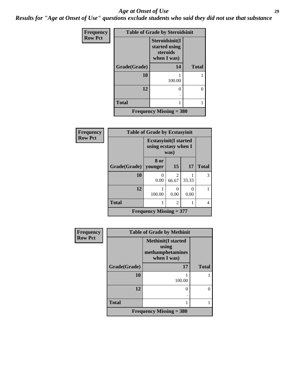#### *Age at Onset of Use* **29**

*Results for "Age at Onset of Use" questions exclude students who said they did not use that substance*

| Frequency      |              | <b>Table of Grade by Steroidsinit</b>                      |              |
|----------------|--------------|------------------------------------------------------------|--------------|
| <b>Row Pct</b> |              | Steroidsinit(I<br>started using<br>steroids<br>when I was) |              |
|                | Grade(Grade) | 14                                                         | <b>Total</b> |
|                | 10           | 100.00                                                     |              |
|                | 12           | 0                                                          | 0            |
|                | <b>Total</b> | 1                                                          |              |
|                |              | <b>Frequency Missing = 380</b>                             |              |

| Frequency      | <b>Table of Grade by Ecstasyinit</b>                          |                           |                                      |           |              |
|----------------|---------------------------------------------------------------|---------------------------|--------------------------------------|-----------|--------------|
| <b>Row Pct</b> | <b>Ecstasyinit</b> (I started<br>using ecstasy when I<br>was) |                           |                                      |           |              |
|                | Grade(Grade)   younger                                        | 8 or                      | 15                                   | 17        | <b>Total</b> |
|                | 10                                                            | 0.00                      | $\mathcal{D}_{\mathcal{L}}$<br>66.67 | 33.33     | 3            |
|                | 12                                                            | 100.00                    | $\Omega$<br>0.00                     | 0<br>0.00 |              |
|                | <b>Total</b>                                                  |                           | $\mathfrak{D}$                       |           | 4            |
|                |                                                               | Frequency Missing $= 377$ |                                      |           |              |

| Frequency      | <b>Table of Grade by Methinit</b> |                                                                       |              |  |
|----------------|-----------------------------------|-----------------------------------------------------------------------|--------------|--|
| <b>Row Pct</b> |                                   | <b>Methinit(I started</b><br>using<br>methamphetamines<br>when I was) |              |  |
|                | Grade(Grade)                      | 17                                                                    | <b>Total</b> |  |
|                | 10                                | 100.00                                                                |              |  |
|                | 12                                | 0                                                                     | $\mathbf{0}$ |  |
|                | <b>Total</b>                      |                                                                       |              |  |
|                |                                   | Frequency Missing $=$ 380                                             |              |  |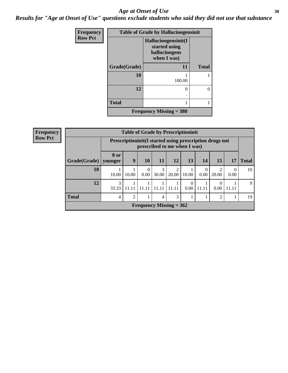#### Age at Onset of Use **30**

*Results for "Age at Onset of Use" questions exclude students who said they did not use that substance*

| Frequency      | <b>Table of Grade by Hallucinogensinit</b> |                                                                      |              |  |  |
|----------------|--------------------------------------------|----------------------------------------------------------------------|--------------|--|--|
| <b>Row Pct</b> |                                            | Hallucinogensinit(I<br>started using<br>hallucinogens<br>when I was) |              |  |  |
|                | Grade(Grade)                               | 11                                                                   | <b>Total</b> |  |  |
|                | 10                                         | 100.00                                                               |              |  |  |
|                | 12                                         | 0                                                                    | 0            |  |  |
|                | <b>Total</b>                               | 1                                                                    |              |  |  |
|                |                                            | <b>Frequency Missing = <math>380</math></b>                          |              |  |  |

| Frequency      |              | <b>Table of Grade by Prescriptioninit</b> |                                                                                            |                  |            |                           |       |           |            |                  |              |
|----------------|--------------|-------------------------------------------|--------------------------------------------------------------------------------------------|------------------|------------|---------------------------|-------|-----------|------------|------------------|--------------|
| <b>Row Pct</b> |              |                                           | Prescription in it (I started using prescription drugs not<br>prescribed to me when I was) |                  |            |                           |       |           |            |                  |              |
|                | Grade(Grade) | 8 or<br>younger                           | 9                                                                                          | 10               | 11         | 12                        | 13    | 14        | 15         | 17               | <b>Total</b> |
|                | 10           | 10.00                                     | 10.00                                                                                      | $\Omega$<br>0.00 | 3<br>30.00 | $\overline{2}$<br>20.00   | 10.00 | 0<br>0.00 | 2<br>20.00 | $\Omega$<br>0.00 | 10           |
|                | 12           | 3<br>33.33                                | 11.11                                                                                      | 11.11            | 11.11      | 11.11                     | 0.00  | 11.11     | 0.00       | 11.11            | $\mathbf Q$  |
|                | <b>Total</b> | 4                                         | $\overline{2}$                                                                             |                  | 4          | 3                         |       |           | 2          |                  | 19           |
|                |              |                                           |                                                                                            |                  |            | Frequency Missing $= 362$ |       |           |            |                  |              |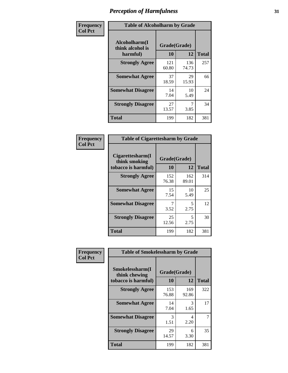| Frequency      | <b>Table of Alcoholharm by Grade</b>          |                    |              |              |  |
|----------------|-----------------------------------------------|--------------------|--------------|--------------|--|
| <b>Col Pct</b> | Alcoholharm(I<br>think alcohol is<br>harmful) | Grade(Grade)<br>10 | 12           | <b>Total</b> |  |
|                | <b>Strongly Agree</b>                         | 121<br>60.80       | 136<br>74.73 | 257          |  |
|                | <b>Somewhat Agree</b>                         | 37<br>18.59        | 29<br>15.93  | 66           |  |
|                | <b>Somewhat Disagree</b>                      | 14<br>7.04         | 10<br>5.49   | 24           |  |
|                | <b>Strongly Disagree</b>                      | 27<br>13.57        | 3.85         | 34           |  |
|                | <b>Total</b>                                  | 199                | 182          | 381          |  |

| <b>Table of Cigarettesharm by Grade</b>                  |                    |              |              |  |  |
|----------------------------------------------------------|--------------------|--------------|--------------|--|--|
| Cigarettesharm(I<br>think smoking<br>tobacco is harmful) | Grade(Grade)<br>10 | 12           | <b>Total</b> |  |  |
| <b>Strongly Agree</b>                                    | 152<br>76.38       | 162<br>89.01 | 314          |  |  |
| <b>Somewhat Agree</b>                                    | 15<br>7.54         | 10<br>5.49   | 25           |  |  |
| <b>Somewhat Disagree</b>                                 | 7<br>3.52          | 5<br>2.75    | 12           |  |  |
| <b>Strongly Disagree</b>                                 | 25<br>12.56        | 5<br>2.75    | 30           |  |  |
| <b>Total</b>                                             | 199                | 182          | 381          |  |  |

| Frequency      | <b>Table of Smokelessharm by Grade</b>                  |                    |              |              |
|----------------|---------------------------------------------------------|--------------------|--------------|--------------|
| <b>Col Pct</b> | Smokelessharm(I<br>think chewing<br>tobacco is harmful) | Grade(Grade)<br>10 | 12           | <b>Total</b> |
|                | <b>Strongly Agree</b>                                   | 153<br>76.88       | 169<br>92.86 | 322          |
|                | <b>Somewhat Agree</b>                                   | 14<br>7.04         | 3<br>1.65    | 17           |
|                | <b>Somewhat Disagree</b>                                | 3<br>1.51          | 4<br>2.20    |              |
|                | <b>Strongly Disagree</b>                                | 29<br>14.57        | 6<br>3.30    | 35           |
|                | <b>Total</b>                                            | 199                | 182          | 381          |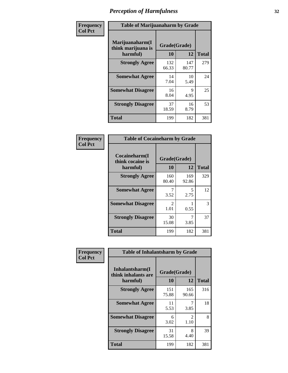| Frequency      |                                                   | <b>Table of Marijuanaharm by Grade</b> |              |              |  |  |
|----------------|---------------------------------------------------|----------------------------------------|--------------|--------------|--|--|
| <b>Col Pct</b> | Marijuanaharm(I<br>think marijuana is<br>harmful) | Grade(Grade)<br>10                     | 12           | <b>Total</b> |  |  |
|                | <b>Strongly Agree</b>                             | 132<br>66.33                           | 147<br>80.77 | 279          |  |  |
|                | <b>Somewhat Agree</b>                             | 14<br>7.04                             | 10<br>5.49   | 24           |  |  |
|                | <b>Somewhat Disagree</b>                          | 16<br>8.04                             | 9<br>4.95    | 25           |  |  |
|                | <b>Strongly Disagree</b>                          | 37<br>18.59                            | 16<br>8.79   | 53           |  |  |
|                | <b>Total</b>                                      | 199                                    | 182          | 381          |  |  |

| <b>Table of Cocaineharm by Grade</b>          |                        |              |              |  |  |  |
|-----------------------------------------------|------------------------|--------------|--------------|--|--|--|
| Cocaineharm(I<br>think cocaine is<br>harmful) | Grade(Grade)<br>10     | 12           | <b>Total</b> |  |  |  |
| <b>Strongly Agree</b>                         | 160<br>80.40           | 169<br>92.86 | 329          |  |  |  |
| <b>Somewhat Agree</b>                         | 7<br>3.52              | 5<br>2.75    | 12           |  |  |  |
| <b>Somewhat Disagree</b>                      | $\mathfrak{D}$<br>1.01 | 0.55         | 3            |  |  |  |
| <b>Strongly Disagree</b>                      | 30<br>15.08            | 7<br>3.85    | 37           |  |  |  |
| <b>Total</b>                                  | 199                    | 182          | 381          |  |  |  |

| Frequency      | <b>Table of Inhalantsharm by Grade</b>             |                    |                       |              |  |  |
|----------------|----------------------------------------------------|--------------------|-----------------------|--------------|--|--|
| <b>Col Pct</b> | Inhalantsharm(I<br>think inhalants are<br>harmful) | Grade(Grade)<br>10 | 12                    | <b>Total</b> |  |  |
|                | <b>Strongly Agree</b>                              | 151<br>75.88       | 165<br>90.66          | 316          |  |  |
|                | <b>Somewhat Agree</b>                              | 11<br>5.53         | 3.85                  | 18           |  |  |
|                | <b>Somewhat Disagree</b>                           | 6<br>3.02          | $\mathcal{L}$<br>1.10 | 8            |  |  |
|                | <b>Strongly Disagree</b>                           | 31<br>15.58        | 8<br>4.40             | 39           |  |  |
|                | <b>Total</b>                                       | 199                | 182                   | 381          |  |  |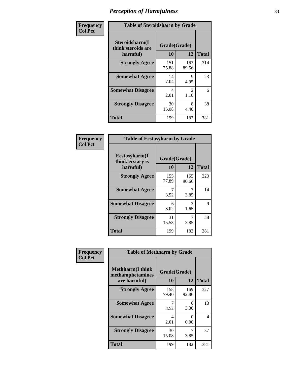| Frequency      | <b>Table of Steroidsharm by Grade</b>            |                    |                        |              |  |
|----------------|--------------------------------------------------|--------------------|------------------------|--------------|--|
| <b>Col Pct</b> | Steroidsharm(I<br>think steroids are<br>harmful) | Grade(Grade)<br>10 | 12                     | <b>Total</b> |  |
|                | <b>Strongly Agree</b>                            | 151<br>75.88       | 163<br>89.56           | 314          |  |
|                | <b>Somewhat Agree</b>                            | 14<br>7.04         | 9<br>4.95              | 23           |  |
|                | <b>Somewhat Disagree</b>                         | 4<br>2.01          | $\mathfrak{D}$<br>1.10 | 6            |  |
|                | <b>Strongly Disagree</b>                         | 30<br>15.08        | 8<br>4.40              | 38           |  |
|                | <b>Total</b>                                     | 199                | 182                    | 381          |  |

| <b>Table of Ecstasyharm by Grade</b>                |                    |              |              |  |  |  |
|-----------------------------------------------------|--------------------|--------------|--------------|--|--|--|
| $E$ cstasyharm $(I$<br>think ecstasy is<br>harmful) | Grade(Grade)<br>10 | 12           | <b>Total</b> |  |  |  |
| <b>Strongly Agree</b>                               | 155<br>77.89       | 165<br>90.66 | 320          |  |  |  |
| <b>Somewhat Agree</b>                               | 7<br>3.52          | 3.85         | 14           |  |  |  |
| <b>Somewhat Disagree</b>                            | 6<br>3.02          | 3<br>1.65    | 9            |  |  |  |
| <b>Strongly Disagree</b>                            | 31<br>15.58        | 7<br>3.85    | 38           |  |  |  |
| Total                                               | 199                | 182          | 381          |  |  |  |

| Frequency      | <b>Table of Methharm by Grade</b>                            |                           |              |              |
|----------------|--------------------------------------------------------------|---------------------------|--------------|--------------|
| <b>Col Pct</b> | <b>Methharm</b> (I think<br>methamphetamines<br>are harmful) | Grade(Grade)<br><b>10</b> | 12           | <b>Total</b> |
|                | <b>Strongly Agree</b>                                        | 158<br>79.40              | 169<br>92.86 | 327          |
|                | <b>Somewhat Agree</b>                                        | 7<br>3.52                 | 6<br>3.30    | 13           |
|                | <b>Somewhat Disagree</b>                                     | 4<br>2.01                 | 0<br>0.00    | 4            |
|                | <b>Strongly Disagree</b>                                     | 30<br>15.08               | 3.85         | 37           |
|                | <b>Total</b>                                                 | 199                       | 182          | 381          |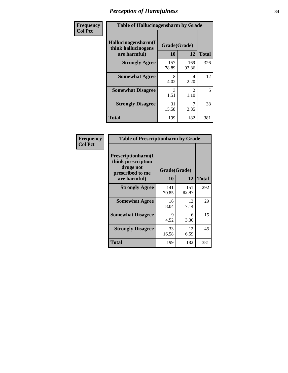| Frequency      | <b>Table of Hallucinogensharm by Grade</b>                 |                    |                       |              |
|----------------|------------------------------------------------------------|--------------------|-----------------------|--------------|
| <b>Col Pct</b> | Hallucinogensharm(I<br>think hallucinogens<br>are harmful) | Grade(Grade)<br>10 | 12                    | <b>Total</b> |
|                | <b>Strongly Agree</b>                                      | 157<br>78.89       | 169<br>92.86          | 326          |
|                | <b>Somewhat Agree</b>                                      | 8<br>4.02          | 4<br>2.20             | 12           |
|                | <b>Somewhat Disagree</b>                                   | 3<br>1.51          | $\mathcal{L}$<br>1.10 | 5            |
|                | <b>Strongly Disagree</b>                                   | 31<br>15.58        | 7<br>3.85             | 38           |
|                | <b>Total</b>                                               | 199                | 182                   | 381          |

| <b>Table of Prescriptionharm by Grade</b>                                         |              |              |              |  |
|-----------------------------------------------------------------------------------|--------------|--------------|--------------|--|
| <b>Prescriptionharm</b> (I<br>think prescription<br>drugs not<br>prescribed to me | Grade(Grade) |              |              |  |
| are harmful)                                                                      | 10           | 12           | <b>Total</b> |  |
| <b>Strongly Agree</b>                                                             | 141<br>70.85 | 151<br>82.97 | 292          |  |
| <b>Somewhat Agree</b>                                                             | 16<br>8.04   | 13<br>7.14   | 29           |  |
| <b>Somewhat Disagree</b>                                                          | 9<br>4.52    | 6<br>3.30    | 15           |  |
| <b>Strongly Disagree</b>                                                          | 33<br>16.58  | 12<br>6.59   | 45           |  |
| <b>Total</b>                                                                      | 199          | 182          | 381          |  |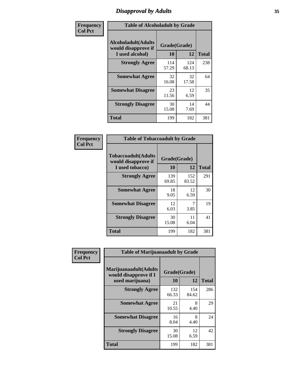# *Disapproval by Adults* **35**

| Frequency      | <b>Table of Alcoholadult by Grade</b>                                 |                    |              |              |
|----------------|-----------------------------------------------------------------------|--------------------|--------------|--------------|
| <b>Col Pct</b> | <b>Alcoholadult</b> (Adults<br>would disapprove if<br>I used alcohol) | Grade(Grade)<br>10 | 12           | <b>Total</b> |
|                | <b>Strongly Agree</b>                                                 | 114<br>57.29       | 124<br>68.13 | 238          |
|                | <b>Somewhat Agree</b>                                                 | 32<br>16.08        | 32<br>17.58  | 64           |
|                | <b>Somewhat Disagree</b>                                              | 23<br>11.56        | 12<br>6.59   | 35           |
|                | <b>Strongly Disagree</b>                                              | 30<br>15.08        | 14<br>7.69   | 44           |
|                | <b>Total</b>                                                          | 199                | 182          | 381          |

| <b>Table of Tobaccoadult by Grade</b>                                |                    |              |     |  |  |
|----------------------------------------------------------------------|--------------------|--------------|-----|--|--|
| <b>Tobaccoadult(Adults</b><br>would disapprove if<br>I used tobacco) | Grade(Grade)<br>10 | <b>Total</b> |     |  |  |
| <b>Strongly Agree</b>                                                | 139<br>69.85       | 152<br>83.52 | 291 |  |  |
| <b>Somewhat Agree</b>                                                | 18<br>9.05         | 12<br>6.59   | 30  |  |  |
| <b>Somewhat Disagree</b>                                             | 12<br>6.03         | 7<br>3.85    | 19  |  |  |
| <b>Strongly Disagree</b>                                             | 30<br>15.08        | 11<br>6.04   | 41  |  |  |
| <b>Total</b>                                                         | 199                | 182          | 381 |  |  |

| Frequency<br><b>Col Pct</b> | <b>Table of Marijuanaadult by Grade</b>                           |                    |              |              |
|-----------------------------|-------------------------------------------------------------------|--------------------|--------------|--------------|
|                             | Marijuanaadult(Adults<br>would disapprove if I<br>used marijuana) | Grade(Grade)<br>10 | 12           | <b>Total</b> |
|                             | <b>Strongly Agree</b>                                             | 132<br>66.33       | 154<br>84.62 | 286          |
|                             | <b>Somewhat Agree</b>                                             | 21<br>10.55        | 8<br>4.40    | 29           |
|                             | <b>Somewhat Disagree</b>                                          | 16<br>8.04         | 8<br>4.40    | 24           |
|                             | <b>Strongly Disagree</b>                                          | 30<br>15.08        | 12<br>6.59   | 42           |
|                             | <b>Total</b>                                                      | 199                | 182          | 381          |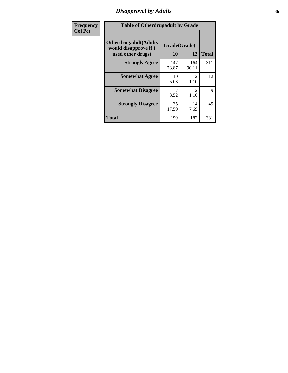### *Disapproval by Adults* **36**

| <b>Frequency</b> | <b>Table of Otherdrugadult by Grade</b>                                     |                    |                        |              |
|------------------|-----------------------------------------------------------------------------|--------------------|------------------------|--------------|
| <b>Col Pct</b>   | <b>Otherdrugadult</b> (Adults<br>would disapprove if I<br>used other drugs) | Grade(Grade)<br>10 | 12                     | <b>Total</b> |
|                  | <b>Strongly Agree</b>                                                       | 147<br>73.87       | 164<br>90.11           | 311          |
|                  | <b>Somewhat Agree</b>                                                       | 10<br>5.03         | $\mathcal{L}$<br>1.10  | 12           |
|                  | <b>Somewhat Disagree</b>                                                    | 3.52               | $\mathfrak{D}$<br>1.10 | 9            |
|                  | <b>Strongly Disagree</b>                                                    | 35<br>17.59        | 14<br>7.69             | 49           |
|                  | <b>Total</b>                                                                | 199                | 182                    | 381          |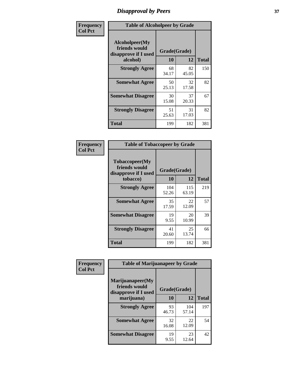## *Disapproval by Peers* **37**

| Frequency      | <b>Table of Alcoholpeer by Grade</b>                    |              |             |              |  |
|----------------|---------------------------------------------------------|--------------|-------------|--------------|--|
| <b>Col Pct</b> | Alcoholpeer(My<br>friends would<br>disapprove if I used | Grade(Grade) |             |              |  |
|                | alcohol)                                                | 10           | 12          | <b>Total</b> |  |
|                | <b>Strongly Agree</b>                                   | 68<br>34.17  | 82<br>45.05 | 150          |  |
|                | <b>Somewhat Agree</b>                                   | 50<br>25.13  | 32<br>17.58 | 82           |  |
|                | <b>Somewhat Disagree</b>                                | 30<br>15.08  | 37<br>20.33 | 67           |  |
|                | <b>Strongly Disagree</b>                                | 51<br>25.63  | 31<br>17.03 | 82           |  |
|                | Total                                                   | 199          | 182         | 381          |  |

| Frequency      | <b>Table of Tobaccopeer by Grade</b>                    |              |              |              |  |
|----------------|---------------------------------------------------------|--------------|--------------|--------------|--|
| <b>Col Pct</b> | Tobaccopeer(My<br>friends would<br>disapprove if I used | Grade(Grade) |              |              |  |
|                | tobacco)                                                | 10           | 12           | <b>Total</b> |  |
|                | <b>Strongly Agree</b>                                   | 104<br>52.26 | 115<br>63.19 | 219          |  |
|                | <b>Somewhat Agree</b>                                   | 35<br>17.59  | 22<br>12.09  | 57           |  |
|                | <b>Somewhat Disagree</b>                                | 19<br>9.55   | 20<br>10.99  | 39           |  |
|                | <b>Strongly Disagree</b>                                | 41<br>20.60  | 25<br>13.74  | 66           |  |
|                | Total                                                   | 199          | 182          | 381          |  |

| Frequency      | <b>Table of Marijuanapeer by Grade</b>                    |              |              |              |
|----------------|-----------------------------------------------------------|--------------|--------------|--------------|
| <b>Col Pct</b> | Marijuanapeer(My<br>friends would<br>disapprove if I used | Grade(Grade) |              |              |
|                | marijuana)                                                | 10           | 12           | <b>Total</b> |
|                | <b>Strongly Agree</b>                                     | 93<br>46.73  | 104<br>57.14 | 197          |
|                | <b>Somewhat Agree</b>                                     | 32<br>16.08  | 22<br>12.09  | 54           |
|                | <b>Somewhat Disagree</b>                                  | 19<br>9.55   | 23<br>12.64  | 42           |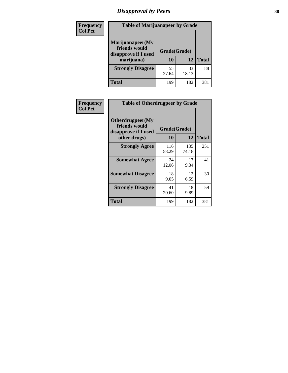# *Disapproval by Peers* **38**

| <b>Frequency</b> | <b>Table of Marijuanapeer by Grade</b>                                  |                           |             |              |  |
|------------------|-------------------------------------------------------------------------|---------------------------|-------------|--------------|--|
| <b>Col Pct</b>   | Marijuanapeer(My<br>friends would<br>disapprove if I used<br>marijuana) | Grade(Grade)<br><b>10</b> | 12          | <b>Total</b> |  |
|                  | <b>Strongly Disagree</b>                                                | 55<br>27.64               | 33<br>18.13 | 88           |  |
|                  | <b>Total</b>                                                            | 199                       | 182         | 381          |  |

| <b>Frequency</b> | <b>Table of Otherdrugpeer by Grade</b>                                    |                           |              |              |
|------------------|---------------------------------------------------------------------------|---------------------------|--------------|--------------|
| <b>Col Pct</b>   | Otherdrugpeer(My<br>friends would<br>disapprove if I used<br>other drugs) | Grade(Grade)<br><b>10</b> | 12           | <b>Total</b> |
|                  | <b>Strongly Agree</b>                                                     | 116<br>58.29              | 135<br>74.18 | 251          |
|                  | <b>Somewhat Agree</b>                                                     | 24<br>12.06               | 17<br>9.34   | 41           |
|                  | <b>Somewhat Disagree</b>                                                  | 18<br>9.05                | 12<br>6.59   | 30           |
|                  | <b>Strongly Disagree</b>                                                  | 41<br>20.60               | 18<br>9.89   | 59           |
|                  | <b>Total</b>                                                              | 199                       | 182          | 381          |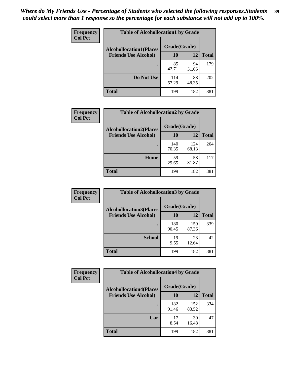| Frequency      | <b>Table of Alcohollocation1 by Grade</b> |              |             |              |
|----------------|-------------------------------------------|--------------|-------------|--------------|
| <b>Col Pct</b> | <b>Alcohollocation1(Places</b>            | Grade(Grade) |             |              |
|                | <b>Friends Use Alcohol)</b>               | 10           | 12          | <b>Total</b> |
|                |                                           | 85<br>42.71  | 94<br>51.65 | 179          |
|                | Do Not Use                                | 114<br>57.29 | 88<br>48.35 | 202          |
|                | <b>Total</b>                              | 199          | 182         | 381          |

| Frequency      | <b>Table of Alcohollocation2 by Grade</b>                     |                    |              |              |
|----------------|---------------------------------------------------------------|--------------------|--------------|--------------|
| <b>Col Pct</b> | <b>Alcohollocation2(Places</b><br><b>Friends Use Alcohol)</b> | Grade(Grade)<br>10 | <b>12</b>    | <b>Total</b> |
|                |                                                               | 140<br>70.35       | 124<br>68.13 | 264          |
|                | Home                                                          | 59<br>29.65        | 58<br>31.87  | 117          |
|                | <b>Total</b>                                                  | 199                | 182          | 381          |

| Frequency<br><b>Col Pct</b> | <b>Table of Alcohollocation 3 by Grade</b>                    |                    |              |              |
|-----------------------------|---------------------------------------------------------------|--------------------|--------------|--------------|
|                             | <b>Alcohollocation3(Places</b><br><b>Friends Use Alcohol)</b> | Grade(Grade)<br>10 | 12           | <b>Total</b> |
|                             |                                                               | 180<br>90.45       | 159<br>87.36 | 339          |
|                             | <b>School</b>                                                 | 19<br>9.55         | 23<br>12.64  | 42           |
|                             | <b>Total</b>                                                  | 199                | 182          | 381          |

| <b>Frequency</b> | <b>Table of Alcohollocation4 by Grade</b> |              |              |              |
|------------------|-------------------------------------------|--------------|--------------|--------------|
| <b>Col Pct</b>   | <b>Alcohollocation4(Places</b>            | Grade(Grade) |              |              |
|                  | <b>Friends Use Alcohol)</b>               | 10           | 12           | <b>Total</b> |
|                  |                                           | 182<br>91.46 | 152<br>83.52 | 334          |
|                  | Car                                       | 17<br>8.54   | 30<br>16.48  | 47           |
|                  | <b>Total</b>                              | 199          | 182          | 381          |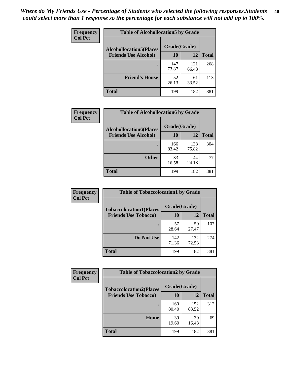| Frequency<br><b>Col Pct</b> | <b>Table of Alcohollocation5 by Grade</b><br>Grade(Grade)<br><b>Alcohollocation5(Places</b> |              |              |              |
|-----------------------------|---------------------------------------------------------------------------------------------|--------------|--------------|--------------|
|                             |                                                                                             |              |              |              |
|                             | <b>Friends Use Alcohol)</b>                                                                 | 10           | 12           | <b>Total</b> |
|                             |                                                                                             | 147<br>73.87 | 121<br>66.48 | 268          |
|                             | <b>Friend's House</b>                                                                       | 52<br>26.13  | 61<br>33.52  | 113          |
|                             | <b>Total</b>                                                                                | 199          | 182          | 381          |

| <b>Frequency</b> | <b>Table of Alcohollocation6 by Grade</b>                     |                    |              |              |
|------------------|---------------------------------------------------------------|--------------------|--------------|--------------|
| <b>Col Pct</b>   | <b>Alcohollocation6(Places</b><br><b>Friends Use Alcohol)</b> | Grade(Grade)<br>10 | 12           | <b>Total</b> |
|                  |                                                               | 166<br>83.42       | 138<br>75.82 | 304          |
|                  | <b>Other</b>                                                  | 33<br>16.58        | 44<br>24.18  | 77           |
|                  | <b>Total</b>                                                  | 199                | 182          | 381          |

| Frequency      | <b>Table of Tobaccolocation1 by Grade</b> |              |              |              |
|----------------|-------------------------------------------|--------------|--------------|--------------|
| <b>Col Pct</b> | <b>Tobaccolocation1(Places</b>            | Grade(Grade) |              |              |
|                | <b>Friends Use Tobacco)</b>               | 10           | <b>12</b>    | <b>Total</b> |
|                |                                           | 57<br>28.64  | 50<br>27.47  | 107          |
|                | Do Not Use                                | 142<br>71.36 | 132<br>72.53 | 274          |
|                | <b>Total</b>                              | 199          | 182          | 381          |

| <b>Frequency</b> | <b>Table of Tobaccolocation2 by Grade</b> |              |              |              |  |
|------------------|-------------------------------------------|--------------|--------------|--------------|--|
| <b>Col Pct</b>   | <b>Tobaccolocation2(Places</b>            | Grade(Grade) |              |              |  |
|                  | <b>Friends Use Tobacco)</b>               | 10           | 12           | <b>Total</b> |  |
|                  |                                           | 160<br>80.40 | 152<br>83.52 | 312          |  |
|                  | Home                                      | 39<br>19.60  | 30<br>16.48  | 69           |  |
|                  | <b>Total</b>                              | 199          | 182          | 381          |  |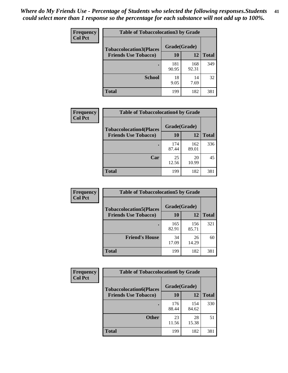| Frequency      | <b>Table of Tobaccolocation3 by Grade</b> |              |              |              |  |
|----------------|-------------------------------------------|--------------|--------------|--------------|--|
| <b>Col Pct</b> | <b>Tobaccolocation3(Places</b>            | Grade(Grade) |              |              |  |
|                | <b>Friends Use Tobacco)</b>               | 10           | 12           | <b>Total</b> |  |
|                |                                           | 181<br>90.95 | 168<br>92.31 | 349          |  |
|                | <b>School</b>                             | 18<br>9.05   | 14<br>7.69   | 32           |  |
|                | <b>Total</b>                              | 199          | 182          | 381          |  |

| Frequency<br><b>Col Pct</b> | <b>Table of Tobaccolocation4 by Grade</b> |              |              |              |
|-----------------------------|-------------------------------------------|--------------|--------------|--------------|
|                             | <b>Tobaccolocation4(Places</b>            | Grade(Grade) |              |              |
|                             | <b>Friends Use Tobacco)</b>               | 10           | 12           | <b>Total</b> |
|                             |                                           | 174<br>87.44 | 162<br>89.01 | 336          |
|                             | Car                                       | 25<br>12.56  | 20<br>10.99  | 45           |
|                             | <b>Total</b>                              | 199          | 182          | 381          |

| <b>Frequency</b> | <b>Table of Tobaccolocation5 by Grade</b> |              |              |              |
|------------------|-------------------------------------------|--------------|--------------|--------------|
| <b>Col Pct</b>   | <b>Tobaccolocation5(Places</b>            | Grade(Grade) |              |              |
|                  | <b>Friends Use Tobacco)</b>               | 10           | 12           | <b>Total</b> |
|                  |                                           | 165<br>82.91 | 156<br>85.71 | 321          |
|                  | <b>Friend's House</b>                     | 34<br>17.09  | 26<br>14.29  | 60           |
|                  | Total                                     | 199          | 182          | 381          |

| <b>Frequency</b> | <b>Table of Tobaccolocation6 by Grade</b> |              |              |              |  |
|------------------|-------------------------------------------|--------------|--------------|--------------|--|
| <b>Col Pct</b>   | <b>Tobaccolocation6(Places</b>            | Grade(Grade) |              |              |  |
|                  | <b>Friends Use Tobacco)</b>               | 10           | 12           | <b>Total</b> |  |
|                  |                                           | 176<br>88.44 | 154<br>84.62 | 330          |  |
|                  | <b>Other</b>                              | 23<br>11.56  | 28<br>15.38  | 51           |  |
|                  | <b>Total</b>                              | 199          | 182          | 381          |  |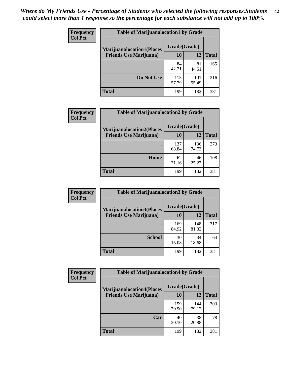| <b>Frequency</b> | <b>Table of Marijuanalocation1 by Grade</b> |              |              |              |
|------------------|---------------------------------------------|--------------|--------------|--------------|
| <b>Col Pct</b>   | <b>Marijuanalocation1(Places</b>            | Grade(Grade) |              |              |
|                  | <b>Friends Use Marijuana</b> )              | 10           | 12           | <b>Total</b> |
|                  |                                             | 84<br>42.21  | 81<br>44.51  | 165          |
|                  | Do Not Use                                  | 115<br>57.79 | 101<br>55.49 | 216          |
|                  | <b>Total</b>                                | 199          | 182          | 381          |

| <b>Frequency</b> | <b>Table of Marijuanalocation2 by Grade</b>                        |                           |              |              |
|------------------|--------------------------------------------------------------------|---------------------------|--------------|--------------|
| <b>Col Pct</b>   | <b>Marijuanalocation2(Places</b><br><b>Friends Use Marijuana</b> ) | Grade(Grade)<br><b>10</b> | 12           | <b>Total</b> |
|                  |                                                                    | 137<br>68.84              | 136<br>74.73 | 273          |
|                  | Home                                                               | 62<br>31.16               | 46<br>25.27  | 108          |
|                  | <b>Total</b>                                                       | 199                       | 182          | 381          |

| Frequency<br><b>Col Pct</b> | <b>Table of Marijuanalocation3 by Grade</b> |              |              |              |
|-----------------------------|---------------------------------------------|--------------|--------------|--------------|
|                             | <b>Marijuanalocation3</b> (Places           | Grade(Grade) |              |              |
|                             | <b>Friends Use Marijuana</b> )              | 10           | 12           | <b>Total</b> |
|                             |                                             | 169<br>84.92 | 148<br>81.32 | 317          |
|                             |                                             |              |              |              |
|                             | <b>School</b>                               | 30<br>15.08  | 34<br>18.68  | 64           |
|                             | <b>Total</b>                                | 199          | 182          | 381          |

| <b>Frequency</b> | <b>Table of Marijuanalocation4 by Grade</b> |              |              |              |  |
|------------------|---------------------------------------------|--------------|--------------|--------------|--|
| <b>Col Pct</b>   | <b>Marijuanalocation4(Places</b>            | Grade(Grade) |              |              |  |
|                  | <b>Friends Use Marijuana</b> )              | 10           | 12           | <b>Total</b> |  |
|                  |                                             | 159<br>79.90 | 144<br>79.12 | 303          |  |
|                  | Car                                         | 40<br>20.10  | 38<br>20.88  | 78           |  |
|                  | <b>Total</b>                                | 199          | 182          | 381          |  |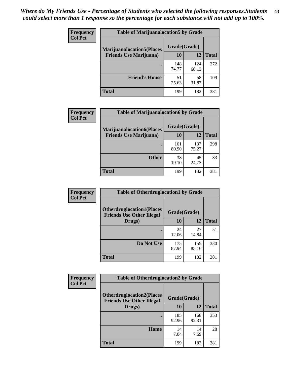| <b>Frequency</b> | <b>Table of Marijuanalocation5 by Grade</b> |              |              |              |
|------------------|---------------------------------------------|--------------|--------------|--------------|
| <b>Col Pct</b>   | <b>Marijuanalocation5</b> (Places           | Grade(Grade) |              |              |
|                  | <b>Friends Use Marijuana</b> )              | 10           | 12           | <b>Total</b> |
|                  |                                             | 148<br>74.37 | 124<br>68.13 | 272          |
|                  | <b>Friend's House</b>                       | 51<br>25.63  | 58<br>31.87  | 109          |
|                  | <b>Total</b>                                | 199          | 182          | 381          |

| <b>Frequency</b> | <b>Table of Marijuanalocation6 by Grade</b>                        |                    |              |              |
|------------------|--------------------------------------------------------------------|--------------------|--------------|--------------|
| <b>Col Pct</b>   | <b>Marijuanalocation6(Places</b><br><b>Friends Use Marijuana</b> ) | Grade(Grade)<br>10 | 12           | <b>Total</b> |
|                  |                                                                    | 161<br>80.90       | 137<br>75.27 | 298          |
|                  | <b>Other</b>                                                       | 38<br>19.10        | 45<br>24.73  | 83           |
|                  | <b>Total</b>                                                       | 199                | 182          | 381          |

| Frequency      | <b>Table of Otherdruglocation1 by Grade</b>                          |              |              |              |
|----------------|----------------------------------------------------------------------|--------------|--------------|--------------|
| <b>Col Pct</b> | <b>Otherdruglocation1(Places</b><br><b>Friends Use Other Illegal</b> | Grade(Grade) |              |              |
|                | Drugs)                                                               | 10           | 12           | <b>Total</b> |
|                |                                                                      | 24<br>12.06  | 27<br>14.84  | 51           |
|                | Do Not Use                                                           | 175<br>87.94 | 155<br>85.16 | 330          |
|                | <b>Total</b>                                                         | 199          | 182          | 381          |

| <b>Frequency</b> | <b>Table of Otherdruglocation2 by Grade</b>                          |              |              |              |
|------------------|----------------------------------------------------------------------|--------------|--------------|--------------|
| <b>Col Pct</b>   | <b>Otherdruglocation2(Places</b><br><b>Friends Use Other Illegal</b> | Grade(Grade) |              |              |
|                  | Drugs)                                                               | 10           | 12           | <b>Total</b> |
|                  |                                                                      | 185<br>92.96 | 168<br>92.31 | 353          |
|                  | Home                                                                 | 14<br>7.04   | 14<br>7.69   | 28           |
|                  | <b>Total</b>                                                         | 199          | 182          | 381          |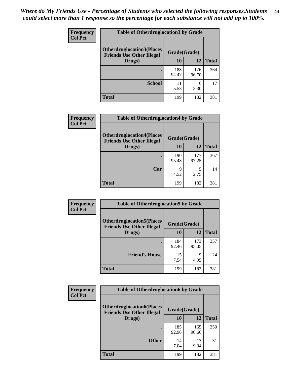| <b>Frequency</b> | <b>Table of Otherdruglocation3 by Grade</b>                           |              |              |              |
|------------------|-----------------------------------------------------------------------|--------------|--------------|--------------|
| <b>Col Pct</b>   | <b>Otherdruglocation3(Places)</b><br><b>Friends Use Other Illegal</b> | Grade(Grade) |              |              |
|                  | Drugs)                                                                | 10           | 12           | <b>Total</b> |
|                  |                                                                       | 188<br>94.47 | 176<br>96.70 | 364          |
|                  | <b>School</b>                                                         | 11<br>5.53   | 6<br>3.30    | 17           |
|                  | <b>Total</b>                                                          | 199          | 182          | 381          |

| <b>Frequency</b> | <b>Table of Otherdruglocation4 by Grade</b>                          |              |              |              |
|------------------|----------------------------------------------------------------------|--------------|--------------|--------------|
| <b>Col Pct</b>   | <b>Otherdruglocation4(Places</b><br><b>Friends Use Other Illegal</b> | Grade(Grade) |              |              |
|                  | Drugs)                                                               | 10           | 12           | <b>Total</b> |
|                  |                                                                      | 190<br>95.48 | 177<br>97.25 | 367          |
|                  | Car                                                                  | 9<br>4.52    | 5<br>2.75    | 14           |
|                  | <b>Total</b>                                                         | 199          | 182          | 381          |

| Frequency      | <b>Table of Otherdruglocation5 by Grade</b>                          |              |              |              |
|----------------|----------------------------------------------------------------------|--------------|--------------|--------------|
| <b>Col Pct</b> | <b>Otherdruglocation5(Places</b><br><b>Friends Use Other Illegal</b> | Grade(Grade) |              |              |
|                | Drugs)                                                               | 10           | 12           | <b>Total</b> |
|                |                                                                      | 184<br>92.46 | 173<br>95.05 | 357          |
|                | <b>Friend's House</b>                                                | 15<br>7.54   | Q<br>4.95    | 24           |
|                | <b>Total</b>                                                         | 199          | 182          | 381          |

| Frequency<br><b>Col Pct</b> | <b>Table of Otherdruglocation6 by Grade</b>                          |              |              |              |
|-----------------------------|----------------------------------------------------------------------|--------------|--------------|--------------|
|                             | <b>Otherdruglocation6(Places</b><br><b>Friends Use Other Illegal</b> | Grade(Grade) |              |              |
|                             | Drugs)                                                               | 10           | 12           | <b>Total</b> |
|                             |                                                                      | 185<br>92.96 | 165<br>90.66 | 350          |
|                             | <b>Other</b>                                                         | 14<br>7.04   | 17<br>9.34   | 31           |
|                             | <b>Total</b>                                                         | 199          | 182          | 381          |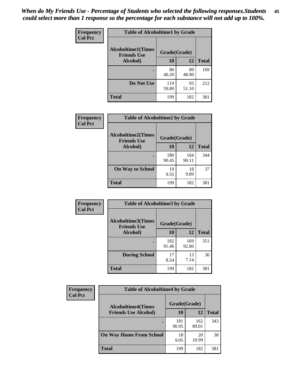| Frequency      | <b>Table of Alcoholtime1 by Grade</b>           |              |             |              |
|----------------|-------------------------------------------------|--------------|-------------|--------------|
| <b>Col Pct</b> | <b>Alcoholtime1(Times</b><br><b>Friends Use</b> | Grade(Grade) |             |              |
|                | Alcohol)                                        | 10           | 12          | <b>Total</b> |
|                |                                                 | 80<br>40.20  | 89<br>48.90 | 169          |
|                | Do Not Use                                      | 119<br>59.80 | 93<br>51.10 | 212          |
|                | <b>Total</b>                                    | 199          | 182         | 381          |

| Frequency      | <b>Table of Alcoholtime2 by Grade</b>           |              |              |              |
|----------------|-------------------------------------------------|--------------|--------------|--------------|
| <b>Col Pct</b> | <b>Alcoholtime2(Times</b><br><b>Friends Use</b> | Grade(Grade) |              |              |
|                | Alcohol)                                        | 10           | 12           | <b>Total</b> |
|                |                                                 | 180<br>90.45 | 164<br>90.11 | 344          |
|                | <b>On Way to School</b>                         | 19<br>9.55   | 18<br>9.89   | 37           |
|                | <b>Total</b>                                    | 199          | 182          | 381          |

| Frequency<br><b>Col Pct</b> | <b>Table of Alcoholtime3 by Grade</b>           |              |              |              |  |
|-----------------------------|-------------------------------------------------|--------------|--------------|--------------|--|
|                             | <b>Alcoholtime3(Times</b><br><b>Friends Use</b> | Grade(Grade) |              |              |  |
|                             | Alcohol)                                        | 10           | 12           | <b>Total</b> |  |
|                             |                                                 | 182<br>91.46 | 169<br>92.86 | 351          |  |
|                             | <b>During School</b>                            | 17<br>8.54   | 13<br>7.14   | 30           |  |
|                             | Total                                           | 199          | 182          | 381          |  |

| <b>Frequency</b> | <b>Table of Alcoholtime4 by Grade</b> |              |              |              |
|------------------|---------------------------------------|--------------|--------------|--------------|
| <b>Col Pct</b>   | <b>Alcoholtime4(Times</b>             | Grade(Grade) |              |              |
|                  | <b>Friends Use Alcohol)</b>           | 10           | 12           | <b>Total</b> |
|                  |                                       | 181<br>90.95 | 162<br>89.01 | 343          |
|                  | <b>On Way Home From School</b>        | 18<br>9.05   | 20<br>10.99  | 38           |
|                  | <b>Total</b>                          | 199          | 182          | 381          |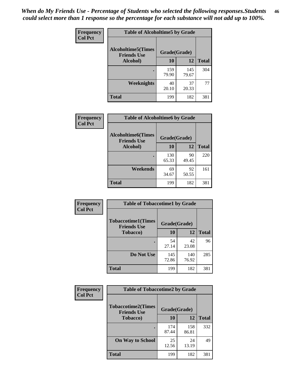*When do My Friends Use - Percentage of Students who selected the following responses.Students could select more than 1 response so the percentage for each substance will not add up to 100%.* **46**

| Frequency      | <b>Table of Alcoholtime5 by Grade</b>            |              |              |              |
|----------------|--------------------------------------------------|--------------|--------------|--------------|
| <b>Col Pct</b> | <b>Alcoholtime5</b> (Times<br><b>Friends Use</b> | Grade(Grade) |              |              |
|                | Alcohol)                                         | 10           | 12           | <b>Total</b> |
|                |                                                  | 159<br>79.90 | 145<br>79.67 | 304          |
|                | Weeknights                                       | 40<br>20.10  | 37<br>20.33  | 77           |
|                | <b>Total</b>                                     | 199          | 182          | 381          |

| Frequency      | <b>Table of Alcoholtime6 by Grade</b>           |              |             |              |
|----------------|-------------------------------------------------|--------------|-------------|--------------|
| <b>Col Pct</b> | <b>Alcoholtime6(Times</b><br><b>Friends Use</b> | Grade(Grade) |             |              |
|                | Alcohol)                                        | 10           | 12          | <b>Total</b> |
|                |                                                 | 130<br>65.33 | 90<br>49.45 | 220          |
|                | Weekends                                        | 69<br>34.67  | 92<br>50.55 | 161          |
|                | <b>Total</b>                                    | 199          | 182         | 381          |

| Frequency<br><b>Col Pct</b> | <b>Table of Tobaccotime1 by Grade</b>                           |              |              |              |
|-----------------------------|-----------------------------------------------------------------|--------------|--------------|--------------|
|                             | <b>Tobaccotime1(Times</b><br>Grade(Grade)<br><b>Friends Use</b> |              |              |              |
|                             | <b>Tobacco</b> )                                                | 10           | 12           | <b>Total</b> |
|                             |                                                                 | 54<br>27.14  | 42<br>23.08  | 96           |
|                             | Do Not Use                                                      | 145<br>72.86 | 140<br>76.92 | 285          |
|                             | <b>Total</b>                                                    | 199          | 182          | 381          |

| Frequency      |                                                 | <b>Table of Tobaccotime2 by Grade</b> |              |              |  |  |
|----------------|-------------------------------------------------|---------------------------------------|--------------|--------------|--|--|
| <b>Col Pct</b> | <b>Tobaccotime2(Times</b><br><b>Friends Use</b> | Grade(Grade)                          |              |              |  |  |
|                | <b>Tobacco</b> )                                | 10                                    | 12           | <b>Total</b> |  |  |
|                |                                                 | 174<br>87.44                          | 158<br>86.81 | 332          |  |  |
|                | <b>On Way to School</b>                         | 25<br>12.56                           | 24<br>13.19  | 49           |  |  |
|                | <b>Total</b>                                    | 199                                   | 182          | 381          |  |  |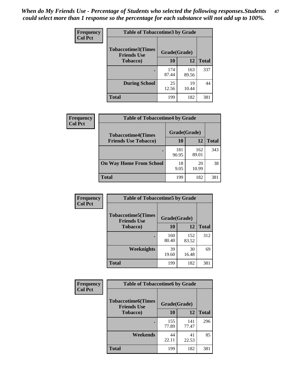*When do My Friends Use - Percentage of Students who selected the following responses.Students could select more than 1 response so the percentage for each substance will not add up to 100%.* **47**

| <b>Frequency</b> | <b>Table of Tobaccotime3 by Grade</b>           |              |              |              |  |
|------------------|-------------------------------------------------|--------------|--------------|--------------|--|
| <b>Col Pct</b>   | <b>Tobaccotime3(Times</b><br><b>Friends Use</b> |              | Grade(Grade) |              |  |
|                  | <b>Tobacco</b> )                                | 10           | 12           | <b>Total</b> |  |
|                  |                                                 | 174<br>87.44 | 163<br>89.56 | 337          |  |
|                  | <b>During School</b>                            | 25<br>12.56  | 19<br>10.44  | 44           |  |
|                  | <b>Total</b>                                    | 199          | 182          | 381          |  |

| Frequency<br><b>Col Pct</b> | <b>Table of Tobaccotime4 by Grade</b> |              |              |              |
|-----------------------------|---------------------------------------|--------------|--------------|--------------|
|                             | <b>Tobaccotime4(Times</b>             | Grade(Grade) |              |              |
|                             | <b>Friends Use Tobacco)</b>           | 10           | 12           | <b>Total</b> |
|                             |                                       | 181<br>90.95 | 162<br>89.01 | 343          |
|                             | <b>On Way Home From School</b>        | 18<br>9.05   | 20<br>10.99  | 38           |
|                             | Total                                 | 199          | 182          | 381          |

| Frequency      | <b>Table of Tobaccotime5 by Grade</b>           |              |              |              |  |
|----------------|-------------------------------------------------|--------------|--------------|--------------|--|
| <b>Col Pct</b> | <b>Tobaccotime5(Times</b><br><b>Friends Use</b> | Grade(Grade) |              |              |  |
|                | <b>Tobacco</b> )                                | 10           | 12           | <b>Total</b> |  |
|                |                                                 | 160<br>80.40 | 152<br>83.52 | 312          |  |
|                | Weeknights                                      | 39<br>19.60  | 30<br>16.48  | 69           |  |
|                | <b>Total</b>                                    | 199          | 182          | 381          |  |

| Frequency<br><b>Col Pct</b> | <b>Table of Tobaccotime6 by Grade</b>                           |              |              |              |  |
|-----------------------------|-----------------------------------------------------------------|--------------|--------------|--------------|--|
|                             | <b>Tobaccotime6(Times</b><br>Grade(Grade)<br><b>Friends Use</b> |              |              |              |  |
|                             | <b>Tobacco</b> )                                                | 10           | 12           | <b>Total</b> |  |
|                             | ٠                                                               | 155<br>77.89 | 141<br>77.47 | 296          |  |
|                             | Weekends                                                        | 44<br>22.11  | 41<br>22.53  | 85           |  |
|                             | <b>Total</b>                                                    | 199          | 182          | 381          |  |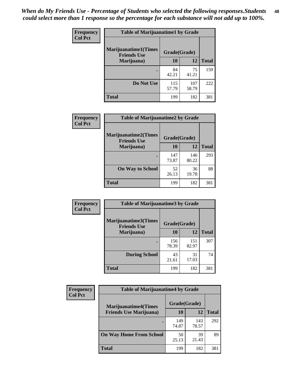| Frequency      | <b>Table of Marijuanatime1 by Grade</b>           |              |              |              |
|----------------|---------------------------------------------------|--------------|--------------|--------------|
| <b>Col Pct</b> | <b>Marijuanatime1(Times</b><br><b>Friends Use</b> | Grade(Grade) |              |              |
|                | Marijuana)                                        | 10           | 12           | <b>Total</b> |
|                |                                                   | 84<br>42.21  | 75<br>41.21  | 159          |
|                | Do Not Use                                        | 115<br>57.79 | 107<br>58.79 | 222          |
|                | <b>Total</b>                                      | 199          | 182          | 381          |

| Frequency      | <b>Table of Marijuanatime2 by Grade</b>           |              |              |              |
|----------------|---------------------------------------------------|--------------|--------------|--------------|
| <b>Col Pct</b> | <b>Marijuanatime2(Times</b><br><b>Friends Use</b> | Grade(Grade) |              |              |
|                | Marijuana)                                        | 10           | 12           | <b>Total</b> |
|                |                                                   | 147<br>73.87 | 146<br>80.22 | 293          |
|                | <b>On Way to School</b>                           | 52<br>26.13  | 36<br>19.78  | 88           |
|                | <b>Total</b>                                      | 199          | 182          | 381          |

| Frequency<br><b>Col Pct</b> | <b>Table of Marijuanatime3 by Grade</b>    |              |              |              |  |
|-----------------------------|--------------------------------------------|--------------|--------------|--------------|--|
|                             | Marijuanatime3(Times<br><b>Friends Use</b> | Grade(Grade) |              |              |  |
|                             | Marijuana)                                 | 10           | 12           | <b>Total</b> |  |
|                             |                                            | 156<br>78.39 | 151<br>82.97 | 307          |  |
|                             | <b>During School</b>                       | 43<br>21.61  | 31<br>17.03  | 74           |  |
|                             | Total                                      | 199          | 182          | 381          |  |

| <b>Frequency</b><br><b>Col Pct</b> | <b>Table of Marijuanatime4 by Grade</b> |              |              |       |
|------------------------------------|-----------------------------------------|--------------|--------------|-------|
|                                    | <b>Marijuanatime4(Times</b>             | Grade(Grade) |              |       |
|                                    | <b>Friends Use Marijuana</b> )          | 10           | 12           | Total |
|                                    |                                         | 149<br>74.87 | 143<br>78.57 | 292   |
|                                    | <b>On Way Home From School</b>          | 50<br>25.13  | 39<br>21.43  | 89    |
|                                    | <b>Total</b>                            | 199          | 182          | 381   |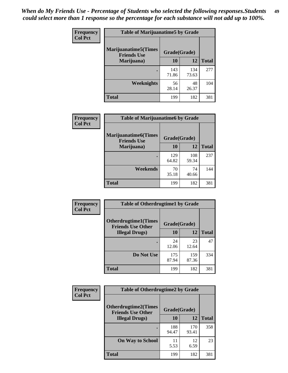| Frequency      | <b>Table of Marijuanatime5 by Grade</b>            |              |              |              |
|----------------|----------------------------------------------------|--------------|--------------|--------------|
| <b>Col Pct</b> | <b>Marijuanatime5</b> (Times<br><b>Friends Use</b> | Grade(Grade) |              |              |
|                | Marijuana)                                         | 10           | 12           | <b>Total</b> |
|                |                                                    | 143<br>71.86 | 134<br>73.63 | 277          |
|                | Weeknights                                         | 56<br>28.14  | 48<br>26.37  | 104          |
|                | <b>Total</b>                                       | 199          | 182          | 381          |

| Frequency      | <b>Table of Marijuanatime6 by Grade</b>            |              |              |              |
|----------------|----------------------------------------------------|--------------|--------------|--------------|
| <b>Col Pct</b> | <b>Marijuanatime6</b> (Times<br><b>Friends Use</b> | Grade(Grade) |              |              |
|                | Marijuana)                                         | 10           | 12           | <b>Total</b> |
|                |                                                    | 129<br>64.82 | 108<br>59.34 | 237          |
|                | Weekends                                           | 70<br>35.18  | 74<br>40.66  | 144          |
|                | <b>Total</b>                                       | 199          | 182          | 381          |

| <b>Frequency</b> | <b>Table of Otherdrugtime1 by Grade</b>                  |              |              |              |  |
|------------------|----------------------------------------------------------|--------------|--------------|--------------|--|
| <b>Col Pct</b>   | <b>Otherdrugtime1</b> (Times<br><b>Friends Use Other</b> | Grade(Grade) |              |              |  |
|                  | <b>Illegal Drugs</b> )                                   | 10           | 12           | <b>Total</b> |  |
|                  |                                                          | 24<br>12.06  | 23<br>12.64  | 47           |  |
|                  | Do Not Use                                               | 175<br>87.94 | 159<br>87.36 | 334          |  |
|                  | Total                                                    | 199          | 182          | 381          |  |

| <b>Frequency</b><br><b>Col Pct</b> | <b>Table of Otherdrugtime2 by Grade</b>                 |              |              |              |  |  |  |
|------------------------------------|---------------------------------------------------------|--------------|--------------|--------------|--|--|--|
|                                    | <b>Otherdrugtime2(Times</b><br><b>Friends Use Other</b> | Grade(Grade) |              |              |  |  |  |
|                                    | <b>Illegal Drugs</b> )                                  | 10           | 12           | <b>Total</b> |  |  |  |
|                                    |                                                         | 188<br>94.47 | 170<br>93.41 | 358          |  |  |  |
|                                    | <b>On Way to School</b>                                 | 11<br>5.53   | 12<br>6.59   | 23           |  |  |  |
|                                    | <b>Total</b>                                            | 199          | 182          | 381          |  |  |  |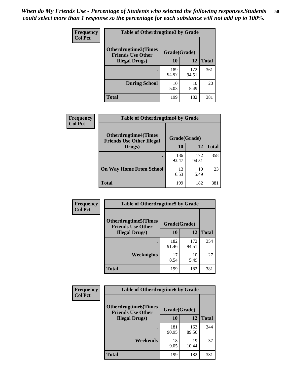| <b>Frequency</b> | <b>Table of Otherdrugtime3 by Grade</b>                                 |              |              |              |  |  |
|------------------|-------------------------------------------------------------------------|--------------|--------------|--------------|--|--|
| <b>Col Pct</b>   | <b>Otherdrugtime3(Times</b><br>Grade(Grade)<br><b>Friends Use Other</b> |              |              |              |  |  |
|                  | <b>Illegal Drugs)</b>                                                   | 10           | 12           | <b>Total</b> |  |  |
|                  |                                                                         | 189<br>94.97 | 172<br>94.51 | 361          |  |  |
|                  | <b>During School</b>                                                    | 10<br>5.03   | 10<br>5.49   | 20           |  |  |
|                  | Total                                                                   | 199          | 182          | 381          |  |  |

| <b>Frequency</b> | <b>Table of Otherdrugtime4 by Grade</b>                         |              |              |              |  |  |
|------------------|-----------------------------------------------------------------|--------------|--------------|--------------|--|--|
| <b>Col Pct</b>   | <b>Otherdrugtime4(Times</b><br><b>Friends Use Other Illegal</b> | Grade(Grade) |              |              |  |  |
|                  | Drugs)                                                          | 10           | 12           | <b>Total</b> |  |  |
|                  | $\bullet$                                                       | 186<br>93.47 | 172<br>94.51 | 358          |  |  |
|                  | <b>On Way Home From School</b>                                  | 13<br>6.53   | 10<br>5.49   | 23           |  |  |
|                  | <b>Total</b>                                                    | 199          | 182          | 381          |  |  |

| <b>Frequency</b> | <b>Table of Otherdrugtime5 by Grade</b>                  |              |              |              |  |  |
|------------------|----------------------------------------------------------|--------------|--------------|--------------|--|--|
| <b>Col Pct</b>   | <b>Otherdrugtime5</b> (Times<br><b>Friends Use Other</b> | Grade(Grade) |              |              |  |  |
|                  | <b>Illegal Drugs</b> )                                   | 10           | 12           | <b>Total</b> |  |  |
|                  |                                                          | 182<br>91.46 | 172<br>94.51 | 354          |  |  |
|                  | Weeknights                                               | 17<br>8.54   | 10<br>5.49   | 27           |  |  |
|                  | <b>Total</b>                                             | 199          | 182          | 381          |  |  |

| Frequency      | <b>Table of Otherdrugtime6 by Grade</b>                 |              |              |              |  |  |
|----------------|---------------------------------------------------------|--------------|--------------|--------------|--|--|
| <b>Col Pct</b> | <b>Otherdrugtime6(Times</b><br><b>Friends Use Other</b> | Grade(Grade) |              |              |  |  |
|                | <b>Illegal Drugs</b> )                                  | 10           | 12           | <b>Total</b> |  |  |
|                |                                                         | 181<br>90.95 | 163<br>89.56 | 344          |  |  |
|                | Weekends                                                | 18<br>9.05   | 19<br>10.44  | 37           |  |  |
|                | <b>Total</b>                                            | 199          | 182          | 381          |  |  |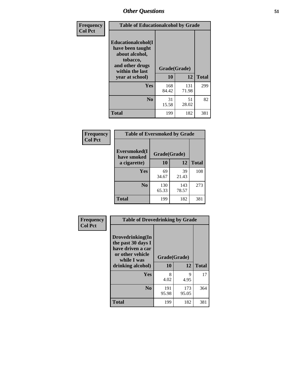| Frequency      | <b>Table of Educationalcohol by Grade</b>                                                                  |              |              |              |  |  |
|----------------|------------------------------------------------------------------------------------------------------------|--------------|--------------|--------------|--|--|
| <b>Col Pct</b> | Educationalcohol(I<br>have been taught<br>about alcohol,<br>tobacco,<br>and other drugs<br>within the last | Grade(Grade) |              |              |  |  |
|                | year at school)                                                                                            | 10           | 12           | <b>Total</b> |  |  |
|                | Yes                                                                                                        | 168<br>84.42 | 131<br>71.98 | 299          |  |  |
|                | N <sub>0</sub>                                                                                             | 31<br>15.58  | 51<br>28.02  | 82           |  |  |
|                | <b>Total</b>                                                                                               | 199          | 182          | 381          |  |  |

| Frequency      | <b>Table of Eversmoked by Grade</b>         |              |              |              |  |  |  |
|----------------|---------------------------------------------|--------------|--------------|--------------|--|--|--|
| <b>Col Pct</b> | Eversmoked(I<br>Grade(Grade)<br>have smoked |              |              |              |  |  |  |
|                | a cigarette)                                | 10           | 12           | <b>Total</b> |  |  |  |
|                | <b>Yes</b>                                  | 69<br>34.67  | 39<br>21.43  | 108          |  |  |  |
|                | N <sub>0</sub>                              | 130<br>65.33 | 143<br>78.57 | 273          |  |  |  |
|                | <b>Total</b>                                | 199          | 182          | 381          |  |  |  |

| Frequency<br><b>Col Pct</b> | <b>Table of Drovedrinking by Grade</b>                                                                              |                    |              |              |
|-----------------------------|---------------------------------------------------------------------------------------------------------------------|--------------------|--------------|--------------|
|                             | Drovedrinking(In<br>the past 30 days I<br>have driven a car<br>or other vehicle<br>while I was<br>drinking alcohol) | Grade(Grade)<br>10 | 12           | <b>Total</b> |
|                             | <b>Yes</b>                                                                                                          | 8<br>4.02          | 9<br>4.95    | 17           |
|                             | N <sub>0</sub>                                                                                                      | 191<br>95.98       | 173<br>95.05 | 364          |
|                             | <b>Total</b>                                                                                                        | 199                | 182          | 381          |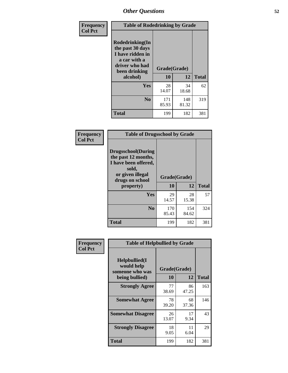| Frequency<br><b>Col Pct</b> | <b>Table of Rodedrinking by Grade</b>                                                                                  |                    |              |     |  |  |
|-----------------------------|------------------------------------------------------------------------------------------------------------------------|--------------------|--------------|-----|--|--|
|                             | Rodedrinking(In<br>the past 30 days<br>I have ridden in<br>a car with a<br>driver who had<br>been drinking<br>alcohol) | Grade(Grade)<br>10 | <b>Total</b> |     |  |  |
|                             | <b>Yes</b>                                                                                                             | 28<br>14.07        | 34<br>18.68  | 62  |  |  |
|                             | N <sub>0</sub>                                                                                                         | 171<br>85.93       | 148<br>81.32 | 319 |  |  |
|                             | <b>Total</b>                                                                                                           | 199                | 182          | 381 |  |  |

#### **Frequency Col Pct**

| <b>Table of Drugsschool by Grade</b>                                                                                      |              |              |              |  |  |  |
|---------------------------------------------------------------------------------------------------------------------------|--------------|--------------|--------------|--|--|--|
| <b>Drugsschool</b> (During<br>the past 12 months,<br>I have been offered,<br>sold,<br>or given illegal<br>drugs on school | Grade(Grade) |              |              |  |  |  |
| property)                                                                                                                 | 10           | 12           | <b>Total</b> |  |  |  |
| Yes                                                                                                                       | 29<br>14.57  | 28<br>15.38  | 57           |  |  |  |
| N <sub>0</sub>                                                                                                            | 170<br>85.43 | 154<br>84.62 | 324          |  |  |  |
| <b>Total</b>                                                                                                              | 199          | 182          | 381          |  |  |  |

| Frequency      | <b>Table of Helpbullied by Grade</b>                 |              |             |              |  |  |  |
|----------------|------------------------------------------------------|--------------|-------------|--------------|--|--|--|
| <b>Col Pct</b> | $Helpb$ ullied $(I$<br>would help<br>someone who was | Grade(Grade) |             |              |  |  |  |
|                | being bullied)                                       | 10           | 12          | <b>Total</b> |  |  |  |
|                | <b>Strongly Agree</b>                                | 77<br>38.69  | 86<br>47.25 | 163          |  |  |  |
|                | <b>Somewhat Agree</b>                                | 78<br>39.20  | 68<br>37.36 | 146          |  |  |  |
|                | <b>Somewhat Disagree</b>                             | 26<br>13.07  | 17<br>9.34  | 43           |  |  |  |
|                | <b>Strongly Disagree</b>                             | 18<br>9.05   | 11<br>6.04  | 29           |  |  |  |
|                | <b>Total</b>                                         | 199          | 182         | 381          |  |  |  |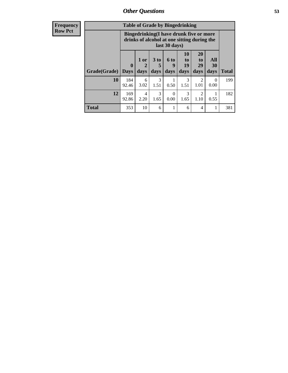| <b>Frequency</b><br><b>Row Pct</b> | <b>Table of Grade by Bingedrinking</b><br>Bingedrinking(I have drunk five or more<br>drinks of alcohol at one sitting during the<br>last 30 days) |              |              |                              |                     |                                  |                                           |                   |              |
|------------------------------------|---------------------------------------------------------------------------------------------------------------------------------------------------|--------------|--------------|------------------------------|---------------------|----------------------------------|-------------------------------------------|-------------------|--------------|
|                                    | Grade(Grade)   Days                                                                                                                               | $\mathbf 0$  | 1 or<br>days | 3 <sub>to</sub><br>5<br>days | $6$ to<br>9<br>days | 10<br>$\mathbf{t}$<br>19<br>days | <b>20</b><br>t <sub>0</sub><br>29<br>days | All<br>30<br>days | <b>Total</b> |
|                                    | 10                                                                                                                                                | 184<br>92.46 | 6<br>3.02    | 3<br>1.51                    | 0.50                | 3<br>1.51                        | $\mathcal{D}_{\mathcal{L}}$<br>1.01       | 0<br>0.00         | 199          |
|                                    | 12                                                                                                                                                | 169<br>92.86 | 4<br>2.20    | 3<br>1.65                    | 0<br>0.00           | 3<br>1.65                        | $\mathfrak{D}$<br>1.10                    | 0.55              | 182          |
|                                    | <b>Total</b>                                                                                                                                      | 353          | 10           | 6                            | 1                   | 6                                | 4                                         |                   | 381          |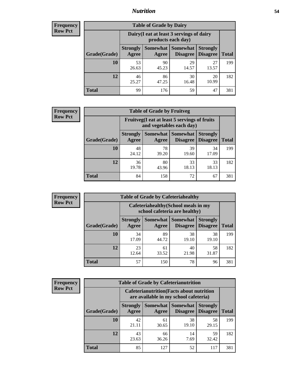#### *Nutrition* **54**

| <b>Frequency</b><br>Row Pct |
|-----------------------------|
|                             |

| <b>Table of Grade by Dairy</b> |                          |                                                                 |                             |                                    |              |  |
|--------------------------------|--------------------------|-----------------------------------------------------------------|-----------------------------|------------------------------------|--------------|--|
|                                |                          | Dairy (I eat at least 3 servings of dairy<br>products each day) |                             |                                    |              |  |
| Grade(Grade)                   | <b>Strongly</b><br>Agree | <b>Somewhat</b><br>Agree                                        | <b>Somewhat</b><br>Disagree | <b>Strongly</b><br><b>Disagree</b> | <b>Total</b> |  |
| 10                             | 53<br>26.63              | 90<br>45.23                                                     | 29<br>14.57                 | 27<br>13.57                        | 199          |  |
| 12                             | 46<br>25.27              | 86<br>47.25                                                     | 30<br>16.48                 | 20<br>10.99                        | 182          |  |
| <b>Total</b>                   | 99                       | 176                                                             | 59                          | 47                                 | 381          |  |

| <b>Frequency</b> |  |
|------------------|--|
| <b>Row Pct</b>   |  |

| <b>Table of Grade by Fruitveg</b> |                          |                                                                          |                                 |                                    |              |  |
|-----------------------------------|--------------------------|--------------------------------------------------------------------------|---------------------------------|------------------------------------|--------------|--|
|                                   |                          | Fruitveg(I eat at least 5 servings of fruits<br>and vegetables each day) |                                 |                                    |              |  |
| Grade(Grade)                      | <b>Strongly</b><br>Agree | Agree                                                                    | Somewhat   Somewhat<br>Disagree | <b>Strongly</b><br><b>Disagree</b> | <b>Total</b> |  |
| 10                                | 48<br>24.12              | 78<br>39.20                                                              | 39<br>19.60                     | 34<br>17.09                        | 199          |  |
| 12                                | 36<br>19.78              | 80<br>43.96                                                              | 33<br>18.13                     | 33<br>18.13                        | 182          |  |
| <b>Total</b>                      | 84                       | 158                                                                      | 72                              | 67                                 | 381          |  |

| <b>Frequency</b> | <b>Table of Grade by Cafeteriahealthy</b> |                                                                       |                     |                      |                                    |              |  |  |
|------------------|-------------------------------------------|-----------------------------------------------------------------------|---------------------|----------------------|------------------------------------|--------------|--|--|
| <b>Row Pct</b>   |                                           | Cafeteriahealthy (School meals in my<br>school cafeteria are healthy) |                     |                      |                                    |              |  |  |
|                  | Grade(Grade)                              | <b>Strongly</b><br>Agree                                              | Somewhat  <br>Agree | Somewhat<br>Disagree | <b>Strongly</b><br><b>Disagree</b> | <b>Total</b> |  |  |
|                  | 10                                        | 34<br>17.09                                                           | 89<br>44.72         | 38<br>19.10          | 38<br>19.10                        | 199          |  |  |
|                  | 12                                        | 23<br>12.64                                                           | 61<br>33.52         | 40<br>21.98          | 58<br>31.87                        | 182          |  |  |
|                  | <b>Total</b>                              | 57                                                                    | 150                 | 78                   | 96                                 | 381          |  |  |

| <b>Frequency</b> |
|------------------|
| <b>Row Pct</b>   |

| <b>Table of Grade by Cafeterianutrition</b> |                                                                                           |                          |                             |                                    |              |  |
|---------------------------------------------|-------------------------------------------------------------------------------------------|--------------------------|-----------------------------|------------------------------------|--------------|--|
|                                             | <b>Cafeterianutrition</b> (Facts about nutrition<br>are available in my school cafeteria) |                          |                             |                                    |              |  |
| Grade(Grade)                                | <b>Strongly</b><br>Agree                                                                  | <b>Somewhat</b><br>Agree | <b>Somewhat</b><br>Disagree | <b>Strongly</b><br><b>Disagree</b> | <b>Total</b> |  |
| 10                                          | 42<br>21.11                                                                               | 61<br>30.65              | 38<br>19.10                 | 58<br>29.15                        | 199          |  |
| 12                                          | 43<br>23.63                                                                               | 66<br>36.26              | 14<br>7.69                  | 59<br>32.42                        | 182          |  |
| Total                                       | 85                                                                                        | 127                      | 52                          | 117                                | 381          |  |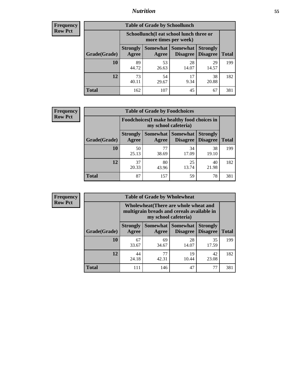### *Nutrition* **55**

| <b>Frequency</b> |
|------------------|
| <b>Row Pct</b>   |

| <b>Table of Grade by Schoollunch</b> |                          |                                                                 |                             |                                    |              |  |
|--------------------------------------|--------------------------|-----------------------------------------------------------------|-----------------------------|------------------------------------|--------------|--|
|                                      |                          | Schoollunch(I eat school lunch three or<br>more times per week) |                             |                                    |              |  |
| Grade(Grade)                         | <b>Strongly</b><br>Agree | Somewhat<br>Agree                                               | <b>Somewhat</b><br>Disagree | <b>Strongly</b><br><b>Disagree</b> | <b>Total</b> |  |
| 10                                   | 89<br>44.72              | 53<br>26.63                                                     | 28<br>14.07                 | 29<br>14.57                        | 199          |  |
| 12                                   | 73<br>40.11              | 54<br>29.67                                                     | 17<br>9.34                  | 38<br>20.88                        | 182          |  |
| <b>Total</b>                         | 162                      | 107                                                             | 45                          | 67                                 | 381          |  |

| <b>Frequency</b> |  |
|------------------|--|
| <b>Row Pct</b>   |  |

|                                                                     |                          | <b>Table of Grade by Foodchoices</b> |                               |                                    |              |
|---------------------------------------------------------------------|--------------------------|--------------------------------------|-------------------------------|------------------------------------|--------------|
| Foodchoices (I make healthy food choices in<br>my school cafeteria) |                          |                                      |                               |                                    |              |
| Grade(Grade)                                                        | <b>Strongly</b><br>Agree | Agree                                | Somewhat Somewhat<br>Disagree | <b>Strongly</b><br><b>Disagree</b> | <b>Total</b> |
| 10                                                                  | 50<br>25.13              | 77<br>38.69                          | 34<br>17.09                   | 38<br>19.10                        | 199          |
| 12                                                                  | 37<br>20.33              | 80<br>43.96                          | 25<br>13.74                   | 40<br>21.98                        | 182          |
| Total                                                               | 87                       | 157                                  | 59                            | 78                                 | 381          |

| <b>Frequency</b> |  |
|------------------|--|
| <b>Row Pct</b>   |  |

| <b>Table of Grade by Wholewheat</b> |                                                                                                             |             |                                          |                                    |              |  |
|-------------------------------------|-------------------------------------------------------------------------------------------------------------|-------------|------------------------------------------|------------------------------------|--------------|--|
|                                     | Wholewheat (There are whole wheat and<br>multigrain breads and cereals available in<br>my school cafeteria) |             |                                          |                                    |              |  |
| Grade(Grade)                        | <b>Strongly</b><br>Agree                                                                                    | Agree       | Somewhat   Somewhat  <br><b>Disagree</b> | <b>Strongly</b><br><b>Disagree</b> | <b>Total</b> |  |
| 10                                  | 67<br>33.67                                                                                                 | 69<br>34.67 | 28<br>14.07                              | 35<br>17.59                        | 199          |  |
| 12                                  | 44<br>24.18                                                                                                 | 77<br>42.31 | 19<br>10.44                              | 42<br>23.08                        | 182          |  |
| <b>Total</b>                        | 111                                                                                                         | 146         | 47                                       |                                    | 381          |  |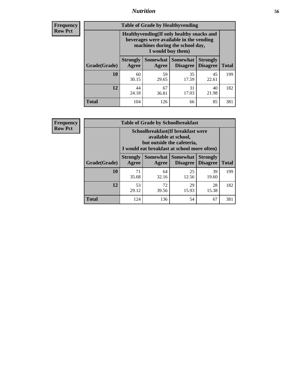#### *Nutrition* **56**

**Frequency Row Pct**

| <b>Table of Grade by Healthyvending</b> |                                                                                                                                               |                          |                                    |                                    |              |  |
|-----------------------------------------|-----------------------------------------------------------------------------------------------------------------------------------------------|--------------------------|------------------------------------|------------------------------------|--------------|--|
|                                         | Healthyvending (If only healthy snacks and<br>beverages were available in the vending<br>machines during the school day,<br>I would buy them) |                          |                                    |                                    |              |  |
| Grade(Grade)                            | <b>Strongly</b><br>Agree                                                                                                                      | <b>Somewhat</b><br>Agree | <b>Somewhat</b><br><b>Disagree</b> | <b>Strongly</b><br><b>Disagree</b> | <b>Total</b> |  |
| 10                                      | 60<br>30.15                                                                                                                                   | 59<br>29.65              | 35<br>17.59                        | 45<br>22.61                        | 199          |  |
| 12                                      | 44<br>24.18                                                                                                                                   | 67<br>36.81              | 31<br>17.03                        | 40<br>21.98                        | 182          |  |
| Total                                   | 104                                                                                                                                           | 126                      | 66                                 | 85                                 | 381          |  |

**Frequency Row Pct**

| <b>Table of Grade by Schoolbreakfast</b> |                                                                                                                                        |                     |                                    |                                    |              |  |
|------------------------------------------|----------------------------------------------------------------------------------------------------------------------------------------|---------------------|------------------------------------|------------------------------------|--------------|--|
|                                          | Schoolbreakfast(If breakfast were<br>available at school,<br>but outside the cafeteria,<br>I would eat breakfast at school more often) |                     |                                    |                                    |              |  |
| Grade(Grade)                             | <b>Strongly</b><br>Agree                                                                                                               | Somewhat  <br>Agree | <b>Somewhat</b><br><b>Disagree</b> | <b>Strongly</b><br><b>Disagree</b> | <b>Total</b> |  |
| 10                                       | 71<br>35.68                                                                                                                            | 64<br>32.16         | 25<br>12.56                        | 39<br>19.60                        | 199          |  |
| 12                                       | 53<br>29.12                                                                                                                            | 72<br>39.56         | 29<br>15.93                        | 28<br>15.38                        | 182          |  |
| <b>Total</b>                             | 124                                                                                                                                    | 136                 | 54                                 | 67                                 | 381          |  |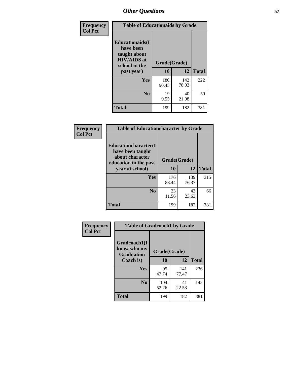| Frequency<br><b>Col Pct</b> | <b>Table of Educationaids by Grade</b>                                                                    |                    |              |              |
|-----------------------------|-----------------------------------------------------------------------------------------------------------|--------------------|--------------|--------------|
|                             | <b>Educationaids</b> (I<br>have been<br>taught about<br><b>HIV/AIDS</b> at<br>school in the<br>past year) | Grade(Grade)<br>10 | 12           | <b>Total</b> |
|                             | Yes                                                                                                       | 180<br>90.45       | 142<br>78.02 | 322          |
|                             | N <sub>0</sub>                                                                                            | 19<br>9.55         | 40<br>21.98  | 59           |
|                             | <b>Total</b>                                                                                              | 199                | 182          | 381          |

| Frequency      | <b>Table of Educationcharacter by Grade</b>                 |              |              |              |
|----------------|-------------------------------------------------------------|--------------|--------------|--------------|
| <b>Col Pct</b> | Educationcharacter(I<br>have been taught<br>about character |              |              |              |
|                | education in the past                                       | Grade(Grade) |              |              |
|                | year at school)                                             | 10           | 12           | <b>Total</b> |
|                | <b>Yes</b>                                                  | 176<br>88.44 | 139<br>76.37 | 315          |
|                |                                                             |              |              |              |
|                | N <sub>0</sub>                                              | 23           | 43           | 66           |
|                |                                                             | 11.56        | 23.63        |              |
|                | <b>Total</b>                                                | 199          | 182          | 381          |

| Frequency      | <b>Table of Gradcoach1 by Grade</b> |              |              |              |
|----------------|-------------------------------------|--------------|--------------|--------------|
| <b>Col Pct</b> | Gradcoach1(I                        |              |              |              |
|                | know who my<br><b>Graduation</b>    | Grade(Grade) |              |              |
|                | Coach is)                           | 10           | 12           | <b>Total</b> |
|                | Yes                                 | 95<br>47.74  | 141<br>77.47 | 236          |
|                | N <sub>0</sub>                      | 104<br>52.26 | 41<br>22.53  | 145          |
|                | <b>Total</b>                        | 199          | 182          | 381          |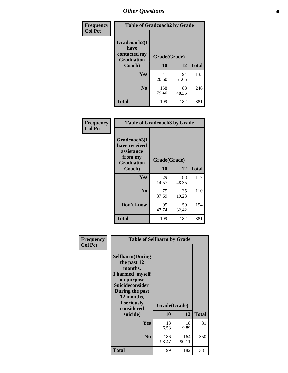| <b>Frequency</b> | <b>Table of Gradcoach2 by Grade</b> |              |              |              |
|------------------|-------------------------------------|--------------|--------------|--------------|
| <b>Col Pct</b>   | Gradcoach2(I<br>have                |              |              |              |
|                  | contacted my<br><b>Graduation</b>   |              | Grade(Grade) |              |
|                  | Coach)                              | 10           | 12           | <b>Total</b> |
|                  | Yes                                 | 41<br>20.60  | 94<br>51.65  | 135          |
|                  | N <sub>0</sub>                      | 158<br>79.40 | 88<br>48.35  | 246          |
|                  | <b>Total</b>                        | 199          | 182          | 381          |

| Frequency<br><b>Col Pct</b> | <b>Table of Gradcoach3 by Grade</b>                                         |              |       |              |
|-----------------------------|-----------------------------------------------------------------------------|--------------|-------|--------------|
|                             | Gradcoach3(I<br>have received<br>assistance<br>from my<br><b>Graduation</b> | Grade(Grade) |       |              |
|                             | Coach)                                                                      | 10           | 12    | <b>Total</b> |
|                             | Yes                                                                         | 29           | 88    | 117          |
|                             |                                                                             | 14.57        | 48.35 |              |
|                             | N <sub>0</sub>                                                              | 75           | 35    | 110          |
|                             |                                                                             | 37.69        | 19.23 |              |
|                             | Don't know                                                                  | 95           | 59    | 154          |
|                             |                                                                             | 47.74        | 32.42 |              |
|                             | <b>Total</b>                                                                | 199          | 182   | 381          |

| Frequency      | <b>Table of Selfharm by Grade</b>                                                                                                                                                      |                    |              |              |
|----------------|----------------------------------------------------------------------------------------------------------------------------------------------------------------------------------------|--------------------|--------------|--------------|
| <b>Col Pct</b> | <b>Selfharm</b> (During<br>the past 12<br>months,<br>I harmed myself<br>on purpose<br><b>Suicideconsider</b><br>During the past<br>12 months,<br>I seriously<br>considered<br>suicide) | Grade(Grade)<br>10 | 12           | <b>Total</b> |
|                | Yes                                                                                                                                                                                    | 13<br>6.53         | 18<br>9.89   | 31           |
|                | N <sub>0</sub>                                                                                                                                                                         | 186<br>93.47       | 164<br>90.11 | 350          |
|                | <b>Total</b>                                                                                                                                                                           | 199                | 182          | 381          |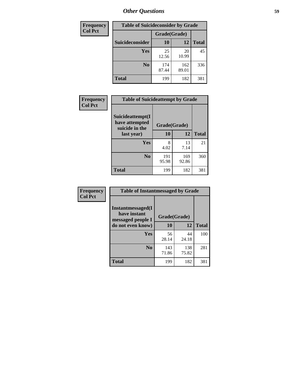| <b>Frequency</b> | <b>Table of Suicideconsider by Grade</b> |              |              |              |
|------------------|------------------------------------------|--------------|--------------|--------------|
| <b>Col Pct</b>   |                                          | Grade(Grade) |              |              |
|                  | <b>Suicideconsider</b>                   | <b>10</b>    | 12           | <b>Total</b> |
|                  | Yes                                      | 25<br>12.56  | 20<br>10.99  | 45           |
|                  | N <sub>0</sub>                           | 174<br>87.44 | 162<br>89.01 | 336          |
|                  | Total                                    | 199          | 182          | 381          |

| Frequency      | <b>Table of Suicideattempt by Grade</b>              |              |              |              |
|----------------|------------------------------------------------------|--------------|--------------|--------------|
| <b>Col Pct</b> | Suicideattempt(I<br>have attempted<br>suicide in the | Grade(Grade) |              |              |
|                | last year)                                           | 10           | 12           | <b>Total</b> |
|                | Yes                                                  | 8<br>4.02    | 13<br>7.14   | 21           |
|                | N <sub>0</sub>                                       | 191<br>95.98 | 169<br>92.86 | 360          |
|                | <b>Total</b>                                         | 199          | 182          | 381          |

| Frequency      | <b>Table of Instantmessaged by Grade</b>               |              |              |              |
|----------------|--------------------------------------------------------|--------------|--------------|--------------|
| <b>Col Pct</b> | Instantmessaged(I<br>have instant<br>messaged people I | Grade(Grade) |              |              |
|                | do not even know)                                      | 10           | 12           | <b>Total</b> |
|                | Yes                                                    | 56<br>28.14  | 44<br>24.18  | 100          |
|                | N <sub>0</sub>                                         | 143<br>71.86 | 138<br>75.82 | 281          |
|                | <b>Total</b>                                           | 199          | 182          | 381          |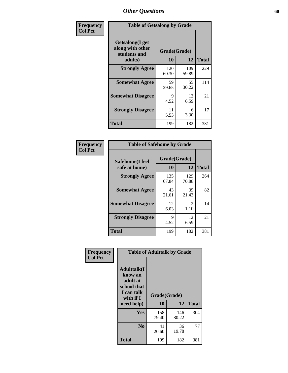| Frequency      | <b>Table of Getsalong by Grade</b>                          |              |              |              |  |  |  |
|----------------|-------------------------------------------------------------|--------------|--------------|--------------|--|--|--|
| <b>Col Pct</b> | <b>Getsalong</b> (I get<br>along with other<br>students and | Grade(Grade) |              |              |  |  |  |
|                | adults)                                                     | 10           | 12           | <b>Total</b> |  |  |  |
|                | <b>Strongly Agree</b>                                       | 120<br>60.30 | 109<br>59.89 | 229          |  |  |  |
|                | <b>Somewhat Agree</b>                                       | 59<br>29.65  | 55<br>30.22  | 114          |  |  |  |
|                | <b>Somewhat Disagree</b>                                    | 9<br>4.52    | 12<br>6.59   | 21           |  |  |  |
|                | <b>Strongly Disagree</b>                                    | 11<br>5.53   | 6<br>3.30    | 17           |  |  |  |
|                | <b>Total</b>                                                | 199          | 182          | 381          |  |  |  |

| Frequency      | <b>Table of Safehome by Grade</b> |                           |                        |              |  |  |  |
|----------------|-----------------------------------|---------------------------|------------------------|--------------|--|--|--|
| <b>Col Pct</b> | Safehome(I feel<br>safe at home)  | Grade(Grade)<br><b>10</b> | 12                     | <b>Total</b> |  |  |  |
|                | <b>Strongly Agree</b>             | 135<br>67.84              | 129<br>70.88           | 264          |  |  |  |
|                | <b>Somewhat Agree</b>             | 43<br>21.61               | 39<br>21.43            | 82           |  |  |  |
|                | <b>Somewhat Disagree</b>          | 12<br>6.03                | $\mathfrak{D}$<br>1.10 | 14           |  |  |  |
|                | <b>Strongly Disagree</b>          | Q<br>4.52                 | 12<br>6.59             | 21           |  |  |  |
|                | <b>Total</b>                      | 199                       | 182                    | 381          |  |  |  |

| Frequency      | <b>Table of Adulttalk by Grade</b>                                                                |                    |              |              |  |  |  |
|----------------|---------------------------------------------------------------------------------------------------|--------------------|--------------|--------------|--|--|--|
| <b>Col Pct</b> | <b>Adulttalk(I</b><br>know an<br>adult at<br>school that<br>I can talk<br>with if I<br>need help) | Grade(Grade)<br>10 | 12           | <b>Total</b> |  |  |  |
|                |                                                                                                   |                    |              |              |  |  |  |
|                | <b>Yes</b>                                                                                        | 158<br>79.40       | 146<br>80.22 | 304          |  |  |  |
|                | N <sub>0</sub>                                                                                    | 41<br>20.60        | 36<br>19.78  | 77           |  |  |  |
|                | <b>Total</b>                                                                                      | 199                | 182          | 381          |  |  |  |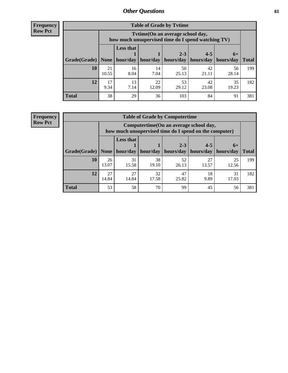**Frequency Row Pct**

| <b>Table of Grade by Tvtime</b> |             |                                                                                        |             |             |             |             |              |  |  |  |
|---------------------------------|-------------|----------------------------------------------------------------------------------------|-------------|-------------|-------------|-------------|--------------|--|--|--|
|                                 |             | Tvtime(On an average school day,<br>how much unsupervised time do I spend watching TV) |             |             |             |             |              |  |  |  |
|                                 |             | <b>Less that</b>                                                                       |             | $2 - 3$     | $4 - 5$     | $6+$        |              |  |  |  |
| Grade(Grade)                    | None        | hour/day                                                                               | hour/day    | hours/day   | hours/day   | hours/day   | <b>Total</b> |  |  |  |
| 10                              | 21<br>10.55 | 16<br>8.04                                                                             | 14<br>7.04  | 50<br>25.13 | 42<br>21.11 | 56<br>28.14 | 199          |  |  |  |
| 12                              | 17<br>9.34  | 13<br>7.14                                                                             | 22<br>12.09 | 53<br>29.12 | 42<br>23.08 | 35<br>19.23 | 182          |  |  |  |
| <b>Total</b>                    | 38          | 29                                                                                     | 36          | 103         | 84          | 91          | 381          |  |  |  |

**Frequency Row Pct**

| <b>Table of Grade by Computertime</b> |             |                                                                                                   |             |                      |                      |                   |              |  |  |  |
|---------------------------------------|-------------|---------------------------------------------------------------------------------------------------|-------------|----------------------|----------------------|-------------------|--------------|--|--|--|
|                                       |             | Computertime (On an average school day,<br>how much unsupervised time do I spend on the computer) |             |                      |                      |                   |              |  |  |  |
| Grade(Grade)                          | None $ $    | <b>Less that</b><br>hour/day                                                                      | hour/day    | $2 - 3$<br>hours/day | $4 - 5$<br>hours/day | $6+$<br>hours/day | <b>Total</b> |  |  |  |
| 10                                    | 26<br>13.07 | 31<br>15.58                                                                                       | 38<br>19.10 | 52<br>26.13          | 27<br>13.57          | 25<br>12.56       | 199          |  |  |  |
| 12                                    | 27<br>14.84 | 27<br>32<br>47<br>18<br>31<br>14.84<br>9.89<br>17.03<br>17.58<br>25.82                            |             |                      |                      |                   |              |  |  |  |
| <b>Total</b>                          | 53          | 58                                                                                                | 70          | 99                   | 45                   | 56                | 381          |  |  |  |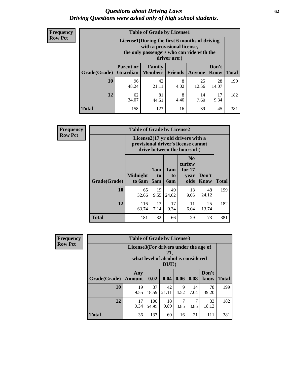#### *Questions about Driving Laws* **62** *Driving Questions were asked only of high school students.*

| <b>Frequency</b> |
|------------------|
| <b>Row Pct</b>   |

| <b>Table of Grade by License1</b> |                                     |                                                                                                                                           |                |               |               |              |  |  |  |  |
|-----------------------------------|-------------------------------------|-------------------------------------------------------------------------------------------------------------------------------------------|----------------|---------------|---------------|--------------|--|--|--|--|
|                                   |                                     | License1(During the first 6 months of driving<br>with a provisional license,<br>the only passengers who can ride with the<br>driver are:) |                |               |               |              |  |  |  |  |
| Grade(Grade)                      | <b>Parent or</b><br><b>Guardian</b> | Family<br><b>Members</b>                                                                                                                  | <b>Friends</b> | <b>Anyone</b> | Don't<br>Know | <b>Total</b> |  |  |  |  |
| 10                                | 96<br>48.24                         | 42<br>21.11                                                                                                                               | 8<br>4.02      | 25<br>12.56   | 28<br>14.07   | 199          |  |  |  |  |
| 12                                | 62<br>34.07                         | 81<br>8<br>17<br>14<br>4.40<br>9.34<br>44.51<br>7.69                                                                                      |                |               |               |              |  |  |  |  |
| <b>Total</b>                      | 158                                 | 123                                                                                                                                       | 16             | 39            | 45            | 381          |  |  |  |  |

| Frequency      |                                                                                                          | <b>Table of Grade by License2</b> |                              |                  |                                                      |                      |              |  |  |
|----------------|----------------------------------------------------------------------------------------------------------|-----------------------------------|------------------------------|------------------|------------------------------------------------------|----------------------|--------------|--|--|
| <b>Row Pct</b> | License2(17 yr old drivers with a<br>provisional driver's license cannot<br>drive between the hours of:) |                                   |                              |                  |                                                      |                      |              |  |  |
|                | Grade(Grade)                                                                                             | <b>Midnight</b><br>to 6am         | 1am<br>t <sub>0</sub><br>5am | 1am<br>to<br>6am | N <sub>0</sub><br>curfew<br>for $17$<br>year<br>olds | Don't<br><b>Know</b> | <b>Total</b> |  |  |
|                | 10                                                                                                       | 65<br>32.66                       | 19<br>9.55                   | 49<br>24.62      | 18<br>9.05                                           | 48<br>24.12          | 199          |  |  |
|                | 12                                                                                                       | 116<br>63.74                      | 13<br>7.14                   | 17<br>9.34       | 11<br>6.04                                           | 25<br>13.74          | 182          |  |  |
|                | <b>Total</b>                                                                                             | 181                               | 32                           | 66               | 29                                                   | 73                   | 381          |  |  |

| Frequency      |              | <b>Table of Grade by License3</b>                                                               |              |             |           |            |               |              |  |  |
|----------------|--------------|-------------------------------------------------------------------------------------------------|--------------|-------------|-----------|------------|---------------|--------------|--|--|
| <b>Row Pct</b> |              | License3(For drivers under the age of<br>21,<br>what level of alcohol is considered<br>$DUI$ ?) |              |             |           |            |               |              |  |  |
|                | Grade(Grade) | Any<br><b>Amount</b>                                                                            | 0.02         | 0.04        | 0.06      | 0.08       | Don't<br>know | <b>Total</b> |  |  |
|                | 10           | 19<br>9.55                                                                                      | 37<br>18.59  | 42<br>21.11 | 9<br>4.52 | 14<br>7.04 | 78<br>39.20   | 199          |  |  |
|                | 12           | 17<br>9.34                                                                                      | 100<br>54.95 | 18<br>9.89  | 7<br>3.85 | 7<br>3.85  | 33<br>18.13   | 182          |  |  |
|                | <b>Total</b> | 36                                                                                              | 137          | 60          | 16        | 21         | 111           | 381          |  |  |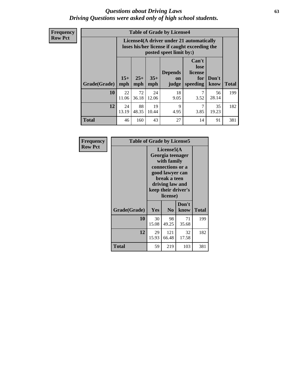#### *Questions about Driving Laws* **63** *Driving Questions were asked only of high school students.*

**Frequency Row Pct**

|              |             |                                                                                                                                                                                                                                                                                |             | <b>Table of Grade by License4</b> |           |             |     |  |  |  |
|--------------|-------------|--------------------------------------------------------------------------------------------------------------------------------------------------------------------------------------------------------------------------------------------------------------------------------|-------------|-----------------------------------|-----------|-------------|-----|--|--|--|
|              |             | License4(A driver under 21 automatically<br>loses his/her license if caught exceeding the<br>posted speet limit by:)<br>Can't<br>lose<br><b>Depends</b><br>license<br>$15+$<br>$25+$<br>$35+$<br>Don't<br>for<br>on<br><b>Total</b><br>mph<br>speeding<br>know<br>mph<br>judge |             |                                   |           |             |     |  |  |  |
| Grade(Grade) | mph         |                                                                                                                                                                                                                                                                                |             |                                   |           |             |     |  |  |  |
| 10           | 22<br>11.06 | 72<br>36.18                                                                                                                                                                                                                                                                    | 24<br>12.06 | 18<br>9.05                        | 7<br>3.52 | 56<br>28.14 | 199 |  |  |  |
| 12           | 24<br>13.19 | 88<br>19<br>9<br>7<br>35<br>48.35<br>3.85<br>10.44<br>4.95<br>19.23                                                                                                                                                                                                            |             |                                   |           |             |     |  |  |  |
| <b>Total</b> | 46          | 160                                                                                                                                                                                                                                                                            | 43          | 27                                | 14        | 91          | 381 |  |  |  |

| Frequency      | <b>Table of Grade by License5</b> |             |                                                                                                                                      |                     |       |
|----------------|-----------------------------------|-------------|--------------------------------------------------------------------------------------------------------------------------------------|---------------------|-------|
| <b>Row Pct</b> |                                   |             | License5(A)<br>Georgia teenager<br>with family<br>connections or a<br>good lawyer can<br>break a teen<br>driving law and<br>license) | keep their driver's |       |
|                | Grade(Grade)                      | <b>Yes</b>  | N <sub>0</sub>                                                                                                                       | Don't<br>know       | Total |
|                | 10                                | 30<br>15.08 | 98<br>49.25                                                                                                                          | 71<br>35.68         | 199   |
|                | 12                                | 29<br>15.93 | 121<br>66.48                                                                                                                         | 32<br>17.58         | 182   |
|                | Total                             | 59          | 219                                                                                                                                  | 103                 | 381   |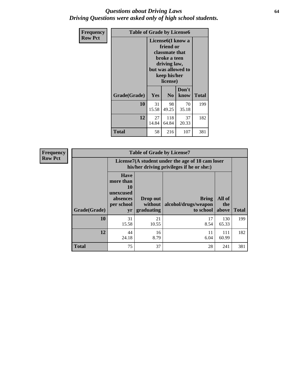#### *Questions about Driving Laws* **64** *Driving Questions were asked only of high school students.*

| <b>Frequency</b> | <b>Table of Grade by License6</b> |                                                                                                                                                 |                |               |              |
|------------------|-----------------------------------|-------------------------------------------------------------------------------------------------------------------------------------------------|----------------|---------------|--------------|
| <b>Row Pct</b>   |                                   | License <sub>6</sub> (I know a<br>friend or<br>classmate that<br>broke a teen<br>driving law,<br>but was allowed to<br>keep his/her<br>license) |                |               |              |
|                  | Grade(Grade)                      | <b>Yes</b>                                                                                                                                      | N <sub>0</sub> | Don't<br>know | <b>Total</b> |
|                  | 10                                | 31<br>15.58                                                                                                                                     | 98<br>49.25    | 70<br>35.18   | 199          |
|                  | 12                                | 118<br>27<br>37<br>14.84<br>20.33<br>64.84                                                                                                      |                |               | 182          |
|                  | <b>Total</b>                      | 58                                                                                                                                              | 216            | 107           | 381          |

| <b>Frequency</b> | <b>Table of Grade by License7</b> |                                                                             |                                     |                                                                                               |                        |              |
|------------------|-----------------------------------|-----------------------------------------------------------------------------|-------------------------------------|-----------------------------------------------------------------------------------------------|------------------------|--------------|
| <b>Row Pct</b>   |                                   |                                                                             |                                     | License7(A student under the age of 18 cam loser<br>his/her driving privileges if he or she:) |                        |              |
|                  | Grade(Grade)                      | <b>Have</b><br>more than<br>10<br>unexcused<br>absences<br>per school<br>yr | Drop out<br>without  <br>graduating | <b>Bring</b><br>alcohol/drugs/weapon<br>to school                                             | All of<br>the<br>above | <b>Total</b> |
|                  | 10                                | 31<br>15.58                                                                 | 21<br>10.55                         | 17<br>8.54                                                                                    | 130<br>65.33           | 199          |
|                  | 12                                | 44<br>24.18                                                                 | 16<br>8.79                          | 11<br>6.04                                                                                    | 111<br>60.99           | 182          |
|                  | <b>Total</b>                      | 75                                                                          | 37                                  | 28                                                                                            | 241                    | 381          |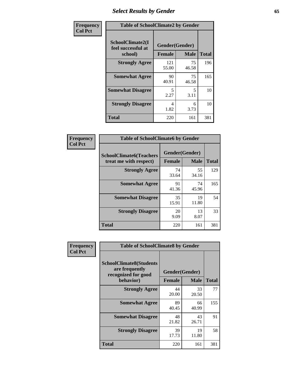# *Select Results by Gender* **65**

| Frequency      | <b>Table of SchoolClimate2 by Gender</b> |                      |                   |                     |
|----------------|------------------------------------------|----------------------|-------------------|---------------------|
| <b>Col Pct</b> | SchoolClimate2(I<br>feel successful at   | Gender(Gender)       |                   |                     |
|                | school)<br><b>Strongly Agree</b>         | <b>Female</b><br>121 | <b>Male</b><br>75 | <b>Total</b><br>196 |
|                |                                          | 55.00                | 46.58             |                     |
|                | <b>Somewhat Agree</b>                    | 90<br>40.91          | 75<br>46.58       | 165                 |
|                | <b>Somewhat Disagree</b>                 | 5<br>2.27            | 5.<br>3.11        | 10                  |
|                | <b>Strongly Disagree</b>                 | 4<br>1.82            | 6<br>3.73         | 10                  |
|                | <b>Total</b>                             | 220                  | 161               | 381                 |

| Frequency      | <b>Table of SchoolClimate6 by Gender</b>                 |                          |             |              |  |
|----------------|----------------------------------------------------------|--------------------------|-------------|--------------|--|
| <b>Col Pct</b> | <b>SchoolClimate6(Teachers</b><br>treat me with respect) | Gender(Gender)<br>Female | <b>Male</b> | <b>Total</b> |  |
|                | <b>Strongly Agree</b>                                    | 74<br>33.64              | 55<br>34.16 | 129          |  |
|                | <b>Somewhat Agree</b>                                    | 91<br>41.36              | 74<br>45.96 | 165          |  |
|                | <b>Somewhat Disagree</b>                                 | 35<br>15.91              | 19<br>11.80 | 54           |  |
|                | <b>Strongly Disagree</b>                                 | 20<br>9.09               | 13<br>8.07  | 33           |  |
|                | Total                                                    | 220                      | 161         | 381          |  |

| <b>Frequency</b> | <b>Table of SchoolClimate8 by Gender</b>                                             |               |                               |              |
|------------------|--------------------------------------------------------------------------------------|---------------|-------------------------------|--------------|
| <b>Col Pct</b>   | <b>SchoolClimate8(Students</b><br>are frequently<br>recognized for good<br>behavior) | <b>Female</b> | Gender(Gender)<br><b>Male</b> | <b>Total</b> |
|                  | <b>Strongly Agree</b>                                                                | 44<br>20.00   | 33<br>20.50                   | 77           |
|                  | <b>Somewhat Agree</b>                                                                | 89<br>40.45   | 66<br>40.99                   | 155          |
|                  | <b>Somewhat Disagree</b>                                                             | 48<br>21.82   | 43<br>26.71                   | 91           |
|                  | <b>Strongly Disagree</b>                                                             | 39<br>17.73   | 19<br>11.80                   | 58           |
|                  | Total                                                                                | 220           | 161                           | 381          |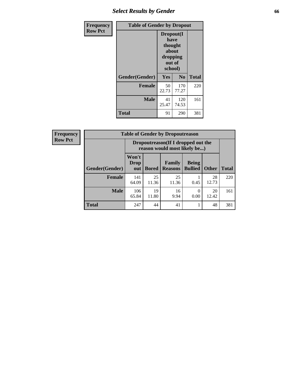### *Select Results by Gender* **66**

| <b>Frequency</b> | <b>Table of Gender by Dropout</b> |                                                                        |              |              |
|------------------|-----------------------------------|------------------------------------------------------------------------|--------------|--------------|
| <b>Row Pct</b>   |                                   | Dropout(I<br>have<br>thought<br>about<br>dropping<br>out of<br>school) |              |              |
|                  | Gender(Gender)                    | Yes                                                                    | No           | <b>Total</b> |
|                  | <b>Female</b>                     | 50<br>22.73                                                            | 170<br>77.27 | 220          |
|                  | <b>Male</b>                       | 41<br>25.47                                                            | 120<br>74.53 | 161          |
|                  | <b>Total</b>                      | 91                                                                     | 290          | 381          |

| <b>Frequency</b> | <b>Table of Gender by Dropoutreason</b> |                                                                    |              |                          |                                |              |              |
|------------------|-----------------------------------------|--------------------------------------------------------------------|--------------|--------------------------|--------------------------------|--------------|--------------|
| <b>Row Pct</b>   |                                         | Dropoutreason(If I dropped out the<br>reason would most likely be) |              |                          |                                |              |              |
|                  | Gender(Gender)                          | Won't<br><b>Drop</b><br>out                                        | <b>Bored</b> | Family<br><b>Reasons</b> | <b>Being</b><br><b>Bullied</b> | <b>Other</b> | <b>Total</b> |
|                  | Female                                  | 141<br>64.09                                                       | 25<br>11.36  | 25<br>11.36              | 0.45                           | 28<br>12.73  | 220          |
|                  | <b>Male</b>                             | 106<br>65.84                                                       | 19<br>11.80  | 16<br>9.94               | 0.00                           | 20<br>12.42  | 161          |
|                  | <b>Total</b>                            | 247                                                                | 44           | 41                       |                                | 48           | 381          |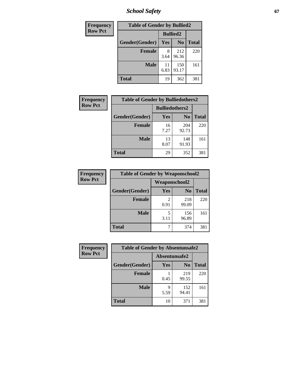*School Safety* **67**

| Frequency      | <b>Table of Gender by Bullied2</b> |                 |                |              |
|----------------|------------------------------------|-----------------|----------------|--------------|
| <b>Row Pct</b> |                                    | <b>Bullied2</b> |                |              |
|                | Gender(Gender)                     | Yes             | N <sub>0</sub> | <b>Total</b> |
|                | Female                             | 8<br>3.64       | 212<br>96.36   | 220          |
|                | <b>Male</b>                        | 11<br>6.83      | 150<br>93.17   | 161          |
|                | Total                              | 19              | 362            | 381          |

| <b>Frequency</b> | <b>Table of Gender by Bulliedothers2</b> |                       |                |              |
|------------------|------------------------------------------|-----------------------|----------------|--------------|
| <b>Row Pct</b>   |                                          | <b>Bulliedothers2</b> |                |              |
|                  | Gender(Gender)                           | <b>Yes</b>            | N <sub>0</sub> | <b>Total</b> |
|                  | <b>Female</b>                            | 16<br>7.27            | 204<br>92.73   | 220          |
|                  | <b>Male</b>                              | 13<br>8.07            | 148<br>91.93   | 161          |
|                  | <b>Total</b>                             | 29                    | 352            | 381          |

| <b>Frequency</b> | <b>Table of Gender by Weaponschool2</b> |                      |                |              |
|------------------|-----------------------------------------|----------------------|----------------|--------------|
| <b>Row Pct</b>   |                                         | <b>Weaponschool2</b> |                |              |
|                  | Gender(Gender)                          | Yes                  | N <sub>0</sub> | <b>Total</b> |
|                  | <b>Female</b>                           | 2<br>0.91            | 218<br>99.09   | 220          |
|                  | <b>Male</b>                             | 5<br>3.11            | 156<br>96.89   | 161          |
|                  | <b>Total</b>                            | 7                    | 374            | 381          |

| Frequency      | <b>Table of Gender by Absentunsafe2</b> |               |                |              |
|----------------|-----------------------------------------|---------------|----------------|--------------|
| <b>Row Pct</b> |                                         | Absentunsafe2 |                |              |
|                | Gender(Gender)                          | Yes           | N <sub>0</sub> | <b>Total</b> |
|                | <b>Female</b>                           | 0.45          | 219<br>99.55   | 220          |
|                | <b>Male</b>                             | q<br>5.59     | 152<br>94.41   | 161          |
|                | <b>Total</b>                            | 10            | 371            | 381          |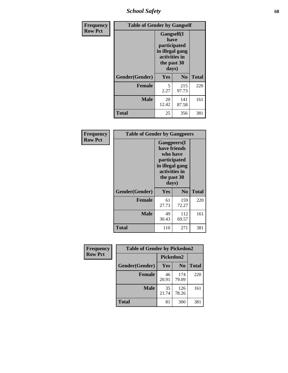*School Safety* **68**

| Frequency      | <b>Table of Gender by Gangself</b> |                                                                                                |                |              |
|----------------|------------------------------------|------------------------------------------------------------------------------------------------|----------------|--------------|
| <b>Row Pct</b> |                                    | Gangself(I<br>have<br>participated<br>in illegal gang<br>activities in<br>the past 30<br>days) |                |              |
|                | Gender(Gender)                     | Yes                                                                                            | N <sub>0</sub> | <b>Total</b> |
|                | <b>Female</b>                      | 5<br>2.27                                                                                      | 215<br>97.73   | 220          |
|                | <b>Male</b>                        | 20<br>12.42                                                                                    | 141<br>87.58   | 161          |
|                | <b>Total</b>                       | 25                                                                                             | 356            | 381          |

| Frequency      | <b>Table of Gender by Gangpeers</b> |                                                                                                             |                |              |
|----------------|-------------------------------------|-------------------------------------------------------------------------------------------------------------|----------------|--------------|
| <b>Row Pct</b> |                                     | <b>Gangpeers</b> (I<br>who have<br>participated<br>in illegal gang<br>activities in<br>the past 30<br>days) | have friends   |              |
|                | Gender(Gender)                      | <b>Yes</b>                                                                                                  | N <sub>0</sub> | <b>Total</b> |
|                | <b>Female</b>                       | 61<br>27.73                                                                                                 | 159<br>72.27   | 220          |
|                | <b>Male</b>                         | 49<br>30.43                                                                                                 | 112<br>69.57   | 161          |
|                | Total                               | 110                                                                                                         | 271            | 381          |

| Frequency      | <b>Table of Gender by Pickedon2</b> |             |                |              |  |
|----------------|-------------------------------------|-------------|----------------|--------------|--|
| <b>Row Pct</b> |                                     | Pickedon2   |                |              |  |
|                | Gender(Gender)                      | Yes         | N <sub>0</sub> | <b>Total</b> |  |
|                | <b>Female</b>                       | 46<br>20.91 | 174<br>79.09   | 220          |  |
|                | <b>Male</b>                         | 35<br>21.74 | 126<br>78.26   | 161          |  |
|                | <b>Total</b>                        | 81          | 300            | 381          |  |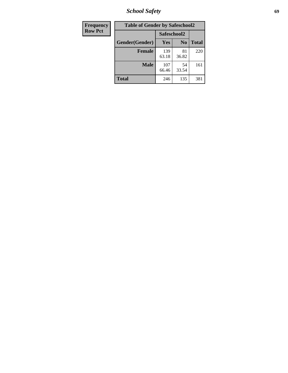*School Safety* **69**

| Frequency      | <b>Table of Gender by Safeschool2</b> |              |                |              |
|----------------|---------------------------------------|--------------|----------------|--------------|
| <b>Row Pct</b> |                                       | Safeschool2  |                |              |
|                | Gender(Gender)                        | Yes          | N <sub>0</sub> | <b>Total</b> |
|                | <b>Female</b>                         | 139<br>63.18 | 81<br>36.82    | 220          |
|                | <b>Male</b>                           | 107<br>66.46 | 54<br>33.54    | 161          |
|                | <b>Total</b>                          | 246          | 135            | 381          |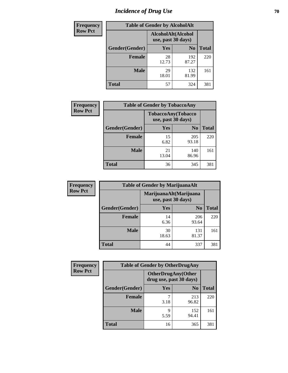# *Incidence of Drug Use* **70**

| <b>Frequency</b> | <b>Table of Gender by AlcoholAlt</b> |                                          |                |              |  |
|------------------|--------------------------------------|------------------------------------------|----------------|--------------|--|
| <b>Row Pct</b>   |                                      | AlcoholAlt(Alcohol<br>use, past 30 days) |                |              |  |
|                  | Gender(Gender)                       | Yes                                      | N <sub>0</sub> | <b>Total</b> |  |
|                  | Female                               | 28<br>12.73                              | 192<br>87.27   | 220          |  |
|                  | <b>Male</b>                          | 29<br>18.01                              | 132<br>81.99   | 161          |  |
|                  | <b>Total</b>                         | 57                                       | 324            | 381          |  |

| <b>Frequency</b> | <b>Table of Gender by TobaccoAny</b> |             |                                          |              |
|------------------|--------------------------------------|-------------|------------------------------------------|--------------|
| <b>Row Pct</b>   |                                      |             | TobaccoAny(Tobacco<br>use, past 30 days) |              |
|                  | Gender(Gender)                       | <b>Yes</b>  | N <sub>0</sub>                           | <b>Total</b> |
|                  | <b>Female</b>                        | 15<br>6.82  | 205<br>93.18                             | 220          |
|                  | <b>Male</b>                          | 21<br>13.04 | 140<br>86.96                             | 161          |
|                  | <b>Total</b>                         | 36          | 345                                      | 381          |

| <b>Frequency</b> | <b>Table of Gender by MarijuanaAlt</b> |                    |                        |              |
|------------------|----------------------------------------|--------------------|------------------------|--------------|
| <b>Row Pct</b>   |                                        | use, past 30 days) | MarijuanaAlt(Marijuana |              |
|                  | Gender(Gender)                         | <b>Yes</b>         | N <sub>0</sub>         | <b>Total</b> |
|                  | <b>Female</b>                          | 14<br>6.36         | 206<br>93.64           | 220          |
|                  | <b>Male</b>                            | 30<br>18.63        | 131<br>81.37           | 161          |
|                  | <b>Total</b>                           | 44                 | 337                    | 381          |

| <b>Frequency</b> | <b>Table of Gender by OtherDrugAny</b> |                         |                           |              |
|------------------|----------------------------------------|-------------------------|---------------------------|--------------|
| <b>Row Pct</b>   |                                        | drug use, past 30 days) | <b>OtherDrugAny(Other</b> |              |
|                  | Gender(Gender)                         | <b>Yes</b>              | N <sub>0</sub>            | <b>Total</b> |
|                  | <b>Female</b>                          | 3.18                    | 213<br>96.82              | 220          |
|                  | <b>Male</b>                            | 9<br>5.59               | 152<br>94.41              | 161          |
|                  | <b>Total</b>                           | 16                      | 365                       | 381          |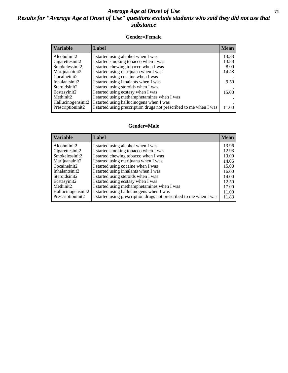#### *Average Age at Onset of Use* **71** *Results for "Average Age at Onset of Use" questions exclude students who said they did not use that substance*

#### **Gender=Female**

| <b>Variable</b>    | <b>Label</b>                                                       | <b>Mean</b> |
|--------------------|--------------------------------------------------------------------|-------------|
| Alcoholinit2       | I started using alcohol when I was                                 | 13.33       |
| Cigarettesinit2    | I started smoking tobacco when I was                               | 13.88       |
| Smokelessinit2     | I started chewing tobacco when I was                               | 8.00        |
| Marijuanainit2     | I started using marijuana when I was                               | 14.48       |
| Cocaineinit2       | I started using cocaine when I was                                 |             |
| Inhalantsinit2     | I started using inhalants when I was                               | 9.50        |
| Steroidsinit2      | I started using steroids when I was                                |             |
| Ecstasyinit2       | I started using ecstasy when I was                                 | 15.00       |
| Methinit2          | I started using methamphetamines when I was                        |             |
| Hallucinogensinit2 | I started using hallucinogens when I was                           |             |
| Prescription in t2 | I started using prescription drugs not prescribed to me when I was | 11.00       |

#### **Gender=Male**

| Label                                                              | <b>Mean</b> |
|--------------------------------------------------------------------|-------------|
| I started using alcohol when I was                                 | 13.96       |
| I started smoking tobacco when I was                               | 12.93       |
| I started chewing tobacco when I was                               | 13.00       |
| I started using marijuana when I was                               | 14.05       |
| I started using cocaine when I was                                 | 15.00       |
| I started using inhalants when I was                               | 16.00       |
| I started using steroids when I was                                | 14.00       |
| I started using ecstasy when I was                                 | 12.50       |
| I started using methamphetamines when I was                        | 17.00       |
| I started using hallucinogens when I was<br>Hallucinogensinit2     | 11.00       |
| I started using prescription drugs not prescribed to me when I was | 11.83       |
|                                                                    |             |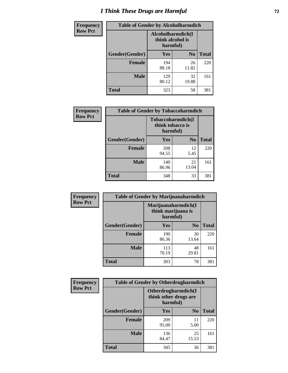# *I Think These Drugs are Harmful* **72**

| <b>Frequency</b> | <b>Table of Gender by Alcoholharmdich</b> |                                                   |                |              |  |
|------------------|-------------------------------------------|---------------------------------------------------|----------------|--------------|--|
| <b>Row Pct</b>   |                                           | Alcoholharmdich(I<br>think alcohol is<br>harmful) |                |              |  |
|                  | Gender(Gender)                            | <b>Yes</b>                                        | N <sub>0</sub> | <b>Total</b> |  |
|                  | <b>Female</b>                             | 194<br>88.18                                      | 26<br>11.82    | 220          |  |
|                  | <b>Male</b>                               | 129<br>80.12                                      | 32<br>19.88    | 161          |  |
|                  | Total                                     | 323                                               | 58             | 381          |  |

| Frequency      | <b>Table of Gender by Tobaccoharmdich</b> |                  |                               |              |  |
|----------------|-------------------------------------------|------------------|-------------------------------|--------------|--|
| <b>Row Pct</b> |                                           | think tobacco is | Tobaccoharmdich(I<br>harmful) |              |  |
|                | Gender(Gender)                            | <b>Yes</b>       | N <sub>0</sub>                | <b>Total</b> |  |
|                | <b>Female</b>                             | 208<br>94.55     | 12<br>5.45                    | 220          |  |
|                | <b>Male</b>                               | 140<br>86.96     | 21<br>13.04                   | 161          |  |
|                | <b>Total</b>                              | 348              | 33                            | 381          |  |

| Frequency      | <b>Table of Gender by Marijuanaharmdich</b> |                                                       |                |              |  |
|----------------|---------------------------------------------|-------------------------------------------------------|----------------|--------------|--|
| <b>Row Pct</b> |                                             | Marijuanaharmdich(I<br>think marijuana is<br>harmful) |                |              |  |
|                | Gender(Gender)                              | <b>Yes</b>                                            | N <sub>0</sub> | <b>Total</b> |  |
|                | <b>Female</b>                               | 190<br>86.36                                          | 30<br>13.64    | 220          |  |
|                | <b>Male</b>                                 | 113<br>70.19                                          | 48<br>29.81    | 161          |  |
|                | <b>Total</b>                                | 303                                                   | 78             | 381          |  |

| Frequency      | <b>Table of Gender by Otherdrugharmdich</b> |                                                          |                |              |  |
|----------------|---------------------------------------------|----------------------------------------------------------|----------------|--------------|--|
| <b>Row Pct</b> |                                             | Otherdrugharmdich(I<br>think other drugs are<br>harmful) |                |              |  |
|                | Gender(Gender)                              | <b>Yes</b>                                               | N <sub>0</sub> | <b>Total</b> |  |
|                | <b>Female</b>                               | 209<br>95.00                                             | 11<br>5.00     | 220          |  |
|                | <b>Male</b>                                 | 136<br>84.47                                             | 25<br>15.53    | 161          |  |
|                | <b>Total</b>                                | 345                                                      | 36             | 381          |  |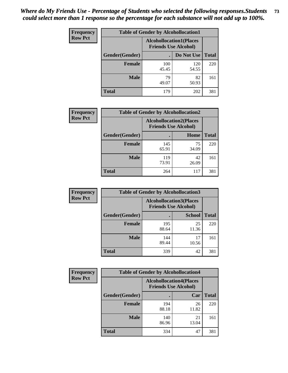| <b>Frequency</b> | <b>Table of Gender by Alcohollocation1</b> |                                                               |              |              |
|------------------|--------------------------------------------|---------------------------------------------------------------|--------------|--------------|
| <b>Row Pct</b>   |                                            | <b>Alcohollocation1(Places</b><br><b>Friends Use Alcohol)</b> |              |              |
|                  | Gender(Gender)                             |                                                               | Do Not Use   | <b>Total</b> |
|                  | <b>Female</b>                              | 100<br>45.45                                                  | 120<br>54.55 | 220          |
|                  | <b>Male</b>                                | 79<br>49.07                                                   | 82<br>50.93  | 161          |
|                  | <b>Total</b>                               | 179                                                           | 202          | 381          |

| <b>Frequency</b> | <b>Table of Gender by Alcohollocation2</b> |                                                               |             |              |
|------------------|--------------------------------------------|---------------------------------------------------------------|-------------|--------------|
| <b>Row Pct</b>   |                                            | <b>Alcohollocation2(Places</b><br><b>Friends Use Alcohol)</b> |             |              |
|                  | Gender(Gender)                             |                                                               | Home        | <b>Total</b> |
|                  | <b>Female</b>                              | 145<br>65.91                                                  | 75<br>34.09 | 220          |
|                  | <b>Male</b>                                | 119<br>73.91                                                  | 42<br>26.09 | 161          |
|                  | <b>Total</b>                               | 264                                                           | 117         | 381          |

| Frequency      | <b>Table of Gender by Alcohollocation3</b> |                                                               |               |              |
|----------------|--------------------------------------------|---------------------------------------------------------------|---------------|--------------|
| <b>Row Pct</b> |                                            | <b>Alcohollocation3(Places</b><br><b>Friends Use Alcohol)</b> |               |              |
|                | Gender(Gender)                             |                                                               | <b>School</b> | <b>Total</b> |
|                | <b>Female</b>                              | 195<br>88.64                                                  | 25<br>11.36   | 220          |
|                | <b>Male</b>                                | 144<br>89.44                                                  | 17<br>10.56   | 161          |
|                | <b>Total</b>                               | 339                                                           | 42            | 381          |

| <b>Frequency</b> | <b>Table of Gender by Alcohollocation4</b> |                                                               |             |              |  |
|------------------|--------------------------------------------|---------------------------------------------------------------|-------------|--------------|--|
| <b>Row Pct</b>   |                                            | <b>Alcohollocation4(Places</b><br><b>Friends Use Alcohol)</b> |             |              |  |
|                  | Gender(Gender)                             |                                                               | Car         | <b>Total</b> |  |
|                  | <b>Female</b>                              | 194<br>88.18                                                  | 26<br>11.82 | 220          |  |
|                  | <b>Male</b>                                | 140<br>86.96                                                  | 21<br>13.04 | 161          |  |
|                  | <b>Total</b>                               | 334                                                           | 47          | 381          |  |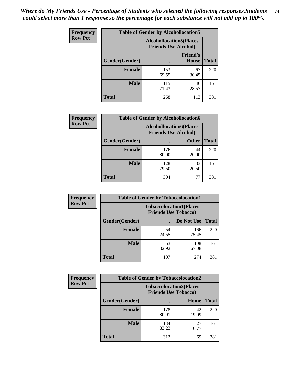| <b>Frequency</b> | <b>Table of Gender by Alcohollocation5</b> |                                                               |                                 |              |
|------------------|--------------------------------------------|---------------------------------------------------------------|---------------------------------|--------------|
| <b>Row Pct</b>   |                                            | <b>Alcohollocation5(Places</b><br><b>Friends Use Alcohol)</b> |                                 |              |
|                  | Gender(Gender)                             |                                                               | <b>Friend's</b><br><b>House</b> | <b>Total</b> |
|                  | <b>Female</b>                              | 153<br>69.55                                                  | 67<br>30.45                     | 220          |
|                  | <b>Male</b>                                | 115<br>71.43                                                  | 46<br>28.57                     | 161          |
|                  | <b>Total</b>                               | 268                                                           | 113                             | 381          |

| Frequency      | <b>Table of Gender by Alcohollocation6</b> |                                                               |              |              |  |
|----------------|--------------------------------------------|---------------------------------------------------------------|--------------|--------------|--|
| <b>Row Pct</b> |                                            | <b>Alcohollocation6(Places</b><br><b>Friends Use Alcohol)</b> |              |              |  |
|                | <b>Gender</b> (Gender)                     |                                                               | <b>Other</b> | <b>Total</b> |  |
|                | <b>Female</b>                              | 176<br>80.00                                                  | 44<br>20.00  | 220          |  |
|                | <b>Male</b>                                | 128<br>79.50                                                  | 33<br>20.50  | 161          |  |
|                | <b>Total</b>                               | 304                                                           | 77           | 381          |  |

| Frequency      | <b>Table of Gender by Tobaccolocation1</b> |                                                               |              |              |  |
|----------------|--------------------------------------------|---------------------------------------------------------------|--------------|--------------|--|
| <b>Row Pct</b> |                                            | <b>Tobaccolocation1(Places</b><br><b>Friends Use Tobacco)</b> |              |              |  |
|                | Gender(Gender)                             |                                                               | Do Not Use   | <b>Total</b> |  |
|                | Female                                     | 54<br>24.55                                                   | 166<br>75.45 | 220          |  |
|                | <b>Male</b>                                | 53<br>32.92                                                   | 108<br>67.08 | 161          |  |
|                | <b>Total</b>                               | 107                                                           | 274          | 381          |  |

| <b>Frequency</b> | <b>Table of Gender by Tobaccolocation2</b> |                                                               |             |              |
|------------------|--------------------------------------------|---------------------------------------------------------------|-------------|--------------|
| <b>Row Pct</b>   |                                            | <b>Tobaccolocation2(Places</b><br><b>Friends Use Tobacco)</b> |             |              |
|                  | Gender(Gender)                             |                                                               | Home        | <b>Total</b> |
|                  | Female                                     | 178<br>80.91                                                  | 42<br>19.09 | 220          |
|                  | <b>Male</b>                                | 134<br>83.23                                                  | 27<br>16.77 | 161          |
|                  | <b>Total</b>                               | 312                                                           | 69          | 381          |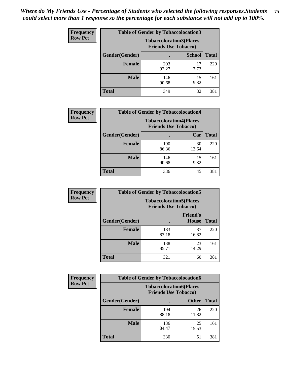| <b>Frequency</b> | <b>Table of Gender by Tobaccolocation3</b> |                                                               |               |              |
|------------------|--------------------------------------------|---------------------------------------------------------------|---------------|--------------|
| <b>Row Pct</b>   |                                            | <b>Tobaccolocation3(Places</b><br><b>Friends Use Tobacco)</b> |               |              |
|                  | Gender(Gender)                             |                                                               | <b>School</b> | <b>Total</b> |
|                  | Female                                     | 203<br>92.27                                                  | 17<br>7.73    | 220          |
|                  | <b>Male</b>                                | 146<br>90.68                                                  | 15<br>9.32    | 161          |
|                  | <b>Total</b>                               | 349                                                           | 32            | 381          |

| <b>Frequency</b> | <b>Table of Gender by Tobaccolocation4</b> |                                                               |             |              |
|------------------|--------------------------------------------|---------------------------------------------------------------|-------------|--------------|
| <b>Row Pct</b>   |                                            | <b>Tobaccolocation4(Places</b><br><b>Friends Use Tobacco)</b> |             |              |
|                  | Gender(Gender)                             |                                                               | Car         | <b>Total</b> |
|                  | <b>Female</b>                              | 190<br>86.36                                                  | 30<br>13.64 | 220          |
|                  | <b>Male</b>                                | 146<br>90.68                                                  | 15<br>9.32  | 161          |
|                  | <b>Total</b>                               | 336                                                           | 45          | 381          |

| <b>Frequency</b> | <b>Table of Gender by Tobaccolocation5</b> |              |                                                               |              |
|------------------|--------------------------------------------|--------------|---------------------------------------------------------------|--------------|
| <b>Row Pct</b>   |                                            |              | <b>Tobaccolocation5(Places</b><br><b>Friends Use Tobacco)</b> |              |
|                  | Gender(Gender)                             |              | <b>Friend's</b><br><b>House</b>                               | <b>Total</b> |
|                  | <b>Female</b>                              | 183<br>83.18 | 37<br>16.82                                                   | 220          |
|                  | <b>Male</b>                                | 138<br>85.71 | 23<br>14.29                                                   | 161          |
|                  | <b>Total</b>                               | 321          | 60                                                            | 381          |

| <b>Frequency</b> | <b>Table of Gender by Tobaccolocation6</b> |                                                               |              |              |
|------------------|--------------------------------------------|---------------------------------------------------------------|--------------|--------------|
| <b>Row Pct</b>   |                                            | <b>Tobaccolocation6(Places</b><br><b>Friends Use Tobacco)</b> |              |              |
|                  | Gender(Gender)                             |                                                               | <b>Other</b> | <b>Total</b> |
|                  | <b>Female</b>                              | 194<br>88.18                                                  | 26<br>11.82  | 220          |
|                  | <b>Male</b>                                | 136<br>84.47                                                  | 25<br>15.53  | 161          |
|                  | <b>Total</b>                               | 330                                                           | 51           | 381          |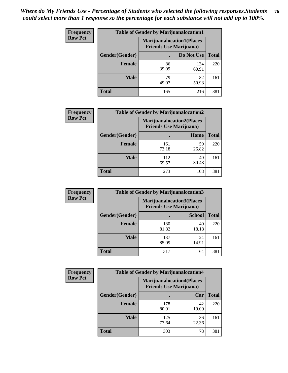| <b>Frequency</b> | <b>Table of Gender by Marijuanalocation1</b> |                                                                    |              |              |
|------------------|----------------------------------------------|--------------------------------------------------------------------|--------------|--------------|
| <b>Row Pct</b>   |                                              | <b>Marijuanalocation1(Places</b><br><b>Friends Use Marijuana</b> ) |              |              |
|                  | Gender(Gender)                               |                                                                    | Do Not Use   | <b>Total</b> |
|                  | <b>Female</b>                                | 86<br>39.09                                                        | 134<br>60.91 | 220          |
|                  | <b>Male</b>                                  | 79<br>49.07                                                        | 82<br>50.93  | 161          |
|                  | <b>Total</b>                                 | 165                                                                | 216          | 381          |

| <b>Frequency</b> | <b>Table of Gender by Marijuanalocation2</b> |                                                                    |             |              |  |
|------------------|----------------------------------------------|--------------------------------------------------------------------|-------------|--------------|--|
| <b>Row Pct</b>   |                                              | <b>Marijuanalocation2(Places</b><br><b>Friends Use Marijuana</b> ) |             |              |  |
|                  | Gender(Gender)                               |                                                                    | Home        | <b>Total</b> |  |
|                  | Female                                       | 161<br>73.18                                                       | 59<br>26.82 | 220          |  |
|                  | <b>Male</b>                                  | 112<br>69.57                                                       | 49<br>30.43 | 161          |  |
|                  | <b>Total</b>                                 | 273                                                                | 108         | 381          |  |

| Frequency      | <b>Table of Gender by Marijuanalocation3</b> |              |                                                                    |              |  |
|----------------|----------------------------------------------|--------------|--------------------------------------------------------------------|--------------|--|
| <b>Row Pct</b> |                                              |              | <b>Marijuanalocation3(Places</b><br><b>Friends Use Marijuana</b> ) |              |  |
|                | Gender(Gender)                               |              | <b>School</b>                                                      | <b>Total</b> |  |
|                | Female                                       | 180<br>81.82 | 40<br>18.18                                                        | 220          |  |
|                | <b>Male</b>                                  | 137<br>85.09 | 24<br>14.91                                                        | 161          |  |
|                | <b>Total</b>                                 | 317          | 64                                                                 | 381          |  |

| Frequency      | <b>Table of Gender by Marijuanalocation4</b> |                                |                                  |              |  |
|----------------|----------------------------------------------|--------------------------------|----------------------------------|--------------|--|
| <b>Row Pct</b> |                                              | <b>Friends Use Marijuana</b> ) | <b>Marijuanalocation4(Places</b> |              |  |
|                | Gender(Gender)                               |                                | Car                              | <b>Total</b> |  |
|                | <b>Female</b>                                | 178<br>80.91                   | 42<br>19.09                      | 220          |  |
|                | <b>Male</b>                                  | 125<br>77.64                   | 36<br>22.36                      | 161          |  |
|                | <b>Total</b>                                 | 303                            | 78                               | 381          |  |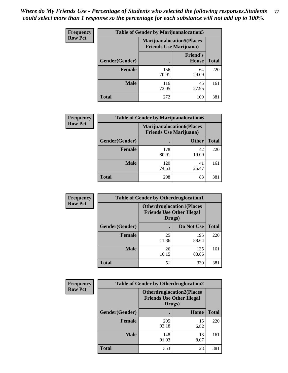| <b>Frequency</b> | <b>Table of Gender by Marijuanalocation5</b> |                                                                     |                                 |              |
|------------------|----------------------------------------------|---------------------------------------------------------------------|---------------------------------|--------------|
| <b>Row Pct</b>   |                                              | <b>Marijuanalocation5</b> (Places<br><b>Friends Use Marijuana</b> ) |                                 |              |
|                  | Gender(Gender)                               |                                                                     | <b>Friend's</b><br><b>House</b> | <b>Total</b> |
|                  | <b>Female</b>                                | 156<br>70.91                                                        | 64<br>29.09                     | 220          |
|                  | <b>Male</b>                                  | 116<br>72.05                                                        | 45<br>27.95                     | 161          |
|                  | <b>Total</b>                                 | 272                                                                 | 109                             | 381          |

| <b>Frequency</b> | <b>Table of Gender by Marijuanalocation6</b> |                                |                                  |              |
|------------------|----------------------------------------------|--------------------------------|----------------------------------|--------------|
| <b>Row Pct</b>   |                                              | <b>Friends Use Marijuana</b> ) | <b>Marijuanalocation6(Places</b> |              |
|                  | <b>Gender</b> (Gender)                       |                                | <b>Other</b>                     | <b>Total</b> |
|                  | <b>Female</b>                                | 178<br>80.91                   | 42<br>19.09                      | 220          |
|                  | <b>Male</b>                                  | 120<br>74.53                   | 41<br>25.47                      | 161          |
|                  | <b>Total</b>                                 | 298                            | 83                               | 381          |

| <b>Frequency</b> | <b>Table of Gender by Otherdruglocation1</b> |                                                                                |              |              |
|------------------|----------------------------------------------|--------------------------------------------------------------------------------|--------------|--------------|
| <b>Row Pct</b>   |                                              | <b>Otherdruglocation1(Places</b><br><b>Friends Use Other Illegal</b><br>Drugs) |              |              |
|                  | Gender(Gender)                               |                                                                                | Do Not Use   | <b>Total</b> |
|                  | Female                                       | 25<br>11.36                                                                    | 195<br>88.64 | 220          |
|                  | <b>Male</b>                                  | 26<br>16.15                                                                    | 135<br>83.85 | 161          |
|                  | <b>Total</b>                                 | 51                                                                             | 330          | 381          |

| Frequency      | <b>Table of Gender by Otherdruglocation2</b> |                                                                                |            |              |
|----------------|----------------------------------------------|--------------------------------------------------------------------------------|------------|--------------|
| <b>Row Pct</b> |                                              | <b>Otherdruglocation2(Places</b><br><b>Friends Use Other Illegal</b><br>Drugs) |            |              |
|                | Gender(Gender)                               |                                                                                | Home       | <b>Total</b> |
|                | <b>Female</b>                                | 205<br>93.18                                                                   | 15<br>6.82 | 220          |
|                | <b>Male</b>                                  | 148<br>91.93                                                                   | 13<br>8.07 | 161          |
|                | <b>Total</b>                                 | 353                                                                            | 28         | 381          |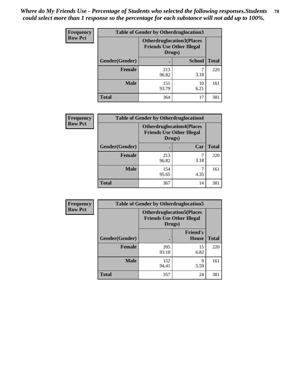| <b>Frequency</b> | <b>Table of Gender by Otherdruglocation3</b> |                                                                                |               |              |
|------------------|----------------------------------------------|--------------------------------------------------------------------------------|---------------|--------------|
| <b>Row Pct</b>   |                                              | <b>Otherdruglocation3(Places</b><br><b>Friends Use Other Illegal</b><br>Drugs) |               |              |
|                  | Gender(Gender)                               |                                                                                | <b>School</b> | <b>Total</b> |
|                  | <b>Female</b>                                | 213<br>96.82                                                                   | 3.18          | 220          |
|                  | <b>Male</b>                                  | 151<br>93.79                                                                   | 10<br>6.21    | 161          |
|                  | <b>Total</b>                                 | 364                                                                            | 17            | 381          |

| Frequency      | <b>Table of Gender by Otherdruglocation4</b> |                                                                                |           |              |
|----------------|----------------------------------------------|--------------------------------------------------------------------------------|-----------|--------------|
| <b>Row Pct</b> |                                              | <b>Otherdruglocation4(Places</b><br><b>Friends Use Other Illegal</b><br>Drugs) |           |              |
|                | Gender(Gender)                               |                                                                                | Car       | <b>Total</b> |
|                | Female                                       | 213<br>96.82                                                                   | 7<br>3.18 | 220          |
|                | <b>Male</b>                                  | 154<br>95.65                                                                   | 4.35      | 161          |
|                | <b>Total</b>                                 | 367                                                                            | 14        | 381          |

| Frequency      | <b>Table of Gender by Otherdruglocation5</b> |                                                                                |                                 |              |
|----------------|----------------------------------------------|--------------------------------------------------------------------------------|---------------------------------|--------------|
| <b>Row Pct</b> |                                              | <b>Otherdruglocation5(Places</b><br><b>Friends Use Other Illegal</b><br>Drugs) |                                 |              |
|                | Gender(Gender)                               |                                                                                | <b>Friend's</b><br><b>House</b> | <b>Total</b> |
|                | <b>Female</b>                                | 205<br>93.18                                                                   | 15<br>6.82                      | 220          |
|                | <b>Male</b>                                  | 152<br>94.41                                                                   | 9<br>5.59                       | 161          |
|                | <b>Total</b>                                 | 357                                                                            | 24                              | 381          |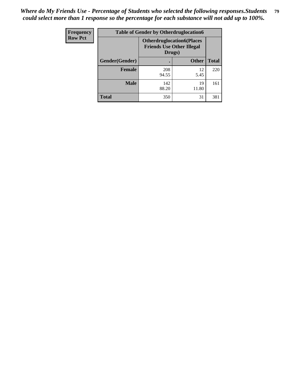| Frequency      | <b>Table of Gender by Otherdruglocation6</b> |                                            |                                  |              |
|----------------|----------------------------------------------|--------------------------------------------|----------------------------------|--------------|
| <b>Row Pct</b> |                                              | <b>Friends Use Other Illegal</b><br>Drugs) | <b>Otherdruglocation6(Places</b> |              |
|                | Gender(Gender)                               |                                            | <b>Other</b>                     | <b>Total</b> |
|                | <b>Female</b>                                | 208<br>94.55                               | 12<br>5.45                       | 220          |
|                | <b>Male</b>                                  | 142<br>88.20                               | 19<br>11.80                      | 161          |
|                | <b>Total</b>                                 | 350                                        | 31                               | 381          |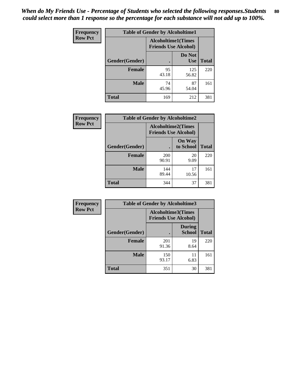| <b>Frequency</b> | <b>Table of Gender by Alcoholtime1</b> |                                                          |                      |              |
|------------------|----------------------------------------|----------------------------------------------------------|----------------------|--------------|
| <b>Row Pct</b>   |                                        | <b>Alcoholtime1(Times</b><br><b>Friends Use Alcohol)</b> |                      |              |
|                  | Gender(Gender)                         | $\bullet$                                                | Do Not<br><b>Use</b> | <b>Total</b> |
|                  | <b>Female</b>                          | 95<br>43.18                                              | 125<br>56.82         | 220          |
|                  | <b>Male</b>                            | 74<br>45.96                                              | 87<br>54.04          | 161          |
|                  | <b>Total</b>                           | 169                                                      | 212                  | 381          |

| <b>Frequency</b> | <b>Table of Gender by Alcoholtime2</b> |                                                          |                            |              |
|------------------|----------------------------------------|----------------------------------------------------------|----------------------------|--------------|
| <b>Row Pct</b>   |                                        | <b>Alcoholtime2(Times</b><br><b>Friends Use Alcohol)</b> |                            |              |
|                  | Gender(Gender)                         |                                                          | <b>On Way</b><br>to School | <b>Total</b> |
|                  | <b>Female</b>                          | 200<br>90.91                                             | 20<br>9.09                 | 220          |
|                  | <b>Male</b>                            | 144<br>89.44                                             | 17<br>10.56                | 161          |
|                  | <b>Total</b>                           | 344                                                      | 37                         | 381          |

| <b>Frequency</b> | <b>Table of Gender by Alcoholtime3</b> |                                                          |                                |              |
|------------------|----------------------------------------|----------------------------------------------------------|--------------------------------|--------------|
| <b>Row Pct</b>   |                                        | <b>Alcoholtime3(Times</b><br><b>Friends Use Alcohol)</b> |                                |              |
|                  | Gender(Gender)                         |                                                          | <b>During</b><br><b>School</b> | <b>Total</b> |
|                  | Female                                 | 201<br>91.36                                             | 19<br>8.64                     | 220          |
|                  | <b>Male</b>                            | 150<br>93.17                                             | 11<br>6.83                     | 161          |
|                  | <b>Total</b>                           | 351                                                      | 30                             | 381          |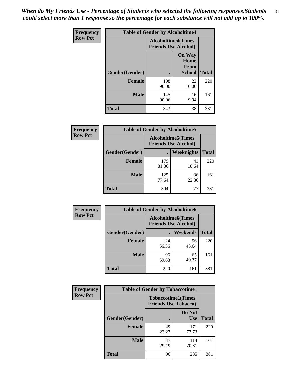*When do My Friends Use - Percentage of Students who selected the following responses.Students could select more than 1 response so the percentage for each substance will not add up to 100%.* **81**

| <b>Frequency</b> | <b>Table of Gender by Alcoholtime4</b> |                                                          |                                                       |              |
|------------------|----------------------------------------|----------------------------------------------------------|-------------------------------------------------------|--------------|
| <b>Row Pct</b>   |                                        | <b>Alcoholtime4(Times</b><br><b>Friends Use Alcohol)</b> |                                                       |              |
|                  | Gender(Gender)                         |                                                          | <b>On Way</b><br>Home<br><b>From</b><br><b>School</b> | <b>Total</b> |
|                  | <b>Female</b>                          | 198<br>90.00                                             | 22<br>10.00                                           | 220          |
|                  | <b>Male</b>                            | 145<br>90.06                                             | 16<br>9.94                                            | 161          |
|                  | <b>Total</b>                           | 343                                                      | 38                                                    | 381          |

| <b>Frequency</b> | <b>Table of Gender by Alcoholtime5</b> |                                                           |             |              |  |
|------------------|----------------------------------------|-----------------------------------------------------------|-------------|--------------|--|
| <b>Row Pct</b>   |                                        | <b>Alcoholtime5</b> (Times<br><b>Friends Use Alcohol)</b> |             |              |  |
|                  | Gender(Gender)                         |                                                           | Weeknights  | <b>Total</b> |  |
|                  | <b>Female</b>                          | 179<br>81.36                                              | 41<br>18.64 | 220          |  |
|                  | <b>Male</b>                            | 125<br>77.64                                              | 36<br>22.36 | 161          |  |
|                  | <b>Total</b>                           | 304                                                       | 77          | 381          |  |

| <b>Frequency</b> | <b>Table of Gender by Alcoholtime6</b> |                                                          |             |              |
|------------------|----------------------------------------|----------------------------------------------------------|-------------|--------------|
| <b>Row Pct</b>   |                                        | <b>Alcoholtime6(Times</b><br><b>Friends Use Alcohol)</b> |             |              |
|                  | Gender(Gender)                         |                                                          | Weekends    | <b>Total</b> |
|                  | Female                                 | 124<br>56.36                                             | 96<br>43.64 | 220          |
|                  | <b>Male</b>                            | 96<br>59.63                                              | 65<br>40.37 | 161          |
|                  | <b>Total</b>                           | 220                                                      | 161         | 381          |

| <b>Frequency</b> | <b>Table of Gender by Tobaccotime1</b> |                                                          |                      |              |
|------------------|----------------------------------------|----------------------------------------------------------|----------------------|--------------|
| <b>Row Pct</b>   |                                        | <b>Tobaccotime1(Times</b><br><b>Friends Use Tobacco)</b> |                      |              |
|                  | Gender(Gender)                         |                                                          | Do Not<br><b>Use</b> | <b>Total</b> |
|                  | <b>Female</b>                          | 49<br>22.27                                              | 171<br>77.73         | 220          |
|                  | <b>Male</b>                            | 47<br>29.19                                              | 114<br>70.81         | 161          |
|                  | <b>Total</b>                           | 96                                                       | 285                  | 381          |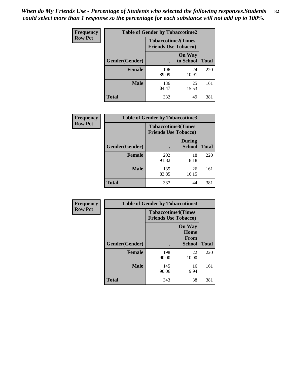| Frequency      | <b>Table of Gender by Tobaccotime2</b> |                                                          |                            |              |
|----------------|----------------------------------------|----------------------------------------------------------|----------------------------|--------------|
| <b>Row Pct</b> |                                        | <b>Tobaccotime2(Times</b><br><b>Friends Use Tobacco)</b> |                            |              |
|                | Gender(Gender)                         | $\bullet$                                                | <b>On Way</b><br>to School | <b>Total</b> |
|                | Female                                 | 196<br>89.09                                             | 24<br>10.91                | 220          |
|                | <b>Male</b>                            | 136<br>84.47                                             | 25<br>15.53                | 161          |
|                | <b>Total</b>                           | 332                                                      | 49                         | 381          |

| Frequency      | <b>Table of Gender by Tobaccotime3</b> |                                                          |                                |              |
|----------------|----------------------------------------|----------------------------------------------------------|--------------------------------|--------------|
| <b>Row Pct</b> |                                        | <b>Tobaccotime3(Times</b><br><b>Friends Use Tobacco)</b> |                                |              |
|                | Gender(Gender)                         |                                                          | <b>During</b><br><b>School</b> | <b>Total</b> |
|                | <b>Female</b>                          | 202<br>91.82                                             | 18<br>8.18                     | 220          |
|                | <b>Male</b>                            | 135<br>83.85                                             | 26<br>16.15                    | 161          |
|                | <b>Total</b>                           | 337                                                      | 44                             | 381          |

| Frequency      | <b>Table of Gender by Tobaccotime4</b> |                                                          |                                                |              |
|----------------|----------------------------------------|----------------------------------------------------------|------------------------------------------------|--------------|
| <b>Row Pct</b> |                                        | <b>Tobaccotime4(Times</b><br><b>Friends Use Tobacco)</b> |                                                |              |
|                | Gender(Gender)                         |                                                          | <b>On Way</b><br>Home<br><b>From</b><br>School | <b>Total</b> |
|                | <b>Female</b>                          | 198<br>90.00                                             | 22<br>10.00                                    | 220          |
|                | <b>Male</b>                            | 145<br>90.06                                             | 16<br>9.94                                     | 161          |
|                | <b>Total</b>                           | 343                                                      | 38                                             | 381          |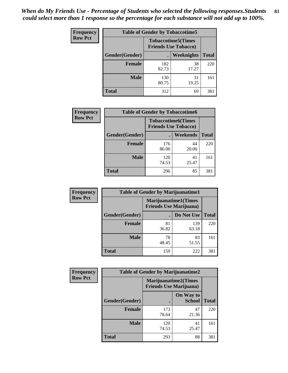| <b>Frequency</b> | <b>Table of Gender by Tobaccotime5</b> |              |                                                          |              |  |
|------------------|----------------------------------------|--------------|----------------------------------------------------------|--------------|--|
| <b>Row Pct</b>   |                                        |              | <b>Tobaccotime5(Times</b><br><b>Friends Use Tobacco)</b> |              |  |
|                  | <b>Gender</b> (Gender)                 |              | <b>Weeknights</b>                                        | <b>Total</b> |  |
|                  | <b>Female</b>                          | 182<br>82.73 | 38<br>17.27                                              | 220          |  |
|                  | <b>Male</b>                            | 130<br>80.75 | 31<br>19.25                                              | 161          |  |
|                  | Total                                  | 312          | 69                                                       | 381          |  |

| <b>Frequency</b> | <b>Table of Gender by Tobaccotime6</b> |                                                          |             |              |
|------------------|----------------------------------------|----------------------------------------------------------|-------------|--------------|
| <b>Row Pct</b>   |                                        | <b>Tobaccotime6(Times</b><br><b>Friends Use Tobacco)</b> |             |              |
|                  | Gender(Gender)                         |                                                          | Weekends    | <b>Total</b> |
|                  | Female                                 | 176<br>80.00                                             | 44<br>20.00 | 220          |
|                  | <b>Male</b>                            | 120<br>74.53                                             | 41<br>25.47 | 161          |
|                  | <b>Total</b>                           | 296                                                      | 85          | 381          |

| Frequency      |                | <b>Table of Gender by Marijuanatime1</b>                      |              |              |
|----------------|----------------|---------------------------------------------------------------|--------------|--------------|
| <b>Row Pct</b> |                | <b>Marijuanatime1(Times</b><br><b>Friends Use Marijuana</b> ) |              |              |
|                | Gender(Gender) |                                                               | Do Not Use   | <b>Total</b> |
|                | <b>Female</b>  | 81<br>36.82                                                   | 139<br>63.18 | 220          |
|                | <b>Male</b>    | 78<br>48.45                                                   | 83<br>51.55  | 161          |
|                | <b>Total</b>   | 159                                                           | 222          | 381          |

| <b>Frequency</b> | <b>Table of Gender by Marijuanatime2</b> |                                                               |                            |              |
|------------------|------------------------------------------|---------------------------------------------------------------|----------------------------|--------------|
| <b>Row Pct</b>   |                                          | <b>Marijuanatime2(Times</b><br><b>Friends Use Marijuana</b> ) |                            |              |
|                  | Gender(Gender)                           |                                                               | On Way to<br><b>School</b> | <b>Total</b> |
|                  | Female                                   | 173<br>78.64                                                  | 47<br>21.36                | 220          |
|                  | <b>Male</b>                              | 120<br>74.53                                                  | 41<br>25.47                | 161          |
|                  | <b>Total</b>                             | 293                                                           | 88                         | 381          |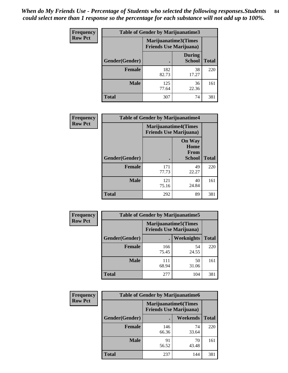*When do My Friends Use - Percentage of Students who selected the following responses.Students could select more than 1 response so the percentage for each substance will not add up to 100%.* **84**

| <b>Frequency</b> | Table of Gender by Marijuanatime3 |                                                        |                                |              |
|------------------|-----------------------------------|--------------------------------------------------------|--------------------------------|--------------|
| <b>Row Pct</b>   |                                   | Marijuanatime3(Times<br><b>Friends Use Marijuana</b> ) |                                |              |
|                  | Gender(Gender)                    |                                                        | <b>During</b><br><b>School</b> | <b>Total</b> |
|                  | <b>Female</b>                     | 182<br>82.73                                           | 38<br>17.27                    | 220          |
|                  | <b>Male</b>                       | 125<br>77.64                                           | 36<br>22.36                    | 161          |
|                  | <b>Total</b>                      | 307                                                    | 74                             | 381          |

| Frequency      | <b>Table of Gender by Marijuanatime4</b> |                                                               |                                                |              |
|----------------|------------------------------------------|---------------------------------------------------------------|------------------------------------------------|--------------|
| <b>Row Pct</b> |                                          | <b>Marijuanatime4(Times</b><br><b>Friends Use Marijuana</b> ) |                                                |              |
|                | Gender(Gender)                           |                                                               | <b>On Way</b><br>Home<br>From<br><b>School</b> | <b>Total</b> |
|                | <b>Female</b>                            | 171<br>77.73                                                  | 49<br>22.27                                    | 220          |
|                | <b>Male</b>                              | 121<br>75.16                                                  | 40<br>24.84                                    | 161          |
|                | <b>Total</b>                             | 292                                                           | 89                                             | 381          |

| Frequency      | <b>Table of Gender by Marijuanatime5</b> |                                                                |                   |              |  |
|----------------|------------------------------------------|----------------------------------------------------------------|-------------------|--------------|--|
| <b>Row Pct</b> |                                          | <b>Marijuanatime5</b> (Times<br><b>Friends Use Marijuana</b> ) |                   |              |  |
|                | Gender(Gender)                           | $\blacksquare$                                                 | <b>Weeknights</b> | <b>Total</b> |  |
|                | <b>Female</b>                            | 166<br>75.45                                                   | 54<br>24.55       | 220          |  |
|                | <b>Male</b>                              | 111<br>68.94                                                   | 50<br>31.06       | 161          |  |
|                | <b>Total</b>                             | 277                                                            | 104               | 381          |  |

| <b>Frequency</b> | <b>Table of Gender by Marijuanatime6</b> |                                                               |             |              |  |
|------------------|------------------------------------------|---------------------------------------------------------------|-------------|--------------|--|
| <b>Row Pct</b>   |                                          | <b>Marijuanatime6(Times</b><br><b>Friends Use Marijuana</b> ) |             |              |  |
|                  | Gender(Gender)                           |                                                               | Weekends    | <b>Total</b> |  |
|                  | <b>Female</b>                            | 146<br>66.36                                                  | 74<br>33.64 | 220          |  |
|                  | <b>Male</b>                              | 91<br>56.52                                                   | 70<br>43.48 | 161          |  |
|                  | <b>Total</b>                             | 237                                                           | 144         | 381          |  |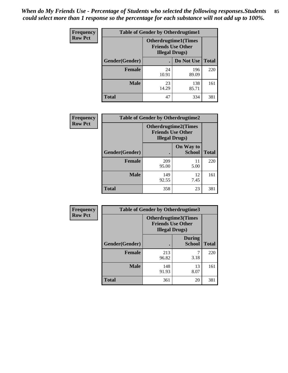*When do My Friends Use - Percentage of Students who selected the following responses.Students could select more than 1 response so the percentage for each substance will not add up to 100%.* **85**

| <b>Frequency</b> | <b>Table of Gender by Otherdrugtime1</b> |                                                                                   |                    |     |
|------------------|------------------------------------------|-----------------------------------------------------------------------------------|--------------------|-----|
| <b>Row Pct</b>   |                                          | <b>Otherdrugtime1(Times</b><br><b>Friends Use Other</b><br><b>Illegal Drugs</b> ) |                    |     |
|                  | Gender(Gender)                           |                                                                                   | Do Not Use   Total |     |
|                  | <b>Female</b>                            | 24<br>10.91                                                                       | 196<br>89.09       | 220 |
|                  | <b>Male</b>                              | 23<br>14.29                                                                       | 138<br>85.71       | 161 |
|                  | <b>Total</b>                             | 47                                                                                | 334                | 381 |

| Frequency      | <b>Table of Gender by Otherdrugtime2</b> |                                                                                   |                            |              |
|----------------|------------------------------------------|-----------------------------------------------------------------------------------|----------------------------|--------------|
| <b>Row Pct</b> |                                          | <b>Otherdrugtime2(Times</b><br><b>Friends Use Other</b><br><b>Illegal Drugs</b> ) |                            |              |
|                | <b>Gender</b> (Gender)                   |                                                                                   | On Way to<br><b>School</b> | <b>Total</b> |
|                | <b>Female</b>                            | 209<br>95.00                                                                      | 11<br>5.00                 | 220          |
|                | <b>Male</b>                              | 149<br>92.55                                                                      | 12<br>7.45                 | 161          |
|                | <b>Total</b>                             | 358                                                                               | 23                         | 381          |

| <b>Frequency</b> | <b>Table of Gender by Otherdrugtime3</b> |                        |                                                  |              |
|------------------|------------------------------------------|------------------------|--------------------------------------------------|--------------|
| <b>Row Pct</b>   |                                          | <b>Illegal Drugs</b> ) | Otherdrugtime3(Times<br><b>Friends Use Other</b> |              |
|                  | Gender(Gender)                           |                        | <b>During</b><br><b>School</b>                   | <b>Total</b> |
|                  | <b>Female</b>                            | 213<br>96.82           | 7<br>3.18                                        | 220          |
|                  | <b>Male</b>                              | 148<br>91.93           | 13<br>8.07                                       | 161          |
|                  | <b>Total</b>                             | 361                    | 20                                               | 381          |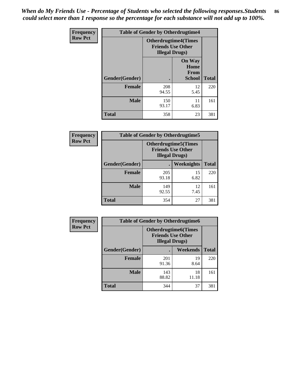*When do My Friends Use - Percentage of Students who selected the following responses.Students could select more than 1 response so the percentage for each substance will not add up to 100%.* **86**

| <b>Frequency</b> | <b>Table of Gender by Otherdrugtime4</b> |                                                    |                                                       |              |
|------------------|------------------------------------------|----------------------------------------------------|-------------------------------------------------------|--------------|
| <b>Row Pct</b>   |                                          | <b>Friends Use Other</b><br><b>Illegal Drugs</b> ) | <b>Otherdrugtime4(Times</b>                           |              |
|                  | Gender(Gender)                           |                                                    | <b>On Way</b><br>Home<br><b>From</b><br><b>School</b> | <b>Total</b> |
|                  | <b>Female</b>                            | 208<br>94.55                                       | 12<br>5.45                                            | 220          |
|                  | <b>Male</b>                              | 150<br>93.17                                       | 11<br>6.83                                            | 161          |
|                  | <b>Total</b>                             | 358                                                | 23                                                    | 381          |

| Frequency      | <b>Table of Gender by Otherdrugtime5</b> |                                                                                    |            |              |
|----------------|------------------------------------------|------------------------------------------------------------------------------------|------------|--------------|
| <b>Row Pct</b> |                                          | <b>Otherdrugtime5</b> (Times<br><b>Friends Use Other</b><br><b>Illegal Drugs</b> ) |            |              |
|                | Gender(Gender)                           |                                                                                    | Weeknights | <b>Total</b> |
|                | <b>Female</b>                            | 205<br>93.18                                                                       | 15<br>6.82 | 220          |
|                | <b>Male</b>                              | 149<br>92.55                                                                       | 12<br>7.45 | 161          |
|                | <b>Total</b>                             | 354                                                                                | 27         | 381          |

| <b>Frequency</b> | <b>Table of Gender by Otherdrugtime6</b> |                                                                                   |             |              |  |
|------------------|------------------------------------------|-----------------------------------------------------------------------------------|-------------|--------------|--|
| <b>Row Pct</b>   |                                          | <b>Otherdrugtime6(Times</b><br><b>Friends Use Other</b><br><b>Illegal Drugs</b> ) |             |              |  |
|                  | Gender(Gender)                           |                                                                                   | Weekends    | <b>Total</b> |  |
|                  | Female                                   | 201<br>91.36                                                                      | 19<br>8.64  | 220          |  |
|                  | <b>Male</b>                              | 143<br>88.82                                                                      | 18<br>11.18 | 161          |  |
|                  | <b>Total</b>                             | 344                                                                               | 37          | 381          |  |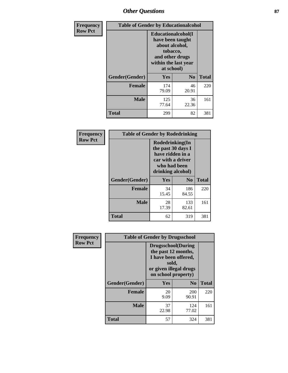# *Other Questions* **87**

| <b>Frequency</b> | <b>Table of Gender by Educationalcohol</b> |                                                                                                                                       |                |              |  |
|------------------|--------------------------------------------|---------------------------------------------------------------------------------------------------------------------------------------|----------------|--------------|--|
| <b>Row Pct</b>   |                                            | <b>Educationalcohol</b> (I<br>have been taught<br>about alcohol,<br>tobacco,<br>and other drugs<br>within the last year<br>at school) |                |              |  |
|                  | Gender(Gender)                             | <b>Yes</b>                                                                                                                            | N <sub>0</sub> | <b>Total</b> |  |
|                  | <b>Female</b>                              | 174<br>79.09                                                                                                                          | 46<br>20.91    | 220          |  |
|                  | <b>Male</b>                                | 125<br>77.64                                                                                                                          | 36<br>22.36    | 161          |  |
|                  | <b>Total</b>                               | 299                                                                                                                                   | 82             | 381          |  |

| Frequency      | <b>Table of Gender by Rodedrinking</b> |                                                                                                                     |                |              |  |
|----------------|----------------------------------------|---------------------------------------------------------------------------------------------------------------------|----------------|--------------|--|
| <b>Row Pct</b> |                                        | Rodedrinking(In<br>the past 30 days I<br>have ridden in a<br>car with a driver<br>who had been<br>drinking alcohol) |                |              |  |
|                | Gender(Gender)                         | Yes                                                                                                                 | N <sub>0</sub> | <b>Total</b> |  |
|                | <b>Female</b>                          | 34<br>15.45                                                                                                         | 186<br>84.55   | 220          |  |
|                | <b>Male</b>                            | 28<br>17.39                                                                                                         | 133<br>82.61   | 161          |  |
|                | <b>Total</b>                           | 62                                                                                                                  | 319            | 381          |  |

| Frequency      | <b>Table of Gender by Drugsschool</b> |                                                                                                                                     |                |              |  |
|----------------|---------------------------------------|-------------------------------------------------------------------------------------------------------------------------------------|----------------|--------------|--|
| <b>Row Pct</b> |                                       | <b>Drugsschool</b> (During<br>the past 12 months,<br>I have been offered,<br>sold,<br>or given illegal drugs<br>on school property) |                |              |  |
|                | Gender(Gender)                        | <b>Yes</b>                                                                                                                          | N <sub>0</sub> | <b>Total</b> |  |
|                | <b>Female</b>                         | 20<br>9.09                                                                                                                          | 200<br>90.91   | 220          |  |
|                | <b>Male</b>                           | 37<br>22.98                                                                                                                         | 124<br>77.02   | 161          |  |
|                | <b>Total</b>                          | 57                                                                                                                                  | 324            | 381          |  |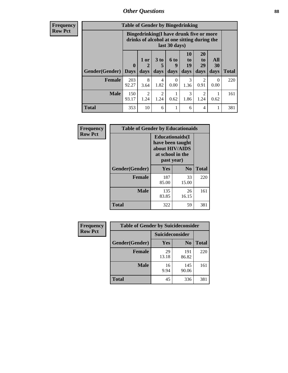# *Other Questions* **88**

**Frequency Row Pct**

| <b>Table of Gender by Bingedrinking</b> |                         |                                                                                                         |                   |                   |                        |                               |                   |              |
|-----------------------------------------|-------------------------|---------------------------------------------------------------------------------------------------------|-------------------|-------------------|------------------------|-------------------------------|-------------------|--------------|
|                                         |                         | Bingedrinking(I have drunk five or more<br>drinks of alcohol at one sitting during the<br>last 30 days) |                   |                   |                        |                               |                   |              |
| <b>Gender</b> (Gender)                  | $\bf{0}$<br><b>Days</b> | 1 or<br>days                                                                                            | 3 to<br>5<br>days | 6 to<br>9<br>days | 10<br>to<br>19<br>days | <b>20</b><br>to<br>29<br>days | All<br>30<br>days | <b>Total</b> |
| <b>Female</b>                           | 203<br>92.27            | 8<br>3.64                                                                                               | 4<br>1.82         | 0<br>0.00         | 3<br>1.36              | 2<br>0.91                     | $\Omega$<br>0.00  | 220          |
| <b>Male</b>                             | 150                     | 2                                                                                                       | 2                 |                   | 3                      | 2                             |                   | 161          |
|                                         | 93.17                   | 1.24                                                                                                    | 1.24              | 0.62              | 1.86                   | 1.24                          | 0.62              |              |

| Frequency      | <b>Table of Gender by Educationaids</b> |                                                                                                 |                |              |  |
|----------------|-----------------------------------------|-------------------------------------------------------------------------------------------------|----------------|--------------|--|
| <b>Row Pct</b> |                                         | <b>Educationaids</b> (I<br>have been taught<br>about HIV/AIDS<br>at school in the<br>past year) |                |              |  |
|                | Gender(Gender)                          | Yes                                                                                             | $\mathbf{N_0}$ | <b>Total</b> |  |
|                | <b>Female</b>                           | 187<br>85.00                                                                                    | 33<br>15.00    | 220          |  |
|                | <b>Male</b>                             | 135<br>83.85                                                                                    | 26<br>16.15    | 161          |  |
|                | <b>Total</b>                            | 322                                                                                             | 59             | 381          |  |

| Frequency      | <b>Table of Gender by Suicideconsider</b> |                 |                |       |  |
|----------------|-------------------------------------------|-----------------|----------------|-------|--|
| <b>Row Pct</b> |                                           | Suicideconsider |                |       |  |
|                | Gender(Gender)                            | <b>Yes</b>      | N <sub>0</sub> | Total |  |
|                | <b>Female</b>                             | 29<br>13.18     | 191<br>86.82   | 220   |  |
|                | <b>Male</b>                               | 16<br>9.94      | 145<br>90.06   | 161   |  |
|                | <b>Total</b>                              | 45              | 336            | 381   |  |